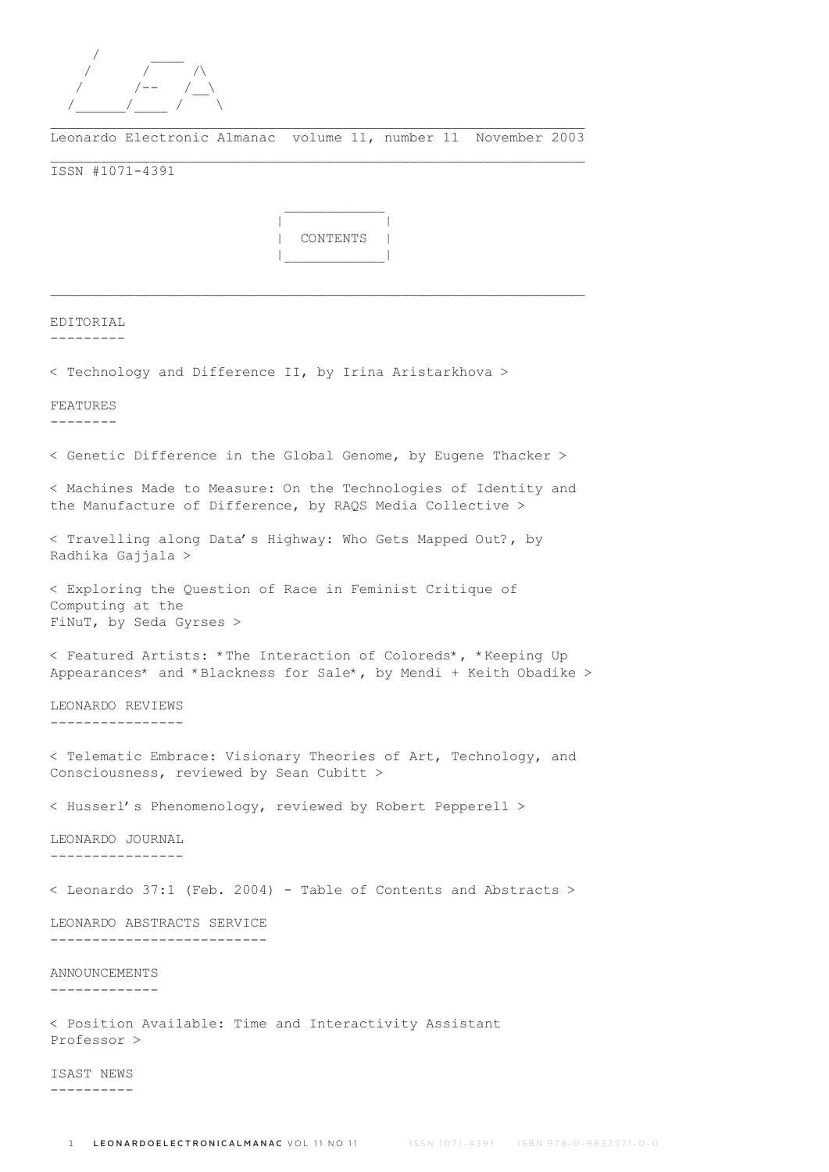

Leonardo Electronic Almanac volume 11, number 11 November 2003 \_\_\_\_\_\_\_\_\_\_\_\_\_\_\_\_\_\_\_\_\_\_\_\_\_\_\_\_\_\_\_\_\_\_\_\_\_\_\_\_\_\_\_\_\_\_\_\_\_\_\_\_\_\_\_\_\_\_\_\_\_\_\_\_

ISSN #1071-4391

----------



 $\mathcal{L}_\text{max}$ 

EDITORIAL --------- < Technology and Difference II, by Irina Aristarkhova > FEATURES -------- < Genetic Difference in the Global Genome, by Eugene Thacker > < Machines Made to Measure: On the Technologies of Identity and the Manufacture of Difference, by RAQS Media Collective > < Travelling along Data's Highway: Who Gets Mapped Out?, by Radhika Gajjala > < Exploring the Question of Race in Feminist Critique of Computing at the FiNuT, by Seda Gyrses > < Featured Artists: \*The Interaction of Coloreds\*, \*Keeping Up Appearances\* and \*Blackness for Sale\*, by Mendi + Keith Obadike > LEONARDO REVIEWS ---------------- < Telematic Embrace: Visionary Theories of Art, Technology, and Consciousness, reviewed by Sean Cubitt > < Husserl's Phenomenology, reviewed by Robert Pepperell > LEONARDO JOURNAL ---------------- < Leonardo 37:1 (Feb. 2004) - Table of Contents and Abstracts > LEONARDO ABSTRACTS SERVICE -------------------------- ANNOUNCEMENTS ------------- < Position Available: Time and Interactivity Assistant Professor > ISAST NEWS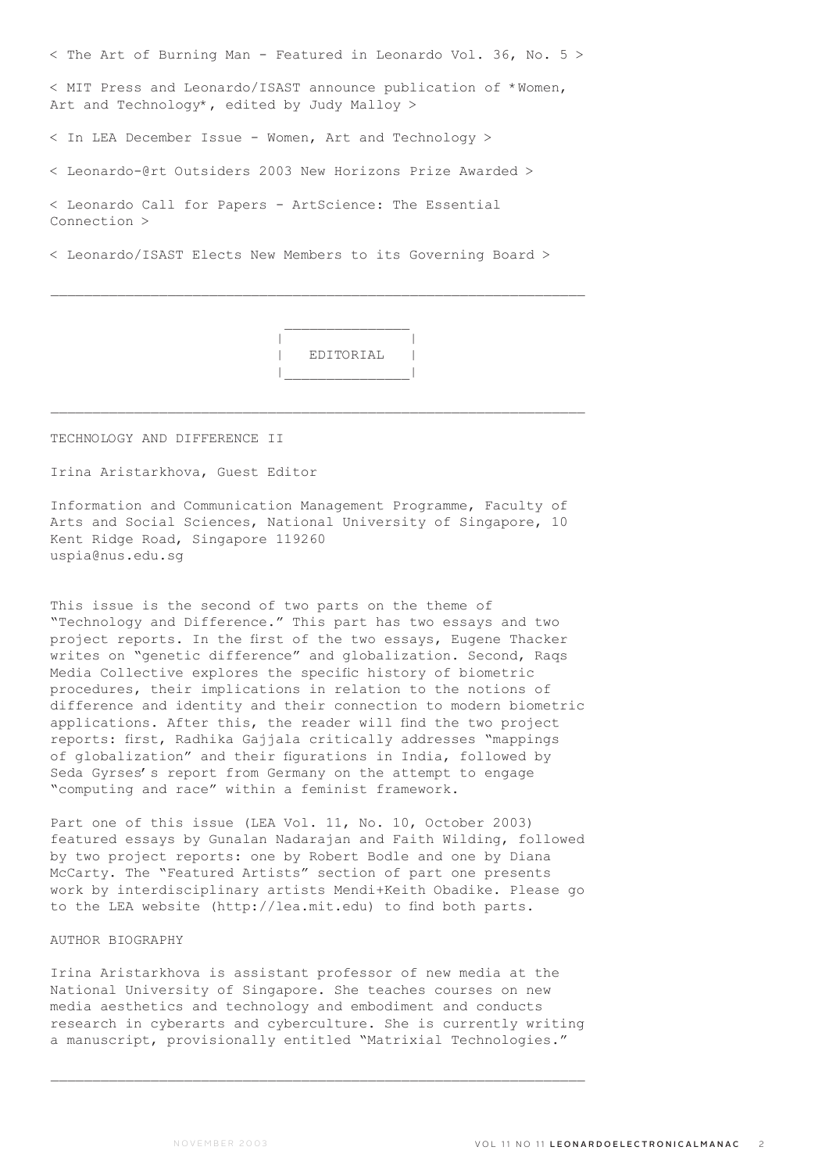< The Art of Burning Man - Featured in Leonardo Vol. 36, No. 5 >

< MIT Press and Leonardo/ISAST announce publication of \*Women, Art and Technology\*, edited by Judy Malloy >

< In LEA December Issue - Women, Art and Technology >

< Leonardo-@rt Outsiders 2003 New Horizons Prize Awarded >

< Leonardo Call for Papers - ArtScience: The Essential Connection >

< Leonardo/ISAST Elects New Members to its Governing Board >

 $\mathcal{L}_\text{max}$ 

 $\mathcal{L}_\text{max}$ 



TECHNOLOGY AND DIFFERENCE II

Irina Aristarkhova, Guest Editor

Information and Communication Management Programme, Faculty of Arts and Social Sciences, National University of Singapore, 10 Kent Ridge Road, Singapore 119260 uspia@nus.edu.sg

This issue is the second of two parts on the theme of "Technology and Difference." This part has two essays and two project reports. In the first of the two essays, Eugene Thacker writes on "genetic difference" and globalization. Second, Raqs Media Collective explores the specific history of biometric procedures, their implications in relation to the notions of difference and identity and their connection to modern biometric applications. After this, the reader will find the two project reports: first, Radhika Gajjala critically addresses "mappings of globalization" and their figurations in India, followed by Seda Gyrses's report from Germany on the attempt to engage "computing and race" within a feminist framework.

Part one of this issue (LEA Vol. 11, No. 10, October 2003) featured essays by Gunalan Nadarajan and Faith Wilding, followed by two project reports: one by Robert Bodle and one by Diana McCarty. The "Featured Artists" section of part one presents work by interdisciplinary artists Mendi+Keith Obadike. Please go to the LEA website (http://lea.mit.edu) to find both parts.

# AUTHOR BIOGRAPHY

Irina Aristarkhova is assistant professor of new media at the National University of Singapore. She teaches courses on new media aesthetics and technology and embodiment and conducts research in cyberarts and cyberculture. She is currently writing a manuscript, provisionally entitled "Matrixial Technologies."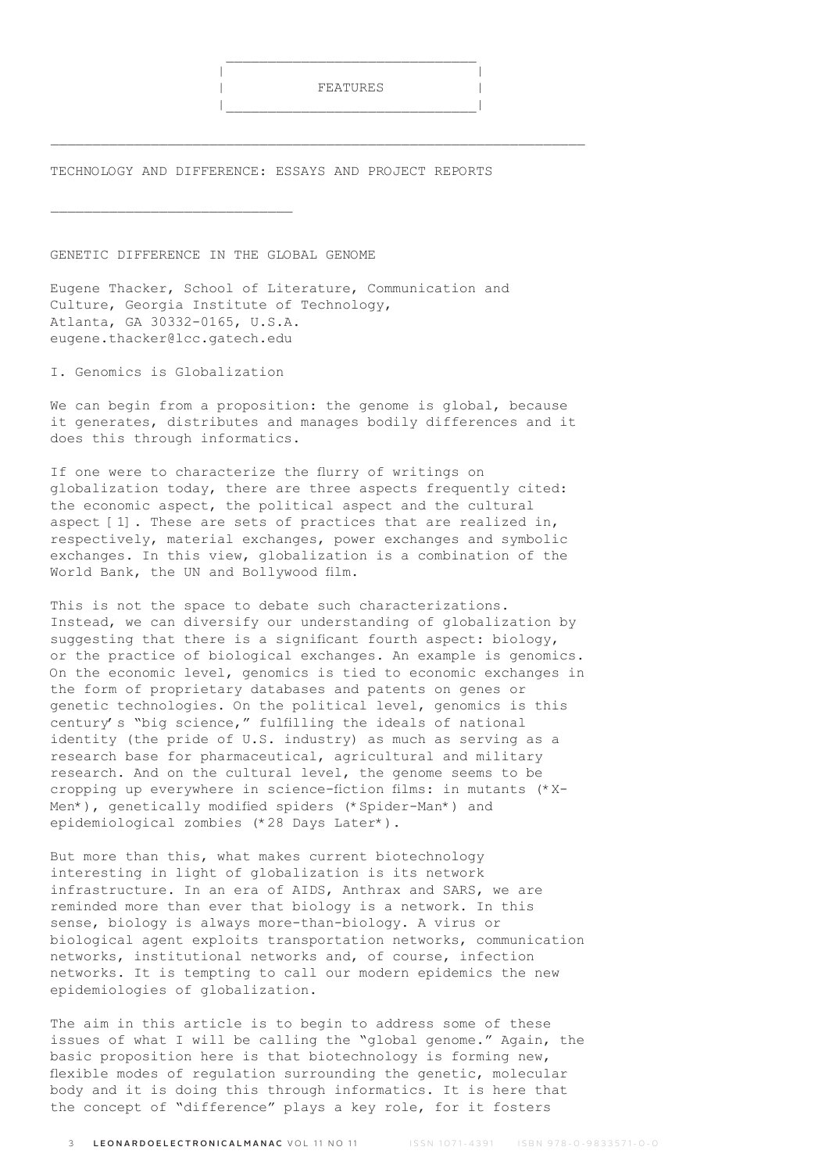

\_\_\_\_\_\_\_\_\_\_\_\_\_\_\_\_\_\_\_\_\_\_\_\_\_\_\_\_\_\_\_\_\_\_\_\_\_\_\_\_\_\_\_\_\_\_\_\_\_\_\_\_\_\_\_\_\_\_\_\_\_\_\_\_

TECHNOLOGY AND DIFFERENCE: ESSAYS AND PROJECT REPORTS

 $\frac{1}{2}$  , and the set of the set of the set of the set of the set of the set of the set of the set of the set of the set of the set of the set of the set of the set of the set of the set of the set of the set of the set

|\_\_\_\_\_\_\_\_\_\_\_\_\_\_\_\_\_\_\_\_\_\_\_\_\_\_\_\_\_\_|

GENETIC DIFFERENCE IN THE GLOBAL GENOME

Eugene Thacker, School of Literature, Communication and Culture, Georgia Institute of Technology, Atlanta, GA 30332-0165, U.S.A. eugene.thacker@lcc.gatech.edu

I. Genomics is Globalization

 $\mathcal{L}_\text{max}$ 

We can begin from a proposition: the genome is global, because it generates, distributes and manages bodily differences and it does this through informatics.

If one were to characterize the flurry of writings on globalization today, there are three aspects frequently cited: the economic aspect, the political aspect and the cultural aspect [1]. These are sets of practices that are realized in, respectively, material exchanges, power exchanges and symbolic exchanges. In this view, globalization is a combination of the World Bank, the UN and Bollywood film.

This is not the space to debate such characterizations. Instead, we can diversify our understanding of globalization by suggesting that there is a significant fourth aspect: biology, or the practice of biological exchanges. An example is genomics. On the economic level, genomics is tied to economic exchanges in the form of proprietary databases and patents on genes or genetic technologies. On the political level, genomics is this century's "big science," fulfilling the ideals of national identity (the pride of U.S. industry) as much as serving as a research base for pharmaceutical, agricultural and military research. And on the cultural level, the genome seems to be cropping up everywhere in science-fiction films: in mutants (\*X-Men\*), genetically modified spiders (\*Spider-Man\*) and epidemiological zombies (\*28 Days Later\*).

But more than this, what makes current biotechnology interesting in light of globalization is its network infrastructure. In an era of AIDS, Anthrax and SARS, we are reminded more than ever that biology is a network. In this sense, biology is always more-than-biology. A virus or biological agent exploits transportation networks, communication networks, institutional networks and, of course, infection networks. It is tempting to call our modern epidemics the new epidemiologies of globalization.

The aim in this article is to begin to address some of these issues of what I will be calling the "global genome." Again, the basic proposition here is that biotechnology is forming new, flexible modes of regulation surrounding the genetic, molecular body and it is doing this through informatics. It is here that the concept of "difference" plays a key role, for it fosters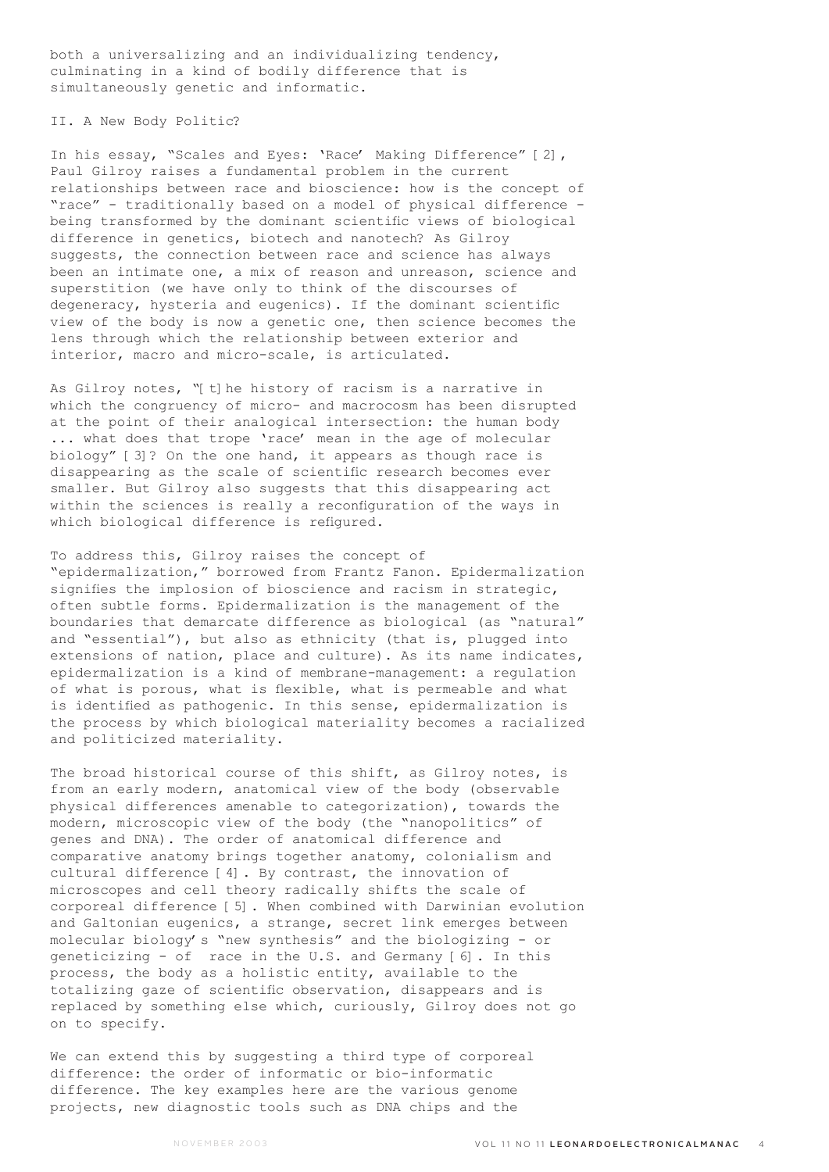both a universalizing and an individualizing tendency, culminating in a kind of bodily difference that is simultaneously genetic and informatic.

## II. A New Body Politic?

In his essay, "Scales and Eyes: 'Race' Making Difference" [2], Paul Gilroy raises a fundamental problem in the current relationships between race and bioscience: how is the concept of "race" - traditionally based on a model of physical difference being transformed by the dominant scientific views of biological difference in genetics, biotech and nanotech? As Gilroy suggests, the connection between race and science has always been an intimate one, a mix of reason and unreason, science and superstition (we have only to think of the discourses of degeneracy, hysteria and eugenics). If the dominant scientific view of the body is now a genetic one, then science becomes the lens through which the relationship between exterior and interior, macro and micro-scale, is articulated.

As Gilroy notes, "[t] he history of racism is a narrative in which the congruency of micro- and macrocosm has been disrupted at the point of their analogical intersection: the human body ... what does that trope 'race' mean in the age of molecular biology" [3]? On the one hand, it appears as though race is disappearing as the scale of scientific research becomes ever smaller. But Gilroy also suggests that this disappearing act within the sciences is really a reconfiguration of the ways in which biological difference is refigured.

To address this, Gilroy raises the concept of "epidermalization," borrowed from Frantz Fanon. Epidermalization signifies the implosion of bioscience and racism in strategic, often subtle forms. Epidermalization is the management of the boundaries that demarcate difference as biological (as "natural" and "essential"), but also as ethnicity (that is, plugged into extensions of nation, place and culture). As its name indicates, epidermalization is a kind of membrane-management: a regulation of what is porous, what is flexible, what is permeable and what is identified as pathogenic. In this sense, epidermalization is the process by which biological materiality becomes a racialized and politicized materiality.

The broad historical course of this shift, as Gilroy notes, is from an early modern, anatomical view of the body (observable physical differences amenable to categorization), towards the modern, microscopic view of the body (the "nanopolitics" of genes and DNA). The order of anatomical difference and comparative anatomy brings together anatomy, colonialism and cultural difference [4]. By contrast, the innovation of microscopes and cell theory radically shifts the scale of corporeal difference [5]. When combined with Darwinian evolution and Galtonian eugenics, a strange, secret link emerges between molecular biology's "new synthesis" and the biologizing - or geneticizing - of race in the U.S. and Germany [6]. In this process, the body as a holistic entity, available to the totalizing gaze of scientific observation, disappears and is replaced by something else which, curiously, Gilroy does not go on to specify.

We can extend this by suggesting a third type of corporeal difference: the order of informatic or bio-informatic difference. The key examples here are the various genome projects, new diagnostic tools such as DNA chips and the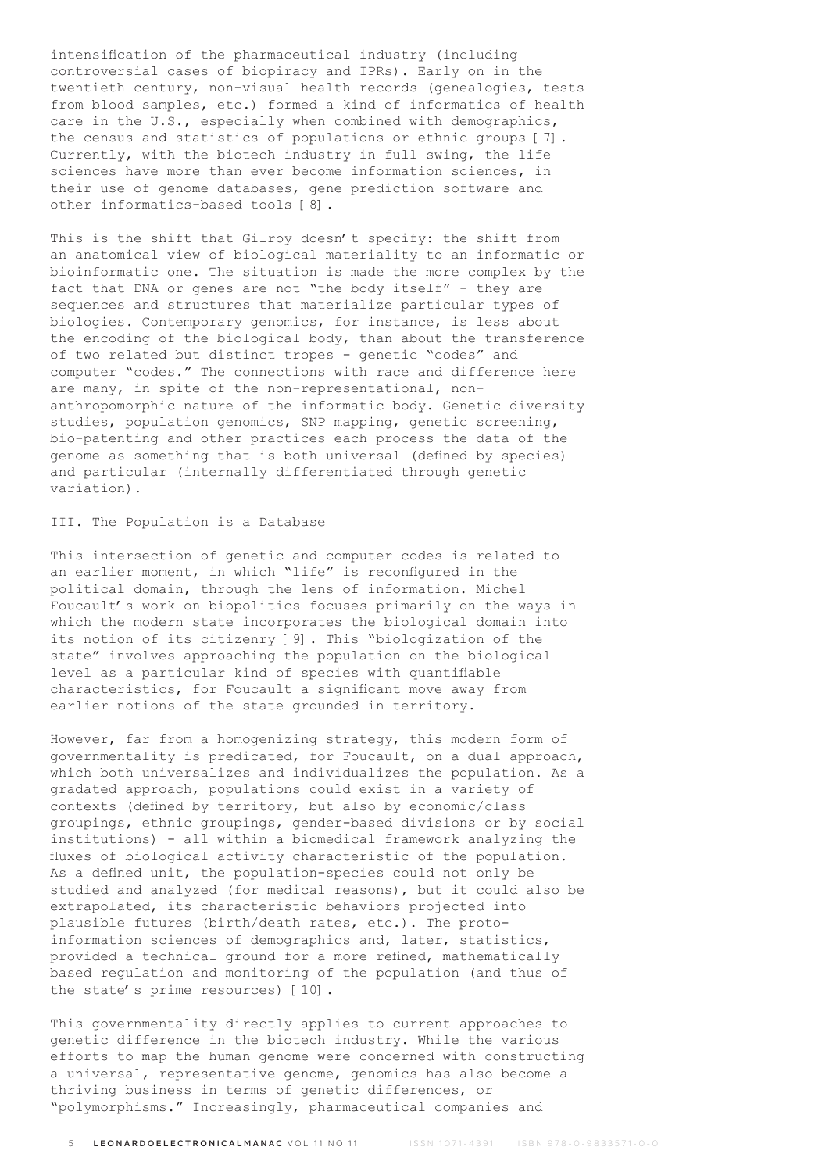intensification of the pharmaceutical industry (including controversial cases of biopiracy and IPRs). Early on in the twentieth century, non-visual health records (genealogies, tests from blood samples, etc.) formed a kind of informatics of health care in the U.S., especially when combined with demographics, the census and statistics of populations or ethnic groups [7]. Currently, with the biotech industry in full swing, the life sciences have more than ever become information sciences, in their use of genome databases, gene prediction software and other informatics-based tools [8].

This is the shift that Gilroy doesn't specify: the shift from an anatomical view of biological materiality to an informatic or bioinformatic one. The situation is made the more complex by the fact that DNA or genes are not "the body itself" - they are sequences and structures that materialize particular types of biologies. Contemporary genomics, for instance, is less about the encoding of the biological body, than about the transference of two related but distinct tropes - genetic "codes" and computer "codes." The connections with race and difference here are many, in spite of the non-representational, nonanthropomorphic nature of the informatic body. Genetic diversity studies, population genomics, SNP mapping, genetic screening, bio-patenting and other practices each process the data of the genome as something that is both universal (defined by species) and particular (internally differentiated through genetic variation).

## III. The Population is a Database

This intersection of genetic and computer codes is related to an earlier moment, in which "life" is reconfigured in the political domain, through the lens of information. Michel Foucault's work on biopolitics focuses primarily on the ways in which the modern state incorporates the biological domain into its notion of its citizenry [9]. This "biologization of the state" involves approaching the population on the biological level as a particular kind of species with quantifiable characteristics, for Foucault a significant move away from earlier notions of the state grounded in territory.

However, far from a homogenizing strategy, this modern form of governmentality is predicated, for Foucault, on a dual approach, which both universalizes and individualizes the population. As a gradated approach, populations could exist in a variety of contexts (defined by territory, but also by economic/class groupings, ethnic groupings, gender-based divisions or by social institutions) - all within a biomedical framework analyzing the fluxes of biological activity characteristic of the population. As a defined unit, the population-species could not only be studied and analyzed (for medical reasons), but it could also be extrapolated, its characteristic behaviors projected into plausible futures (birth/death rates, etc.). The protoinformation sciences of demographics and, later, statistics, provided a technical ground for a more refined, mathematically based regulation and monitoring of the population (and thus of the state's prime resources) [10].

This governmentality directly applies to current approaches to genetic difference in the biotech industry. While the various efforts to map the human genome were concerned with constructing a universal, representative genome, genomics has also become a thriving business in terms of genetic differences, or "polymorphisms." Increasingly, pharmaceutical companies and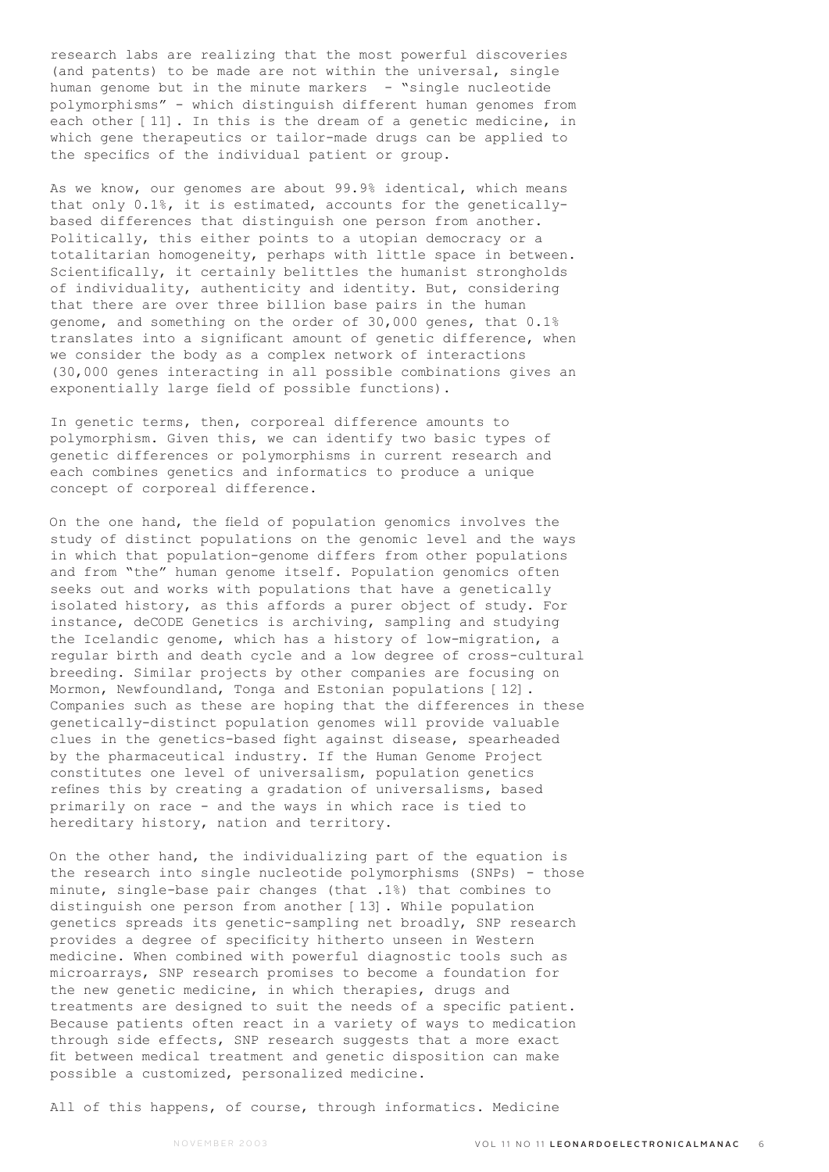research labs are realizing that the most powerful discoveries (and patents) to be made are not within the universal, single human genome but in the minute markers - "single nucleotide polymorphisms" - which distinguish different human genomes from each other [11]. In this is the dream of a genetic medicine, in which gene therapeutics or tailor-made drugs can be applied to the specifics of the individual patient or group.

As we know, our genomes are about 99.9% identical, which means that only 0.1%, it is estimated, accounts for the geneticallybased differences that distinguish one person from another. Politically, this either points to a utopian democracy or a totalitarian homogeneity, perhaps with little space in between. Scientifically, it certainly belittles the humanist strongholds of individuality, authenticity and identity. But, considering that there are over three billion base pairs in the human genome, and something on the order of 30,000 genes, that 0.1% translates into a significant amount of genetic difference, when we consider the body as a complex network of interactions (30,000 genes interacting in all possible combinations gives an exponentially large field of possible functions).

In genetic terms, then, corporeal difference amounts to polymorphism. Given this, we can identify two basic types of genetic differences or polymorphisms in current research and each combines genetics and informatics to produce a unique concept of corporeal difference.

On the one hand, the field of population genomics involves the study of distinct populations on the genomic level and the ways in which that population-genome differs from other populations and from "the" human genome itself. Population genomics often seeks out and works with populations that have a genetically isolated history, as this affords a purer object of study. For instance, deCODE Genetics is archiving, sampling and studying the Icelandic genome, which has a history of low-migration, a regular birth and death cycle and a low degree of cross-cultural breeding. Similar projects by other companies are focusing on Mormon, Newfoundland, Tonga and Estonian populations [12]. Companies such as these are hoping that the differences in these genetically-distinct population genomes will provide valuable clues in the genetics-based fight against disease, spearheaded by the pharmaceutical industry. If the Human Genome Project constitutes one level of universalism, population genetics refines this by creating a gradation of universalisms, based primarily on race - and the ways in which race is tied to hereditary history, nation and territory.

On the other hand, the individualizing part of the equation is the research into single nucleotide polymorphisms (SNPs) - those minute, single-base pair changes (that .1%) that combines to distinguish one person from another [13]. While population genetics spreads its genetic-sampling net broadly, SNP research provides a degree of specificity hitherto unseen in Western medicine. When combined with powerful diagnostic tools such as microarrays, SNP research promises to become a foundation for the new genetic medicine, in which therapies, drugs and treatments are designed to suit the needs of a specific patient. Because patients often react in a variety of ways to medication through side effects, SNP research suggests that a more exact fit between medical treatment and genetic disposition can make possible a customized, personalized medicine.

All of this happens, of course, through informatics. Medicine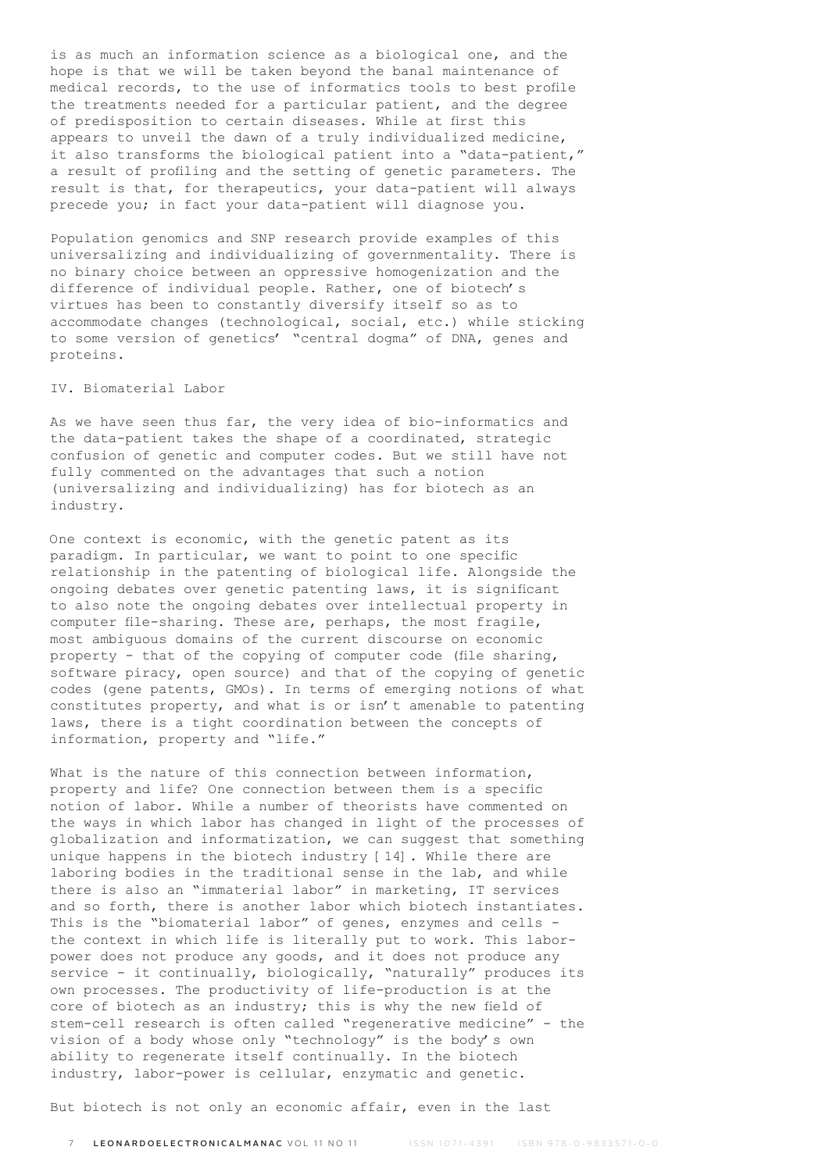is as much an information science as a biological one, and the hope is that we will be taken beyond the banal maintenance of medical records, to the use of informatics tools to best profile the treatments needed for a particular patient, and the degree of predisposition to certain diseases. While at first this appears to unveil the dawn of a truly individualized medicine, it also transforms the biological patient into a "data-patient," a result of profiling and the setting of genetic parameters. The result is that, for therapeutics, your data-patient will always precede you; in fact your data-patient will diagnose you.

Population genomics and SNP research provide examples of this universalizing and individualizing of governmentality. There is no binary choice between an oppressive homogenization and the difference of individual people. Rather, one of biotech's virtues has been to constantly diversify itself so as to accommodate changes (technological, social, etc.) while sticking to some version of genetics' "central dogma" of DNA, genes and proteins.

## IV. Biomaterial Labor

As we have seen thus far, the very idea of bio-informatics and the data-patient takes the shape of a coordinated, strategic confusion of genetic and computer codes. But we still have not fully commented on the advantages that such a notion (universalizing and individualizing) has for biotech as an industry.

One context is economic, with the genetic patent as its paradigm. In particular, we want to point to one specific relationship in the patenting of biological life. Alongside the ongoing debates over genetic patenting laws, it is significant to also note the ongoing debates over intellectual property in computer file-sharing. These are, perhaps, the most fragile, most ambiguous domains of the current discourse on economic property - that of the copying of computer code (file sharing, software piracy, open source) and that of the copying of genetic codes (gene patents, GMOs). In terms of emerging notions of what constitutes property, and what is or isn't amenable to patenting laws, there is a tight coordination between the concepts of information, property and "life."

What is the nature of this connection between information, property and life? One connection between them is a specific notion of labor. While a number of theorists have commented on the ways in which labor has changed in light of the processes of globalization and informatization, we can suggest that something unique happens in the biotech industry [14]. While there are laboring bodies in the traditional sense in the lab, and while there is also an "immaterial labor" in marketing, IT services and so forth, there is another labor which biotech instantiates. This is the "biomaterial labor" of genes, enzymes and cells the context in which life is literally put to work. This laborpower does not produce any goods, and it does not produce any service - it continually, biologically, "naturally" produces its own processes. The productivity of life-production is at the core of biotech as an industry; this is why the new field of stem-cell research is often called "regenerative medicine" - the vision of a body whose only "technology" is the body's own ability to regenerate itself continually. In the biotech industry, labor-power is cellular, enzymatic and genetic.

But biotech is not only an economic affair, even in the last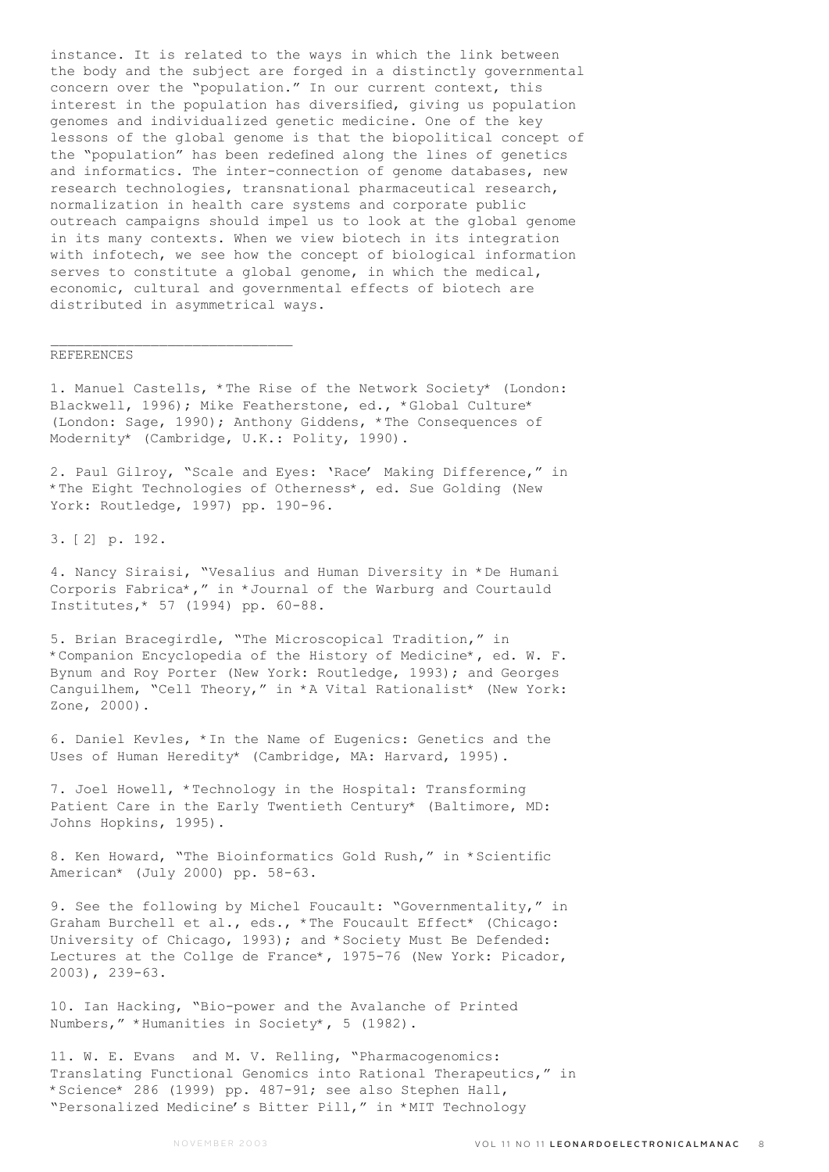instance. It is related to the ways in which the link between the body and the subject are forged in a distinctly governmental concern over the "population." In our current context, this interest in the population has diversified, giving us population genomes and individualized genetic medicine. One of the key lessons of the global genome is that the biopolitical concept of the "population" has been redefined along the lines of genetics and informatics. The inter-connection of genome databases, new research technologies, transnational pharmaceutical research, normalization in health care systems and corporate public outreach campaigns should impel us to look at the global genome in its many contexts. When we view biotech in its integration with infotech, we see how the concept of biological information serves to constitute a global genome, in which the medical, economic, cultural and governmental effects of biotech are distributed in asymmetrical ways.

#### REFERENCES

 $\mathcal{L}_\text{max}$ 

1. Manuel Castells, \*The Rise of the Network Society\* (London: Blackwell, 1996); Mike Featherstone, ed., \*Global Culture\* (London: Sage, 1990); Anthony Giddens, \*The Consequences of Modernity\* (Cambridge, U.K.: Polity, 1990).

2. Paul Gilroy, "Scale and Eyes: 'Race' Making Difference," in \*The Eight Technologies of Otherness\*, ed. Sue Golding (New York: Routledge, 1997) pp. 190-96.

3. [2] p. 192.

4. Nancy Siraisi, "Vesalius and Human Diversity in \*De Humani Corporis Fabrica\*," in \*Journal of the Warburg and Courtauld Institutes,\* 57 (1994) pp. 60-88.

5. Brian Bracegirdle, "The Microscopical Tradition," in \*Companion Encyclopedia of the History of Medicine\*, ed. W. F. Bynum and Roy Porter (New York: Routledge, 1993); and Georges Canguilhem, "Cell Theory," in \*A Vital Rationalist\* (New York: Zone, 2000).

6. Daniel Kevles, \*In the Name of Eugenics: Genetics and the Uses of Human Heredity\* (Cambridge, MA: Harvard, 1995).

7. Joel Howell, \*Technology in the Hospital: Transforming Patient Care in the Early Twentieth Century\* (Baltimore, MD: Johns Hopkins, 1995).

8. Ken Howard, "The Bioinformatics Gold Rush," in \*Scientific American\* (July 2000) pp. 58-63.

9. See the following by Michel Foucault: "Governmentality," in Graham Burchell et al., eds., \*The Foucault Effect\* (Chicago: University of Chicago, 1993); and \*Society Must Be Defended: Lectures at the Collge de France\*, 1975-76 (New York: Picador, 2003), 239-63.

10. Ian Hacking, "Bio-power and the Avalanche of Printed Numbers," \*Humanities in Society\*, 5 (1982).

11. W. E. Evans and M. V. Relling, "Pharmacogenomics: Translating Functional Genomics into Rational Therapeutics," in \*Science\* 286 (1999) pp. 487-91; see also Stephen Hall, "Personalized Medicine's Bitter Pill," in \*MIT Technology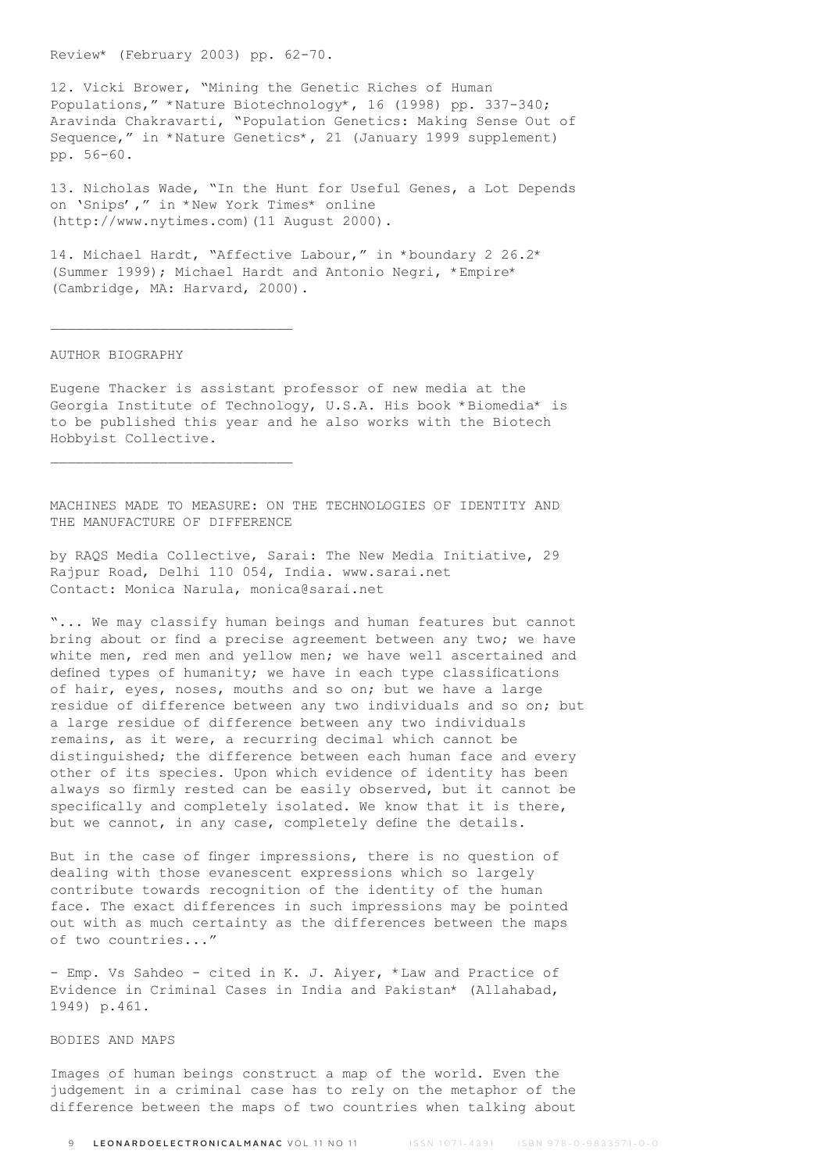Review\* (February 2003) pp. 62-70.

12. Vicki Brower, "Mining the Genetic Riches of Human Populations," \*Nature Biotechnology\*, 16 (1998) pp. 337-340; Aravinda Chakravarti, "Population Genetics: Making Sense Out of Sequence," in \*Nature Genetics\*, 21 (January 1999 supplement) pp. 56-60.

13. Nicholas Wade, "In the Hunt for Useful Genes, a Lot Depends on 'Snips'," in \*New York Times\* online (http://www.nytimes.com)(11 August 2000).

14. Michael Hardt, "Affective Labour," in \*boundary 2 26.2\* (Summer 1999); Michael Hardt and Antonio Negri, \*Empire\* (Cambridge, MA: Harvard, 2000).

#### AUTHOR BIOGRAPHY

 $\mathcal{L}_\text{max}$ 

 $\mathcal{L}_\text{max}$ 

Eugene Thacker is assistant professor of new media at the Georgia Institute of Technology, U.S.A. His book \*Biomedia\* is to be published this year and he also works with the Biotech Hobbyist Collective.

MACHINES MADE TO MEASURE: ON THE TECHNOLOGIES OF IDENTITY AND THE MANUFACTURE OF DIFFERENCE

by RAQS Media Collective, Sarai: The New Media Initiative, 29 Rajpur Road, Delhi 110 054, India. www.sarai.net Contact: Monica Narula, monica@sarai.net

"... We may classify human beings and human features but cannot bring about or find a precise agreement between any two; we have white men, red men and yellow men; we have well ascertained and defined types of humanity; we have in each type classifications of hair, eyes, noses, mouths and so on; but we have a large residue of difference between any two individuals and so on; but a large residue of difference between any two individuals remains, as it were, a recurring decimal which cannot be distinguished; the difference between each human face and every other of its species. Upon which evidence of identity has been always so firmly rested can be easily observed, but it cannot be specifically and completely isolated. We know that it is there, but we cannot, in any case, completely define the details.

But in the case of finger impressions, there is no question of dealing with those evanescent expressions which so largely contribute towards recognition of the identity of the human face. The exact differences in such impressions may be pointed out with as much certainty as the differences between the maps of two countries..."

- Emp. Vs Sahdeo - cited in K. J. Aiyer, \*Law and Practice of Evidence in Criminal Cases in India and Pakistan\* (Allahabad, 1949) p.461.

## BODIES AND MAPS

Images of human beings construct a map of the world. Even the judgement in a criminal case has to rely on the metaphor of the difference between the maps of two countries when talking about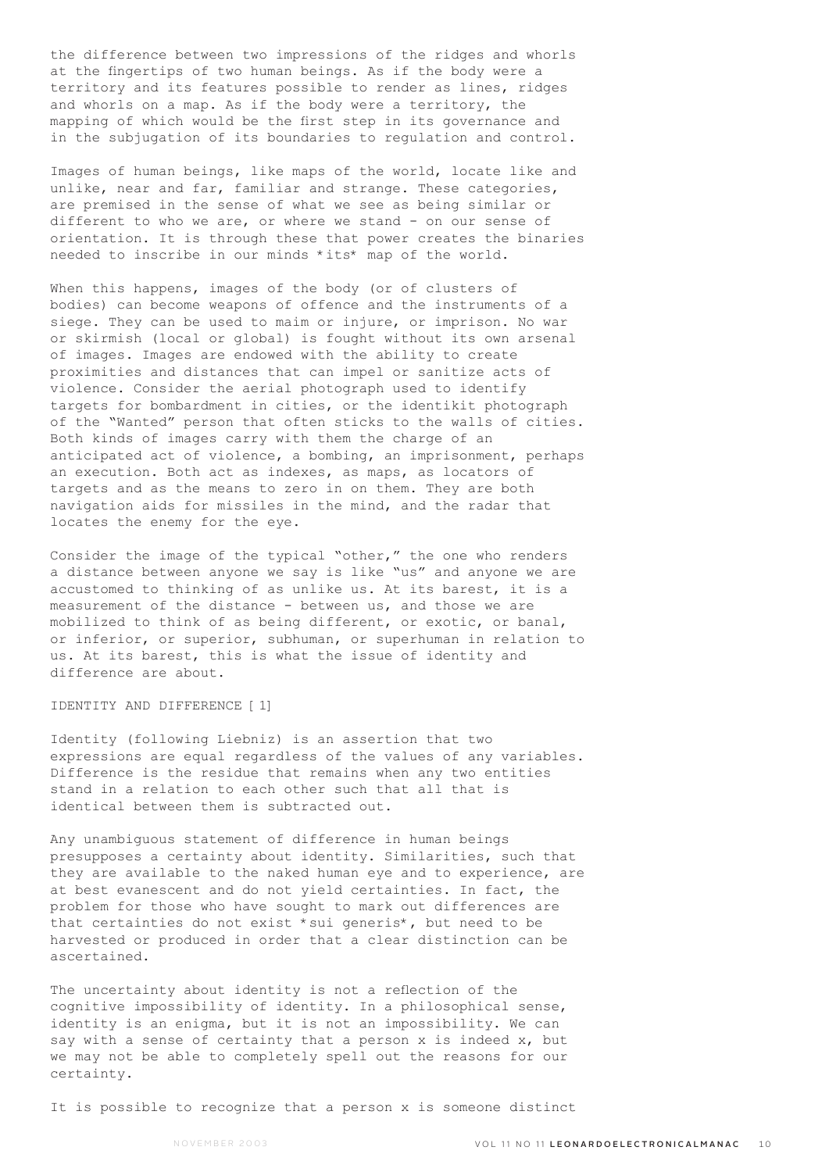the difference between two impressions of the ridges and whorls at the fingertips of two human beings. As if the body were a territory and its features possible to render as lines, ridges and whorls on a map. As if the body were a territory, the mapping of which would be the first step in its governance and in the subjugation of its boundaries to regulation and control.

Images of human beings, like maps of the world, locate like and unlike, near and far, familiar and strange. These categories, are premised in the sense of what we see as being similar or different to who we are, or where we stand - on our sense of orientation. It is through these that power creates the binaries needed to inscribe in our minds \*its\* map of the world.

When this happens, images of the body (or of clusters of bodies) can become weapons of offence and the instruments of a siege. They can be used to maim or injure, or imprison. No war or skirmish (local or global) is fought without its own arsenal of images. Images are endowed with the ability to create proximities and distances that can impel or sanitize acts of violence. Consider the aerial photograph used to identify targets for bombardment in cities, or the identikit photograph of the "Wanted" person that often sticks to the walls of cities. Both kinds of images carry with them the charge of an anticipated act of violence, a bombing, an imprisonment, perhaps an execution. Both act as indexes, as maps, as locators of targets and as the means to zero in on them. They are both navigation aids for missiles in the mind, and the radar that locates the enemy for the eye.

Consider the image of the typical "other," the one who renders a distance between anyone we say is like "us" and anyone we are accustomed to thinking of as unlike us. At its barest, it is a measurement of the distance - between us, and those we are mobilized to think of as being different, or exotic, or banal, or inferior, or superior, subhuman, or superhuman in relation to us. At its barest, this is what the issue of identity and difference are about.

IDENTITY AND DIFFERENCE [1]

Identity (following Liebniz) is an assertion that two expressions are equal regardless of the values of any variables. Difference is the residue that remains when any two entities stand in a relation to each other such that all that is identical between them is subtracted out.

Any unambiguous statement of difference in human beings presupposes a certainty about identity. Similarities, such that they are available to the naked human eye and to experience, are at best evanescent and do not yield certainties. In fact, the problem for those who have sought to mark out differences are that certainties do not exist \*sui generis\*, but need to be harvested or produced in order that a clear distinction can be ascertained.

The uncertainty about identity is not a reflection of the cognitive impossibility of identity. In a philosophical sense, identity is an enigma, but it is not an impossibility. We can say with a sense of certainty that a person x is indeed x, but we may not be able to completely spell out the reasons for our certainty.

It is possible to recognize that a person x is someone distinct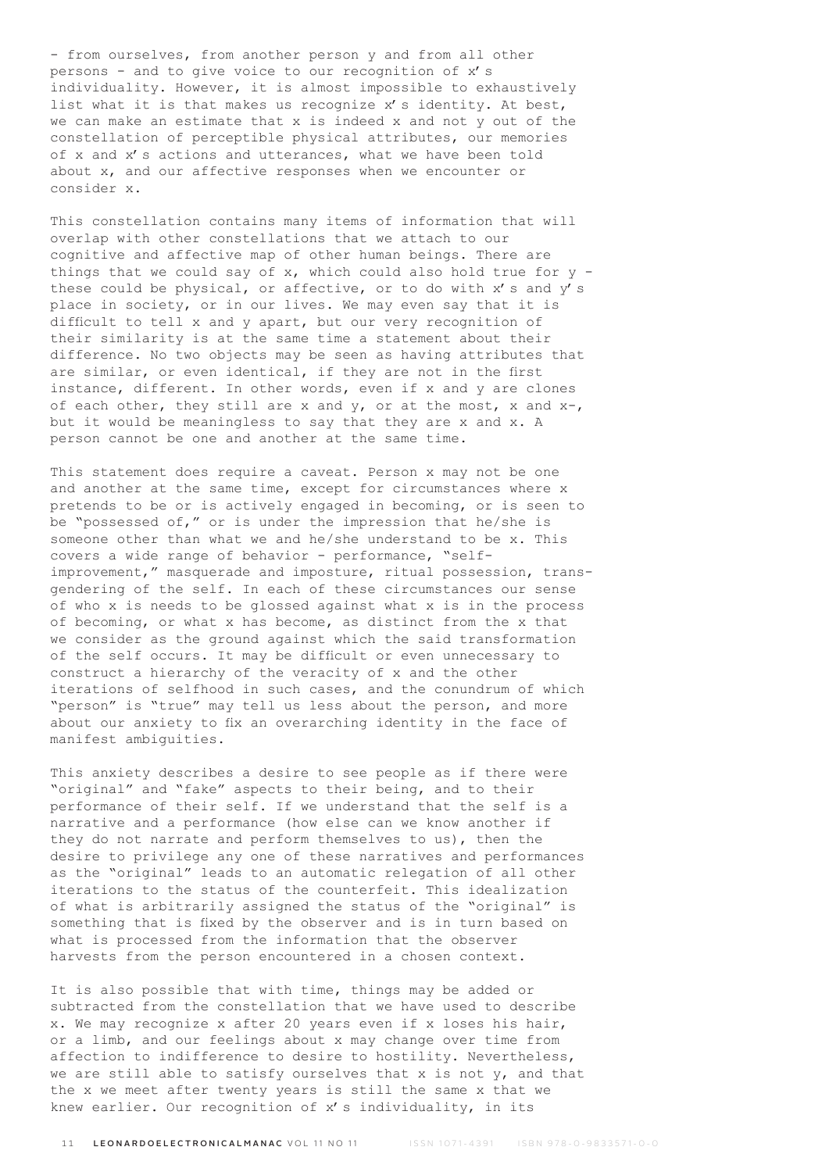- from ourselves, from another person y and from all other persons - and to give voice to our recognition of x's individuality. However, it is almost impossible to exhaustively list what it is that makes us recognize x's identity. At best, we can make an estimate that x is indeed x and not y out of the constellation of perceptible physical attributes, our memories of x and x's actions and utterances, what we have been told about x, and our affective responses when we encounter or consider x.

This constellation contains many items of information that will overlap with other constellations that we attach to our cognitive and affective map of other human beings. There are things that we could say of x, which could also hold true for  $y$ these could be physical, or affective, or to do with x's and y's place in society, or in our lives. We may even say that it is difficult to tell x and y apart, but our very recognition of their similarity is at the same time a statement about their difference. No two objects may be seen as having attributes that are similar, or even identical, if they are not in the first instance, different. In other words, even if x and y are clones of each other, they still are x and y, or at the most, x and  $x-$ , but it would be meaningless to say that they are x and x. A person cannot be one and another at the same time.

This statement does require a caveat. Person x may not be one and another at the same time, except for circumstances where x pretends to be or is actively engaged in becoming, or is seen to be "possessed of," or is under the impression that he/she is someone other than what we and he/she understand to be x. This covers a wide range of behavior - performance, "selfimprovement," masquerade and imposture, ritual possession, transgendering of the self. In each of these circumstances our sense of who x is needs to be glossed against what x is in the process of becoming, or what x has become, as distinct from the x that we consider as the ground against which the said transformation of the self occurs. It may be difficult or even unnecessary to construct a hierarchy of the veracity of x and the other iterations of selfhood in such cases, and the conundrum of which "person" is "true" may tell us less about the person, and more about our anxiety to fix an overarching identity in the face of manifest ambiguities.

This anxiety describes a desire to see people as if there were "original" and "fake" aspects to their being, and to their performance of their self. If we understand that the self is a narrative and a performance (how else can we know another if they do not narrate and perform themselves to us), then the desire to privilege any one of these narratives and performances as the "original" leads to an automatic relegation of all other iterations to the status of the counterfeit. This idealization of what is arbitrarily assigned the status of the "original" is something that is fixed by the observer and is in turn based on what is processed from the information that the observer harvests from the person encountered in a chosen context.

It is also possible that with time, things may be added or subtracted from the constellation that we have used to describe x. We may recognize x after 20 years even if x loses his hair, or a limb, and our feelings about x may change over time from affection to indifference to desire to hostility. Nevertheless, we are still able to satisfy ourselves that x is not y, and that the x we meet after twenty years is still the same x that we knew earlier. Our recognition of x's individuality, in its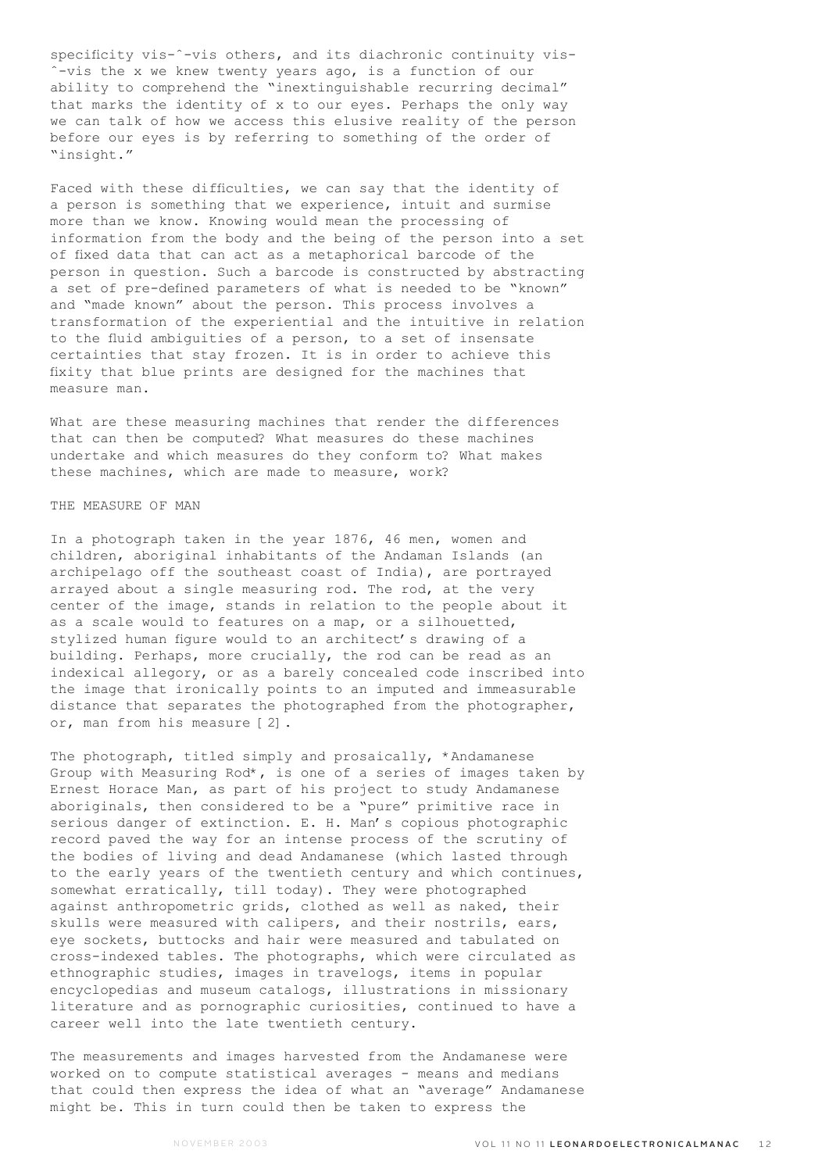specificity vis-^-vis others, and its diachronic continuity vis-ˆ-vis the x we knew twenty years ago, is a function of our ability to comprehend the "inextinguishable recurring decimal" that marks the identity of x to our eyes. Perhaps the only way we can talk of how we access this elusive reality of the person before our eyes is by referring to something of the order of "insight."

Faced with these difficulties, we can say that the identity of a person is something that we experience, intuit and surmise more than we know. Knowing would mean the processing of information from the body and the being of the person into a set of fixed data that can act as a metaphorical barcode of the person in question. Such a barcode is constructed by abstracting a set of pre-defined parameters of what is needed to be "known" and "made known" about the person. This process involves a transformation of the experiential and the intuitive in relation to the fluid ambiguities of a person, to a set of insensate certainties that stay frozen. It is in order to achieve this fixity that blue prints are designed for the machines that measure man.

What are these measuring machines that render the differences that can then be computed? What measures do these machines undertake and which measures do they conform to? What makes these machines, which are made to measure, work?

## THE MEASURE OF MAN

In a photograph taken in the year 1876, 46 men, women and children, aboriginal inhabitants of the Andaman Islands (an archipelago off the southeast coast of India), are portrayed arrayed about a single measuring rod. The rod, at the very center of the image, stands in relation to the people about it as a scale would to features on a map, or a silhouetted, stylized human figure would to an architect's drawing of a building. Perhaps, more crucially, the rod can be read as an indexical allegory, or as a barely concealed code inscribed into the image that ironically points to an imputed and immeasurable distance that separates the photographed from the photographer, or, man from his measure [2].

The photograph, titled simply and prosaically, \*Andamanese Group with Measuring Rod\*, is one of a series of images taken by Ernest Horace Man, as part of his project to study Andamanese aboriginals, then considered to be a "pure" primitive race in serious danger of extinction. E. H. Man's copious photographic record paved the way for an intense process of the scrutiny of the bodies of living and dead Andamanese (which lasted through to the early years of the twentieth century and which continues, somewhat erratically, till today). They were photographed against anthropometric grids, clothed as well as naked, their skulls were measured with calipers, and their nostrils, ears, eye sockets, buttocks and hair were measured and tabulated on cross-indexed tables. The photographs, which were circulated as ethnographic studies, images in travelogs, items in popular encyclopedias and museum catalogs, illustrations in missionary literature and as pornographic curiosities, continued to have a career well into the late twentieth century.

The measurements and images harvested from the Andamanese were worked on to compute statistical averages - means and medians that could then express the idea of what an "average" Andamanese might be. This in turn could then be taken to express the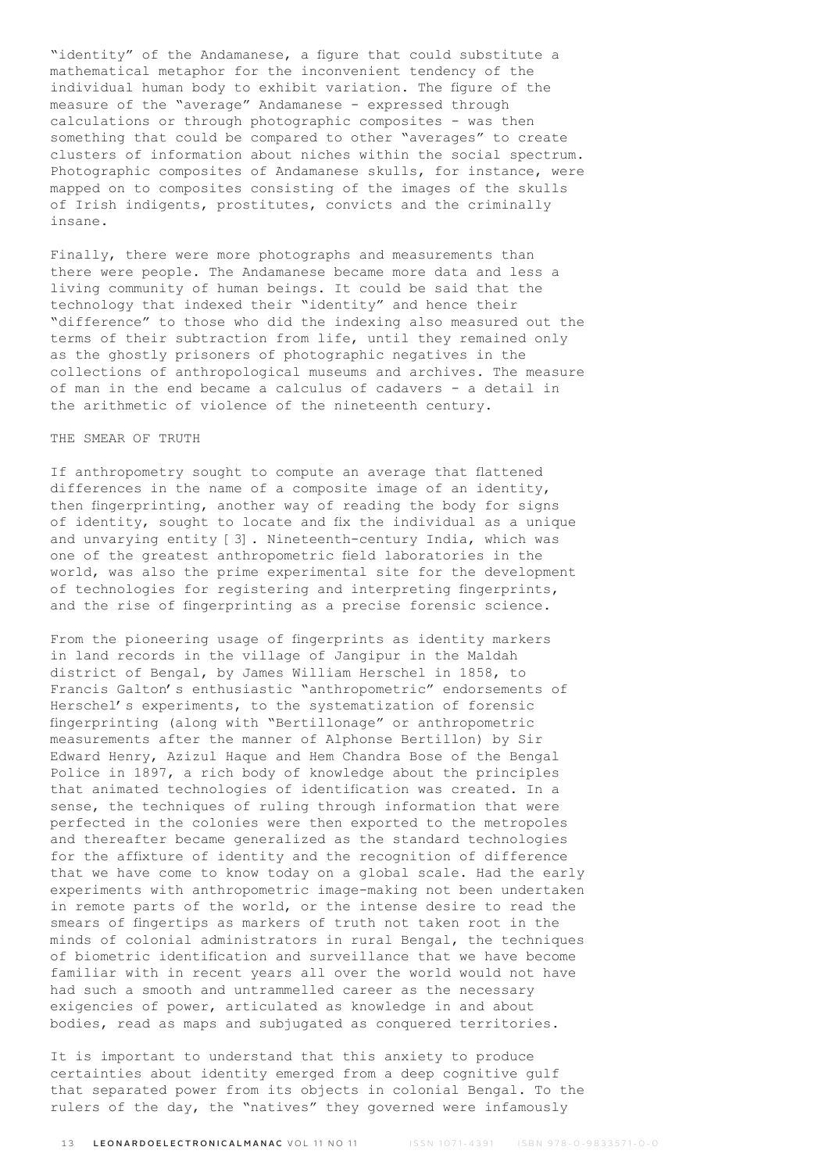"identity" of the Andamanese, a figure that could substitute a mathematical metaphor for the inconvenient tendency of the individual human body to exhibit variation. The figure of the measure of the "average" Andamanese - expressed through calculations or through photographic composites - was then something that could be compared to other "averages" to create clusters of information about niches within the social spectrum. Photographic composites of Andamanese skulls, for instance, were mapped on to composites consisting of the images of the skulls of Irish indigents, prostitutes, convicts and the criminally insane.

Finally, there were more photographs and measurements than there were people. The Andamanese became more data and less a living community of human beings. It could be said that the technology that indexed their "identity" and hence their "difference" to those who did the indexing also measured out the terms of their subtraction from life, until they remained only as the ghostly prisoners of photographic negatives in the collections of anthropological museums and archives. The measure of man in the end became a calculus of cadavers - a detail in the arithmetic of violence of the nineteenth century.

## THE SMEAR OF TRUTH

If anthropometry sought to compute an average that flattened differences in the name of a composite image of an identity, then fingerprinting, another way of reading the body for signs of identity, sought to locate and fix the individual as a unique and unvarying entity [3]. Nineteenth-century India, which was one of the greatest anthropometric field laboratories in the world, was also the prime experimental site for the development of technologies for registering and interpreting fingerprints, and the rise of fingerprinting as a precise forensic science.

From the pioneering usage of fingerprints as identity markers in land records in the village of Jangipur in the Maldah district of Bengal, by James William Herschel in 1858, to Francis Galton's enthusiastic "anthropometric" endorsements of Herschel's experiments, to the systematization of forensic fingerprinting (along with "Bertillonage" or anthropometric measurements after the manner of Alphonse Bertillon) by Sir Edward Henry, Azizul Haque and Hem Chandra Bose of the Bengal Police in 1897, a rich body of knowledge about the principles that animated technologies of identification was created. In a sense, the techniques of ruling through information that were perfected in the colonies were then exported to the metropoles and thereafter became generalized as the standard technologies for the affixture of identity and the recognition of difference that we have come to know today on a global scale. Had the early experiments with anthropometric image-making not been undertaken in remote parts of the world, or the intense desire to read the smears of fingertips as markers of truth not taken root in the minds of colonial administrators in rural Bengal, the techniques of biometric identification and surveillance that we have become familiar with in recent years all over the world would not have had such a smooth and untrammelled career as the necessary exigencies of power, articulated as knowledge in and about bodies, read as maps and subjugated as conquered territories.

It is important to understand that this anxiety to produce certainties about identity emerged from a deep cognitive gulf that separated power from its objects in colonial Bengal. To the rulers of the day, the "natives" they governed were infamously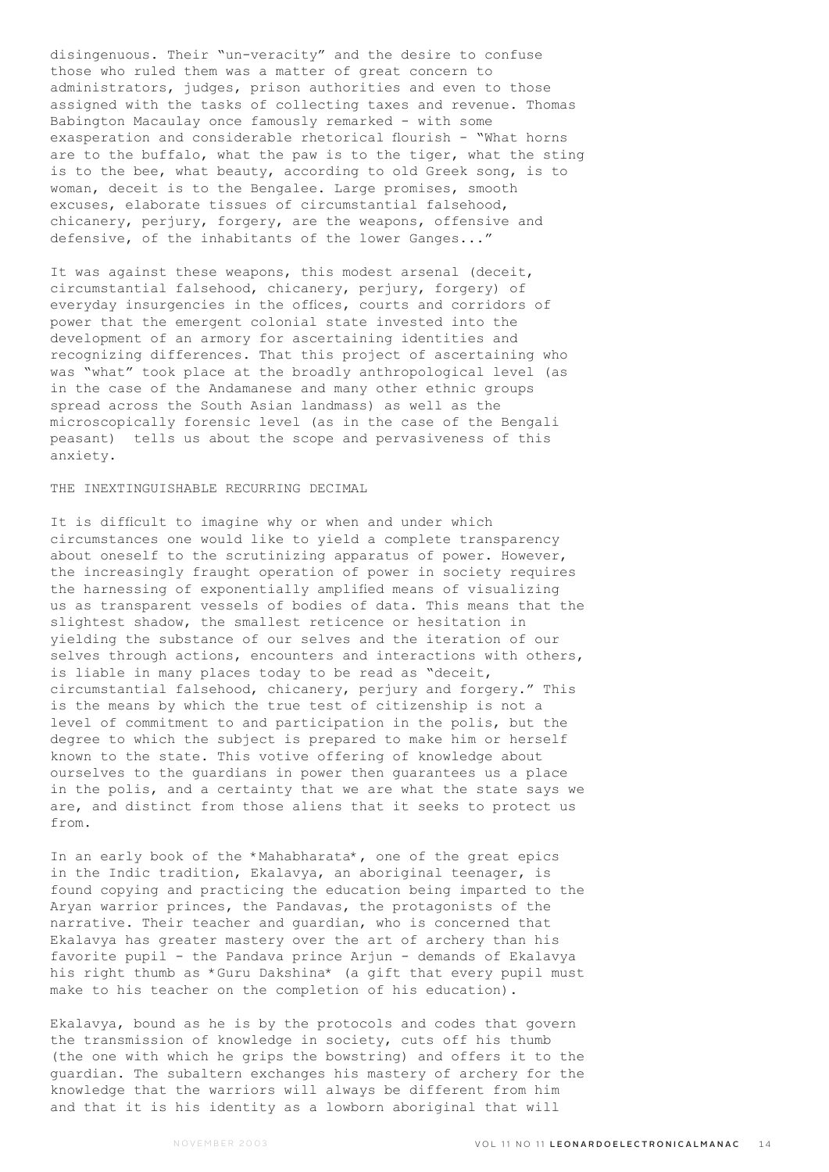disingenuous. Their "un-veracity" and the desire to confuse those who ruled them was a matter of great concern to administrators, judges, prison authorities and even to those assigned with the tasks of collecting taxes and revenue. Thomas Babington Macaulay once famously remarked - with some exasperation and considerable rhetorical flourish - "What horns are to the buffalo, what the paw is to the tiger, what the sting is to the bee, what beauty, according to old Greek song, is to woman, deceit is to the Bengalee. Large promises, smooth excuses, elaborate tissues of circumstantial falsehood, chicanery, perjury, forgery, are the weapons, offensive and defensive, of the inhabitants of the lower Ganges..."

It was against these weapons, this modest arsenal (deceit, circumstantial falsehood, chicanery, perjury, forgery) of everyday insurgencies in the offices, courts and corridors of power that the emergent colonial state invested into the development of an armory for ascertaining identities and recognizing differences. That this project of ascertaining who was "what" took place at the broadly anthropological level (as in the case of the Andamanese and many other ethnic groups spread across the South Asian landmass) as well as the microscopically forensic level (as in the case of the Bengali peasant) tells us about the scope and pervasiveness of this anxiety.

## THE INEXTINGUISHABLE RECURRING DECIMAL

It is difficult to imagine why or when and under which circumstances one would like to yield a complete transparency about oneself to the scrutinizing apparatus of power. However, the increasingly fraught operation of power in society requires the harnessing of exponentially amplified means of visualizing us as transparent vessels of bodies of data. This means that the slightest shadow, the smallest reticence or hesitation in yielding the substance of our selves and the iteration of our selves through actions, encounters and interactions with others, is liable in many places today to be read as "deceit, circumstantial falsehood, chicanery, perjury and forgery." This is the means by which the true test of citizenship is not a level of commitment to and participation in the polis, but the degree to which the subject is prepared to make him or herself known to the state. This votive offering of knowledge about ourselves to the guardians in power then guarantees us a place in the polis, and a certainty that we are what the state says we are, and distinct from those aliens that it seeks to protect us from.

In an early book of the \*Mahabharata\*, one of the great epics in the Indic tradition, Ekalavya, an aboriginal teenager, is found copying and practicing the education being imparted to the Aryan warrior princes, the Pandavas, the protagonists of the narrative. Their teacher and guardian, who is concerned that Ekalavya has greater mastery over the art of archery than his favorite pupil - the Pandava prince Arjun - demands of Ekalavya his right thumb as \*Guru Dakshina\* (a gift that every pupil must make to his teacher on the completion of his education).

Ekalavya, bound as he is by the protocols and codes that govern the transmission of knowledge in society, cuts off his thumb (the one with which he grips the bowstring) and offers it to the guardian. The subaltern exchanges his mastery of archery for the knowledge that the warriors will always be different from him and that it is his identity as a lowborn aboriginal that will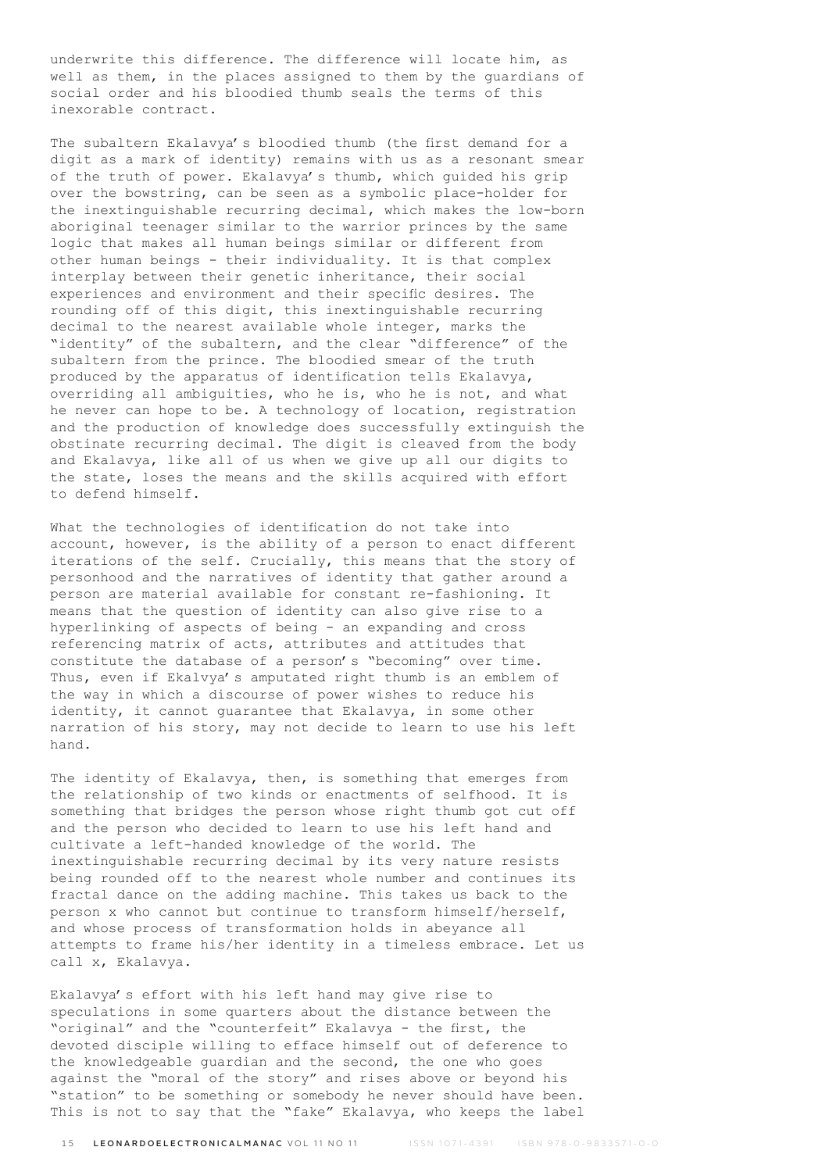underwrite this difference. The difference will locate him, as well as them, in the places assigned to them by the guardians of social order and his bloodied thumb seals the terms of this inexorable contract.

The subaltern Ekalavya's bloodied thumb (the first demand for a digit as a mark of identity) remains with us as a resonant smear of the truth of power. Ekalavya's thumb, which guided his grip over the bowstring, can be seen as a symbolic place-holder for the inextinguishable recurring decimal, which makes the low-born aboriginal teenager similar to the warrior princes by the same logic that makes all human beings similar or different from other human beings - their individuality. It is that complex interplay between their genetic inheritance, their social experiences and environment and their specific desires. The rounding off of this digit, this inextinguishable recurring decimal to the nearest available whole integer, marks the "identity" of the subaltern, and the clear "difference" of the subaltern from the prince. The bloodied smear of the truth produced by the apparatus of identification tells Ekalavya, overriding all ambiguities, who he is, who he is not, and what he never can hope to be. A technology of location, registration and the production of knowledge does successfully extinguish the obstinate recurring decimal. The digit is cleaved from the body and Ekalavya, like all of us when we give up all our digits to the state, loses the means and the skills acquired with effort to defend himself.

What the technologies of identification do not take into account, however, is the ability of a person to enact different iterations of the self. Crucially, this means that the story of personhood and the narratives of identity that gather around a person are material available for constant re-fashioning. It means that the question of identity can also give rise to a hyperlinking of aspects of being - an expanding and cross referencing matrix of acts, attributes and attitudes that constitute the database of a person's "becoming" over time. Thus, even if Ekalvya's amputated right thumb is an emblem of the way in which a discourse of power wishes to reduce his identity, it cannot quarantee that Ekalavya, in some other narration of his story, may not decide to learn to use his left hand.

The identity of Ekalavya, then, is something that emerges from the relationship of two kinds or enactments of selfhood. It is something that bridges the person whose right thumb got cut off and the person who decided to learn to use his left hand and cultivate a left-handed knowledge of the world. The inextinguishable recurring decimal by its very nature resists being rounded off to the nearest whole number and continues its fractal dance on the adding machine. This takes us back to the person x who cannot but continue to transform himself/herself, and whose process of transformation holds in abeyance all attempts to frame his/her identity in a timeless embrace. Let us call x, Ekalavya.

Ekalavya's effort with his left hand may give rise to speculations in some quarters about the distance between the "original" and the "counterfeit" Ekalavya - the first, the devoted disciple willing to efface himself out of deference to the knowledgeable guardian and the second, the one who goes against the "moral of the story" and rises above or beyond his "station" to be something or somebody he never should have been. This is not to say that the "fake" Ekalavya, who keeps the label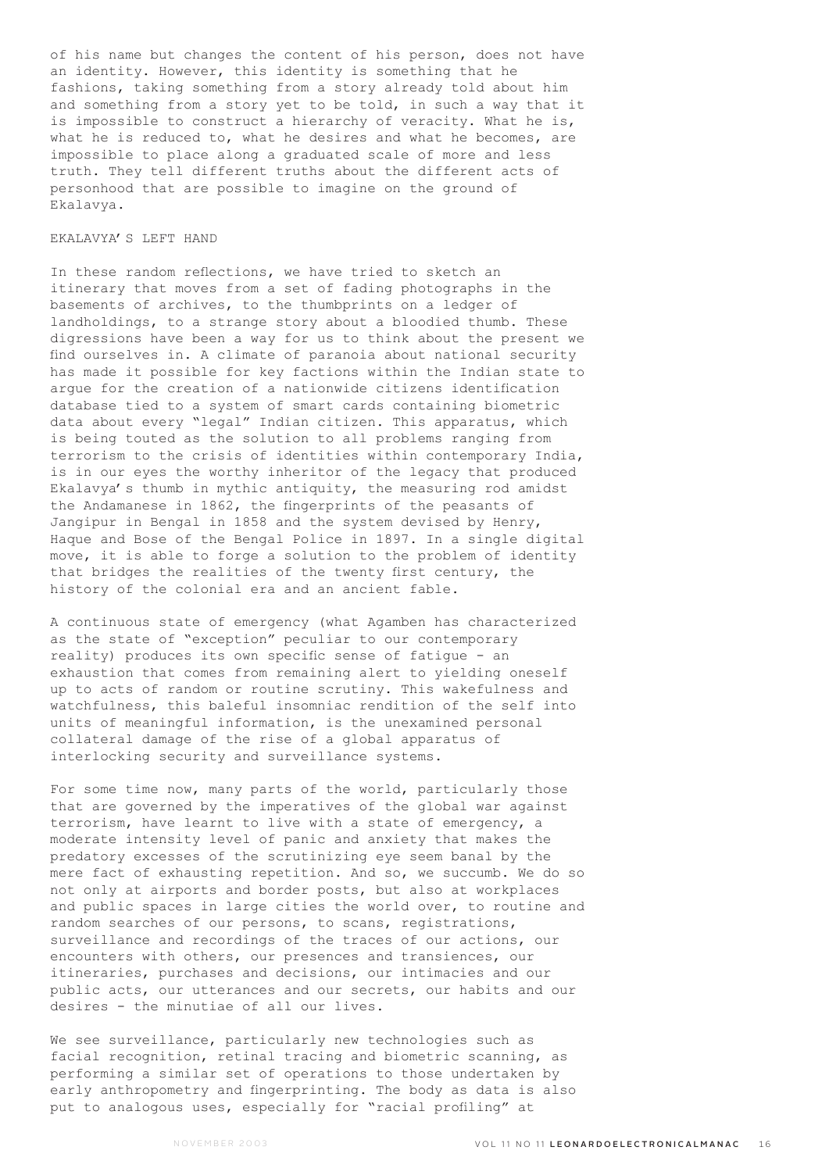of his name but changes the content of his person, does not have an identity. However, this identity is something that he fashions, taking something from a story already told about him and something from a story yet to be told, in such a way that it is impossible to construct a hierarchy of veracity. What he is, what he is reduced to, what he desires and what he becomes, are impossible to place along a graduated scale of more and less truth. They tell different truths about the different acts of personhood that are possible to imagine on the ground of Ekalavya.

## EKALAVYA'S LEFT HAND

In these random reflections, we have tried to sketch an itinerary that moves from a set of fading photographs in the basements of archives, to the thumbprints on a ledger of landholdings, to a strange story about a bloodied thumb. These digressions have been a way for us to think about the present we find ourselves in. A climate of paranoia about national security has made it possible for key factions within the Indian state to argue for the creation of a nationwide citizens identification database tied to a system of smart cards containing biometric data about every "legal" Indian citizen. This apparatus, which is being touted as the solution to all problems ranging from terrorism to the crisis of identities within contemporary India, is in our eyes the worthy inheritor of the legacy that produced Ekalavya's thumb in mythic antiquity, the measuring rod amidst the Andamanese in 1862, the fingerprints of the peasants of Jangipur in Bengal in 1858 and the system devised by Henry, Haque and Bose of the Bengal Police in 1897. In a single digital move, it is able to forge a solution to the problem of identity that bridges the realities of the twenty first century, the history of the colonial era and an ancient fable.

A continuous state of emergency (what Agamben has characterized as the state of "exception" peculiar to our contemporary reality) produces its own specific sense of fatigue - an exhaustion that comes from remaining alert to yielding oneself up to acts of random or routine scrutiny. This wakefulness and watchfulness, this baleful insomniac rendition of the self into units of meaningful information, is the unexamined personal collateral damage of the rise of a global apparatus of interlocking security and surveillance systems.

For some time now, many parts of the world, particularly those that are governed by the imperatives of the global war against terrorism, have learnt to live with a state of emergency, a moderate intensity level of panic and anxiety that makes the predatory excesses of the scrutinizing eye seem banal by the mere fact of exhausting repetition. And so, we succumb. We do so not only at airports and border posts, but also at workplaces and public spaces in large cities the world over, to routine and random searches of our persons, to scans, registrations, surveillance and recordings of the traces of our actions, our encounters with others, our presences and transiences, our itineraries, purchases and decisions, our intimacies and our public acts, our utterances and our secrets, our habits and our desires - the minutiae of all our lives.

We see surveillance, particularly new technologies such as facial recognition, retinal tracing and biometric scanning, as performing a similar set of operations to those undertaken by early anthropometry and fingerprinting. The body as data is also put to analogous uses, especially for "racial profiling" at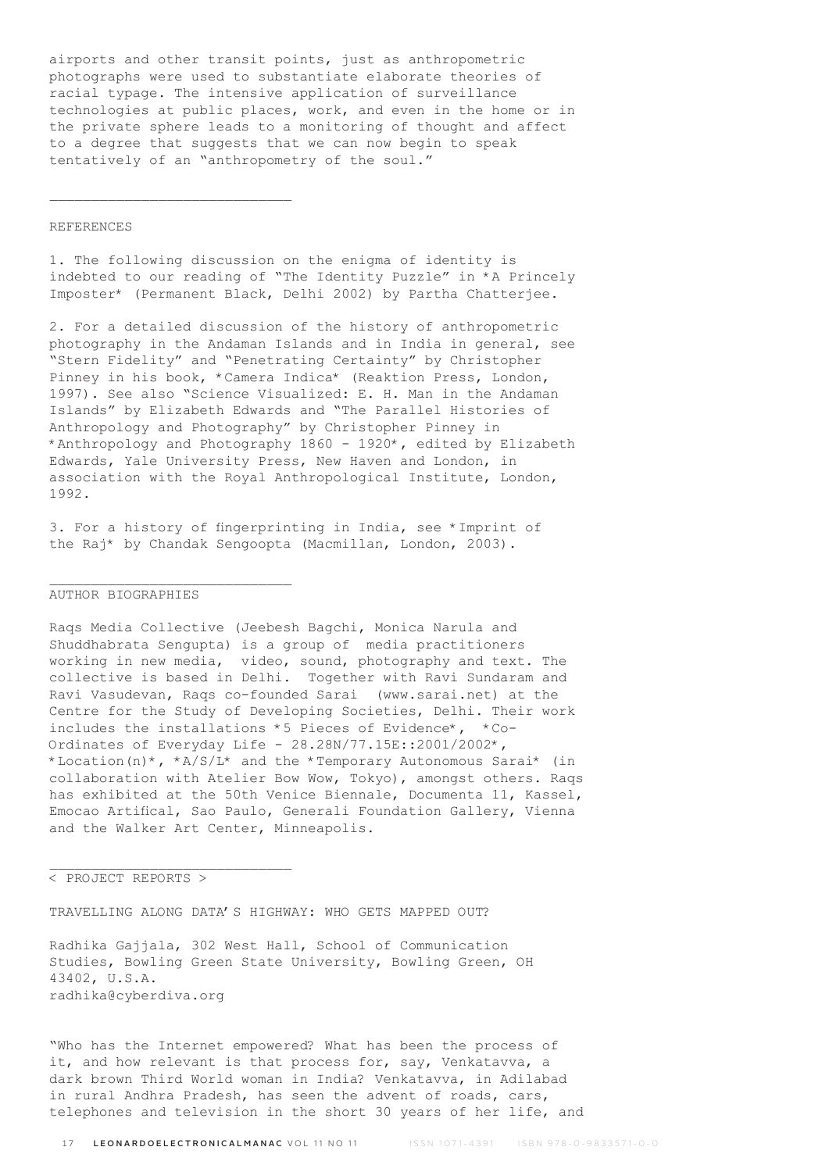airports and other transit points, just as anthropometric photographs were used to substantiate elaborate theories of racial typage. The intensive application of surveillance technologies at public places, work, and even in the home or in the private sphere leads to a monitoring of thought and affect to a degree that suggests that we can now begin to speak tentatively of an "anthropometry of the soul."

## REFERENCES

 $\mathcal{L}_\text{max}$ 

1. The following discussion on the enigma of identity is indebted to our reading of "The Identity Puzzle" in \*A Princely Imposter\* (Permanent Black, Delhi 2002) by Partha Chatterjee.

2. For a detailed discussion of the history of anthropometric photography in the Andaman Islands and in India in general, see "Stern Fidelity" and "Penetrating Certainty" by Christopher Pinney in his book, \*Camera Indica\* (Reaktion Press, London, 1997). See also "Science Visualized: E. H. Man in the Andaman Islands" by Elizabeth Edwards and "The Parallel Histories of Anthropology and Photography" by Christopher Pinney in \*Anthropology and Photography 1860 - 1920\*, edited by Elizabeth Edwards, Yale University Press, New Haven and London, in association with the Royal Anthropological Institute, London, 1992.

3. For a history of fingerprinting in India, see \*Imprint of the Raj\* by Chandak Sengoopta (Macmillan, London, 2003).

## AUTHOR BIOGRAPHIES

Raqs Media Collective (Jeebesh Bagchi, Monica Narula and Shuddhabrata Sengupta) is a group of media practitioners working in new media, video, sound, photography and text. The collective is based in Delhi. Together with Ravi Sundaram and Ravi Vasudevan, Raqs co-founded Sarai (www.sarai.net) at the Centre for the Study of Developing Societies, Delhi. Their work includes the installations \*5 Pieces of Evidence\*, \*Co-Ordinates of Everyday Life - 28.28N/77.15E::2001/2002\*, \*Location(n)\*, \*A/S/L\* and the \*Temporary Autonomous Sarai\* (in collaboration with Atelier Bow Wow, Tokyo), amongst others. Raqs has exhibited at the 50th Venice Biennale, Documenta 11, Kassel, Emocao Artifical, Sao Paulo, Generali Foundation Gallery, Vienna and the Walker Art Center, Minneapolis.

## < PROJECT REPORTS >

TRAVELLING ALONG DATA'S HIGHWAY: WHO GETS MAPPED OUT?

Radhika Gajjala, 302 West Hall, School of Communication Studies, Bowling Green State University, Bowling Green, OH 43402, U.S.A. radhika@cyberdiva.org

"Who has the Internet empowered? What has been the process of it, and how relevant is that process for, say, Venkatavva, a dark brown Third World woman in India? Venkatavva, in Adilabad in rural Andhra Pradesh, has seen the advent of roads, cars, telephones and television in the short 30 years of her life, and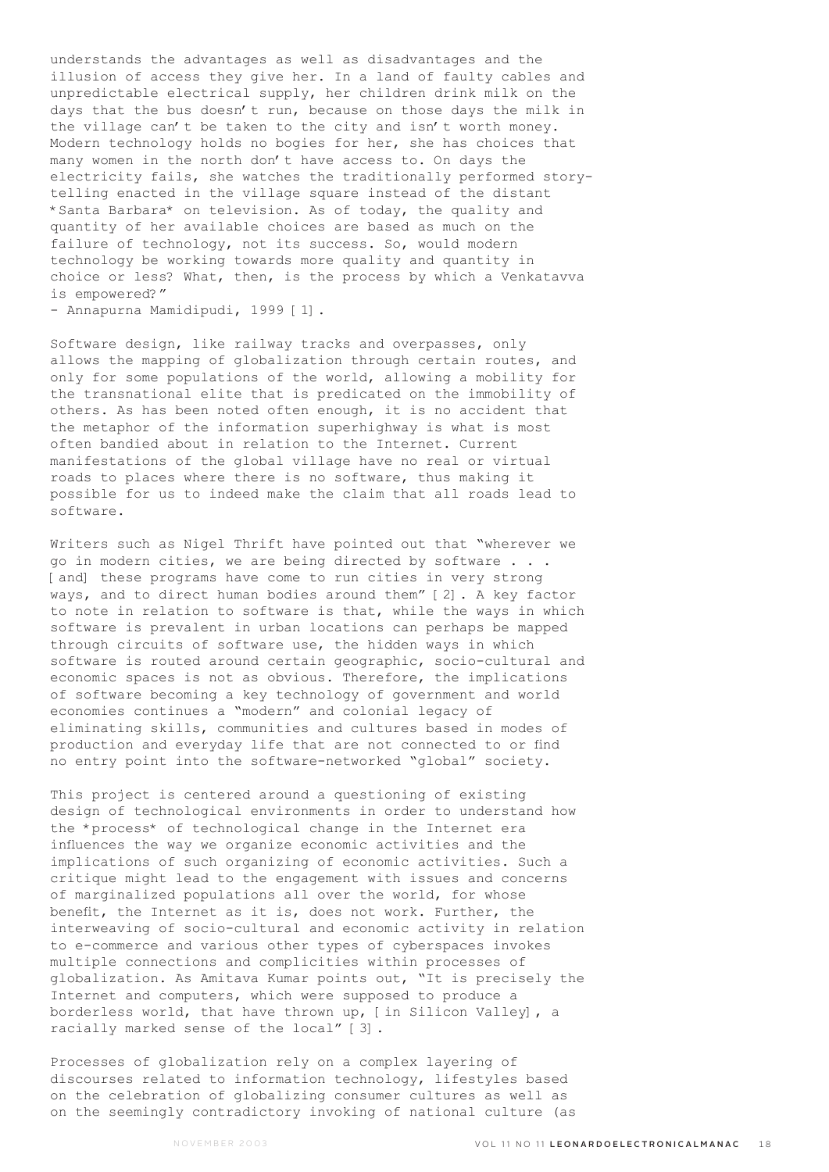understands the advantages as well as disadvantages and the illusion of access they give her. In a land of faulty cables and unpredictable electrical supply, her children drink milk on the days that the bus doesn't run, because on those days the milk in the village can't be taken to the city and isn't worth money. Modern technology holds no bogies for her, she has choices that many women in the north don't have access to. On days the electricity fails, she watches the traditionally performed storytelling enacted in the village square instead of the distant \*Santa Barbara\* on television. As of today, the quality and quantity of her available choices are based as much on the failure of technology, not its success. So, would modern technology be working towards more quality and quantity in choice or less? What, then, is the process by which a Venkatavva is empowered?"

- Annapurna Mamidipudi, 1999 [1].

Software design, like railway tracks and overpasses, only allows the mapping of globalization through certain routes, and only for some populations of the world, allowing a mobility for the transnational elite that is predicated on the immobility of others. As has been noted often enough, it is no accident that the metaphor of the information superhighway is what is most often bandied about in relation to the Internet. Current manifestations of the global village have no real or virtual roads to places where there is no software, thus making it possible for us to indeed make the claim that all roads lead to software.

Writers such as Nigel Thrift have pointed out that "wherever we go in modern cities, we are being directed by software . . . [and] these programs have come to run cities in very strong ways, and to direct human bodies around them" [2]. A key factor to note in relation to software is that, while the ways in which software is prevalent in urban locations can perhaps be mapped through circuits of software use, the hidden ways in which software is routed around certain geographic, socio-cultural and economic spaces is not as obvious. Therefore, the implications of software becoming a key technology of government and world economies continues a "modern" and colonial legacy of eliminating skills, communities and cultures based in modes of production and everyday life that are not connected to or find no entry point into the software-networked "global" society.

This project is centered around a questioning of existing design of technological environments in order to understand how the \*process\* of technological change in the Internet era influences the way we organize economic activities and the implications of such organizing of economic activities. Such a critique might lead to the engagement with issues and concerns of marginalized populations all over the world, for whose benefit, the Internet as it is, does not work. Further, the interweaving of socio-cultural and economic activity in relation to e-commerce and various other types of cyberspaces invokes multiple connections and complicities within processes of globalization. As Amitava Kumar points out, "It is precisely the Internet and computers, which were supposed to produce a borderless world, that have thrown up, [in Silicon Valley], a racially marked sense of the local" [3].

Processes of globalization rely on a complex layering of discourses related to information technology, lifestyles based on the celebration of globalizing consumer cultures as well as on the seemingly contradictory invoking of national culture (as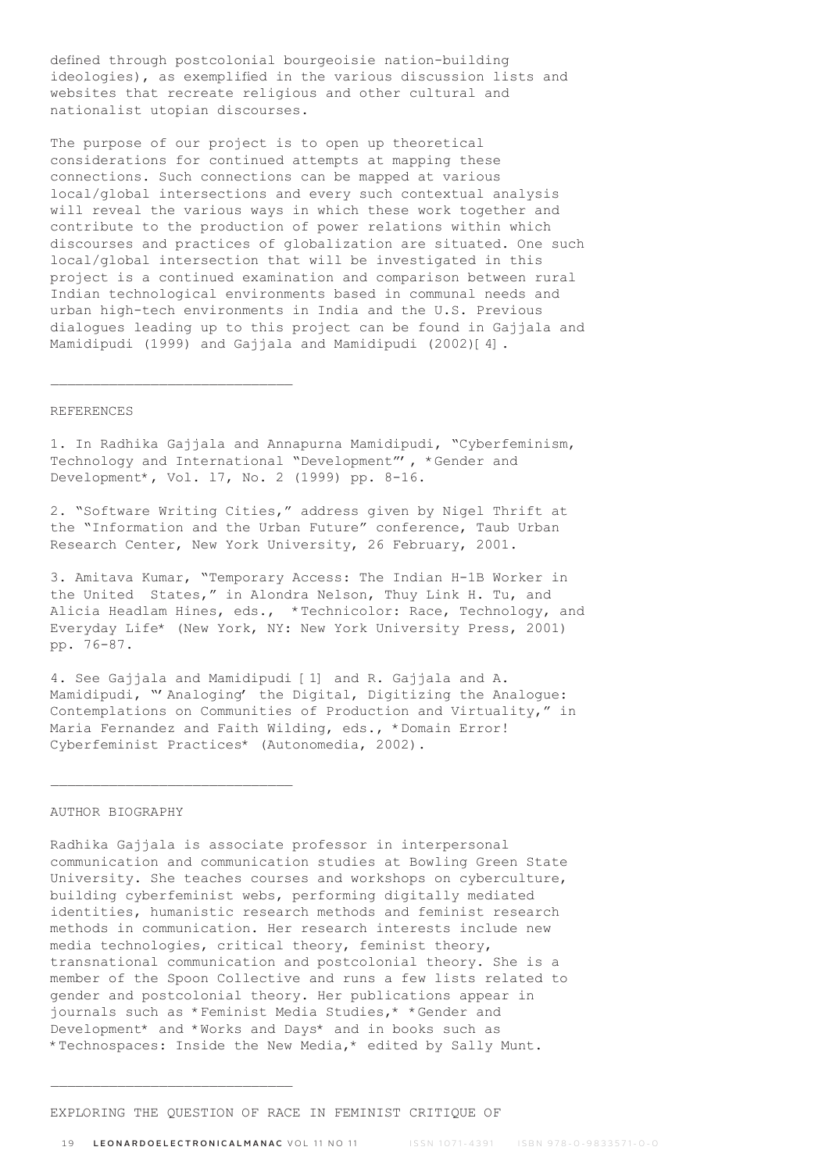defined through postcolonial bourgeoisie nation-building ideologies), as exemplified in the various discussion lists and websites that recreate religious and other cultural and nationalist utopian discourses.

The purpose of our project is to open up theoretical considerations for continued attempts at mapping these connections. Such connections can be mapped at various local/global intersections and every such contextual analysis will reveal the various ways in which these work together and contribute to the production of power relations within which discourses and practices of globalization are situated. One such local/global intersection that will be investigated in this project is a continued examination and comparison between rural Indian technological environments based in communal needs and urban high-tech environments in India and the U.S. Previous dialogues leading up to this project can be found in Gajjala and Mamidipudi (1999) and Gajjala and Mamidipudi (2002)[4].

### REFERENCES

1. In Radhika Gajjala and Annapurna Mamidipudi, "Cyberfeminism, Technology and International "Development"', \*Gender and Development\*, Vol. l7, No. 2 (1999) pp. 8-16.

2. "Software Writing Cities," address given by Nigel Thrift at the "Information and the Urban Future" conference, Taub Urban Research Center, New York University, 26 February, 2001.

3. Amitava Kumar, "Temporary Access: The Indian H-1B Worker in the United States," in Alondra Nelson, Thuy Link H. Tu, and Alicia Headlam Hines, eds., \*Technicolor: Race, Technology, and Everyday Life\* (New York, NY: New York University Press, 2001) pp. 76-87.

4. See Gajjala and Mamidipudi [1] and R. Gajjala and A. Mamidipudi, "'Analoging' the Digital, Digitizing the Analogue: Contemplations on Communities of Production and Virtuality," in Maria Fernandez and Faith Wilding, eds., \*Domain Error! Cyberfeminist Practices\* (Autonomedia, 2002).

## AUTHOR BIOGRAPHY

Radhika Gajjala is associate professor in interpersonal communication and communication studies at Bowling Green State University. She teaches courses and workshops on cyberculture, building cyberfeminist webs, performing digitally mediated identities, humanistic research methods and feminist research methods in communication. Her research interests include new media technologies, critical theory, feminist theory, transnational communication and postcolonial theory. She is a member of the Spoon Collective and runs a few lists related to gender and postcolonial theory. Her publications appear in journals such as \*Feminist Media Studies,\* \*Gender and Development\* and \*Works and Days\* and in books such as \*Technospaces: Inside the New Media,\* edited by Sally Munt.

## EXPLORING THE QUESTION OF RACE IN FEMINIST CRITIQUE OF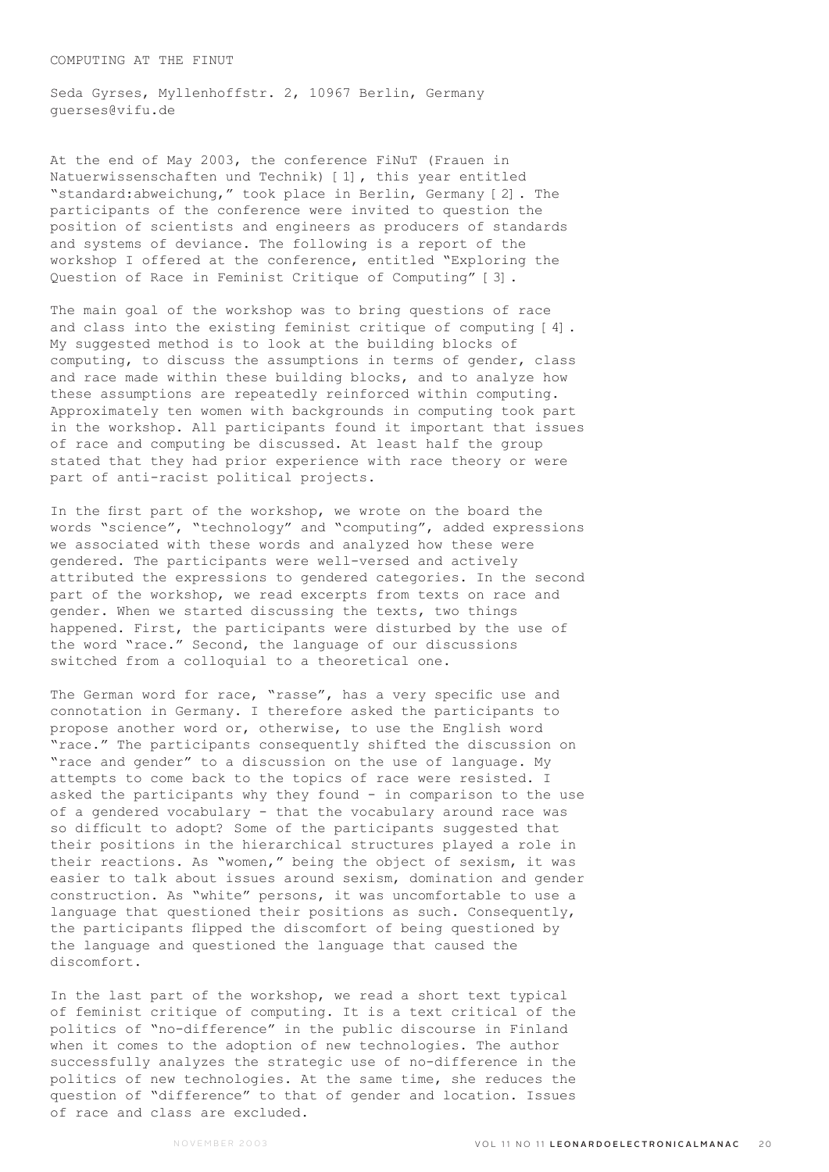### COMPUTING AT THE FINUT

Seda Gyrses, Myllenhoffstr. 2, 10967 Berlin, Germany guerses@vifu.de

At the end of May 2003, the conference FiNuT (Frauen in Natuerwissenschaften und Technik) [1], this year entitled "standard:abweichung," took place in Berlin, Germany [2]. The participants of the conference were invited to question the position of scientists and engineers as producers of standards and systems of deviance. The following is a report of the workshop I offered at the conference, entitled "Exploring the Question of Race in Feminist Critique of Computing" [3].

The main goal of the workshop was to bring questions of race and class into the existing feminist critique of computing [4]. My suggested method is to look at the building blocks of computing, to discuss the assumptions in terms of gender, class and race made within these building blocks, and to analyze how these assumptions are repeatedly reinforced within computing. Approximately ten women with backgrounds in computing took part in the workshop. All participants found it important that issues of race and computing be discussed. At least half the group stated that they had prior experience with race theory or were part of anti-racist political projects.

In the first part of the workshop, we wrote on the board the words "science", "technology" and "computing", added expressions we associated with these words and analyzed how these were gendered. The participants were well-versed and actively attributed the expressions to gendered categories. In the second part of the workshop, we read excerpts from texts on race and gender. When we started discussing the texts, two things happened. First, the participants were disturbed by the use of the word "race." Second, the language of our discussions switched from a colloquial to a theoretical one.

The German word for race, "rasse", has a very specific use and connotation in Germany. I therefore asked the participants to propose another word or, otherwise, to use the English word "race." The participants consequently shifted the discussion on "race and gender" to a discussion on the use of language. My attempts to come back to the topics of race were resisted. I asked the participants why they found - in comparison to the use of a gendered vocabulary - that the vocabulary around race was so difficult to adopt? Some of the participants suggested that their positions in the hierarchical structures played a role in their reactions. As "women," being the object of sexism, it was easier to talk about issues around sexism, domination and gender construction. As "white" persons, it was uncomfortable to use a language that questioned their positions as such. Consequently, the participants flipped the discomfort of being questioned by the language and questioned the language that caused the discomfort.

In the last part of the workshop, we read a short text typical of feminist critique of computing. It is a text critical of the politics of "no-difference" in the public discourse in Finland when it comes to the adoption of new technologies. The author successfully analyzes the strategic use of no-difference in the politics of new technologies. At the same time, she reduces the question of "difference" to that of gender and location. Issues of race and class are excluded.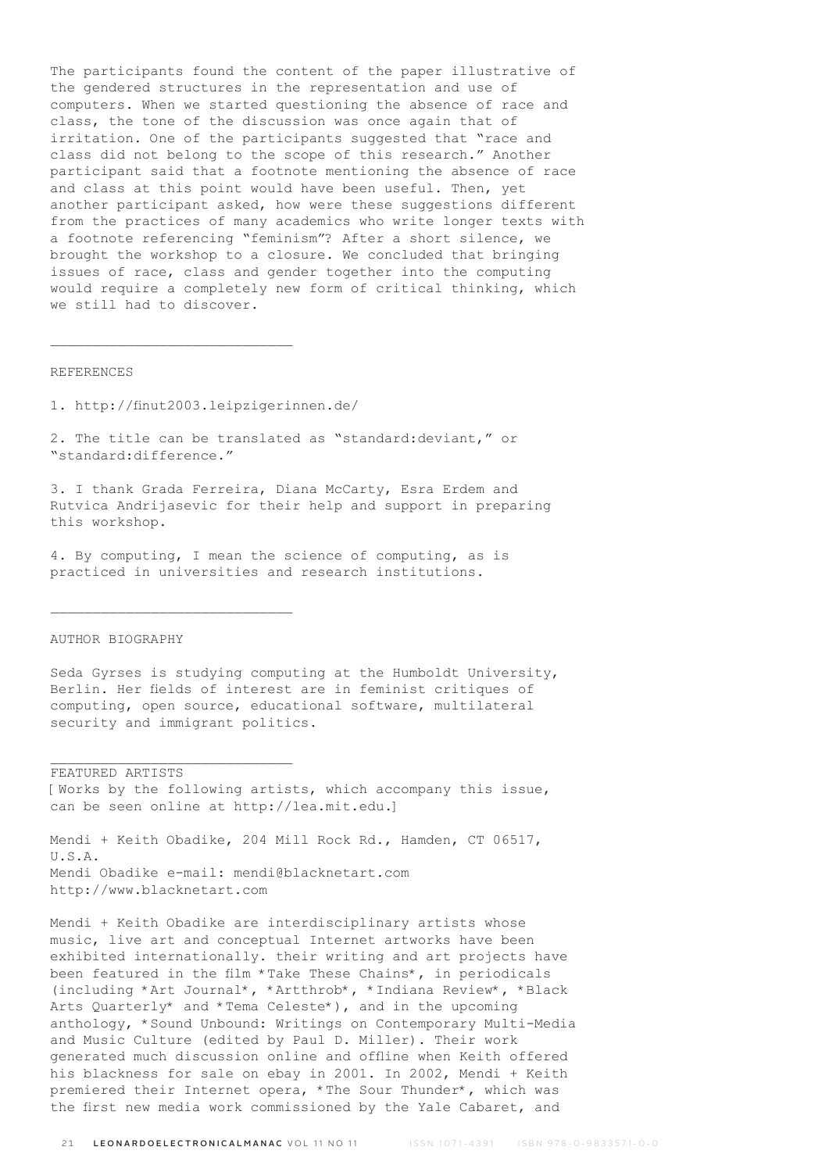The participants found the content of the paper illustrative of the gendered structures in the representation and use of computers. When we started questioning the absence of race and class, the tone of the discussion was once again that of irritation. One of the participants suggested that "race and class did not belong to the scope of this research." Another participant said that a footnote mentioning the absence of race and class at this point would have been useful. Then, yet another participant asked, how were these suggestions different from the practices of many academics who write longer texts with a footnote referencing "feminism"? After a short silence, we brought the workshop to a closure. We concluded that bringing issues of race, class and gender together into the computing would require a completely new form of critical thinking, which we still had to discover.

REFERENCES

1. http://finut2003.leipzigerinnen.de/

 $\mathcal{L}_\text{max}$ 

 $\overline{\phantom{a}}$  , where  $\overline{\phantom{a}}$  , where  $\overline{\phantom{a}}$  ,  $\overline{\phantom{a}}$  ,  $\overline{\phantom{a}}$  ,  $\overline{\phantom{a}}$  ,  $\overline{\phantom{a}}$  ,  $\overline{\phantom{a}}$  ,  $\overline{\phantom{a}}$  ,  $\overline{\phantom{a}}$  ,  $\overline{\phantom{a}}$  ,  $\overline{\phantom{a}}$  ,  $\overline{\phantom{a}}$  ,  $\overline{\phantom{a}}$  ,  $\overline{\phantom{a}}$  ,

2. The title can be translated as "standard:deviant," or "standard:difference."

3. I thank Grada Ferreira, Diana McCarty, Esra Erdem and Rutvica Andrijasevic for their help and support in preparing this workshop.

4. By computing, I mean the science of computing, as is practiced in universities and research institutions.

AUTHOR BIOGRAPHY

Seda Gyrses is studying computing at the Humboldt University, Berlin. Her fields of interest are in feminist critiques of computing, open source, educational software, multilateral security and immigrant politics.

FEATURED ARTISTS

[Works by the following artists, which accompany this issue, can be seen online at http://lea.mit.edu.]

Mendi + Keith Obadike, 204 Mill Rock Rd., Hamden, CT 06517, U.S.A. Mendi Obadike e-mail: mendi@blacknetart.com http://www.blacknetart.com

Mendi + Keith Obadike are interdisciplinary artists whose music, live art and conceptual Internet artworks have been exhibited internationally. their writing and art projects have been featured in the film \*Take These Chains\*, in periodicals (including \*Art Journal\*, \*Artthrob\*, \*Indiana Review\*, \*Black Arts Quarterly\* and \*Tema Celeste\*), and in the upcoming anthology, \*Sound Unbound: Writings on Contemporary Multi-Media and Music Culture (edited by Paul D. Miller). Their work generated much discussion online and offline when Keith offered his blackness for sale on ebay in 2001. In 2002, Mendi + Keith premiered their Internet opera, \*The Sour Thunder\*, which was the first new media work commissioned by the Yale Cabaret, and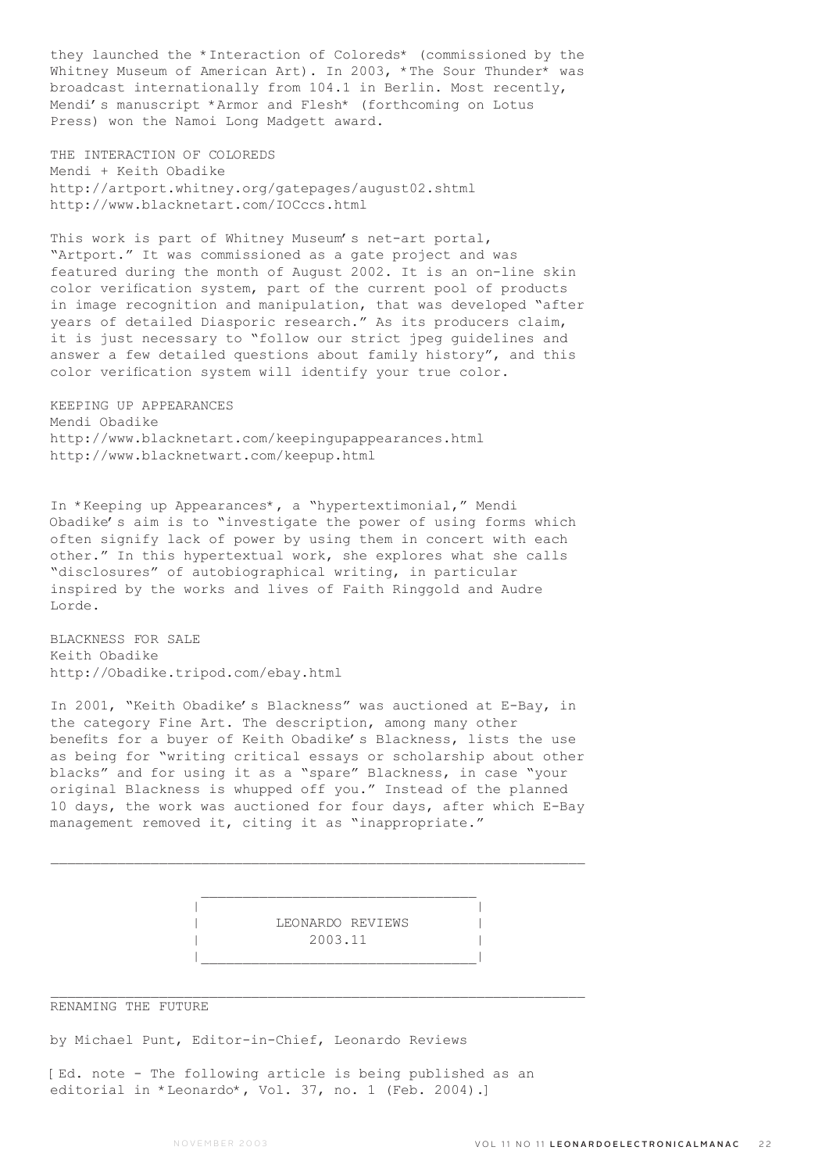they launched the \*Interaction of Coloreds\* (commissioned by the Whitney Museum of American Art). In 2003, \*The Sour Thunder\* was broadcast internationally from 104.1 in Berlin. Most recently, Mendi's manuscript \*Armor and Flesh\* (forthcoming on Lotus Press) won the Namoi Long Madgett award.

THE INTERACTION OF COLOREDS Mendi + Keith Obadike http://artport.whitney.org/gatepages/august02.shtml http://www.blacknetart.com/IOCccs.html

This work is part of Whitney Museum's net-art portal, "Artport." It was commissioned as a gate project and was featured during the month of August 2002. It is an on-line skin color verification system, part of the current pool of products in image recognition and manipulation, that was developed "after years of detailed Diasporic research." As its producers claim, it is just necessary to "follow our strict jpeg guidelines and answer a few detailed questions about family history", and this color verification system will identify your true color.

KEEPING UP APPEARANCES Mendi Obadike http://www.blacknetart.com/keepingupappearances.html http://www.blacknetwart.com/keepup.html

In \*Keeping up Appearances\*, a "hypertextimonial," Mendi Obadike's aim is to "investigate the power of using forms which often signify lack of power by using them in concert with each other." In this hypertextual work, she explores what she calls "disclosures" of autobiographical writing, in particular inspired by the works and lives of Faith Ringgold and Audre Lorde.

BLACKNESS FOR SALE Keith Obadike http://Obadike.tripod.com/ebay.html

In 2001, "Keith Obadike's Blackness" was auctioned at E-Bay, in the category Fine Art. The description, among many other benefits for a buyer of Keith Obadike's Blackness, lists the use as being for "writing critical essays or scholarship about other blacks" and for using it as a "spare" Blackness, in case "your original Blackness is whupped off you." Instead of the planned 10 days, the work was auctioned for four days, after which E-Bay management removed it, citing it as "inappropriate."

 | | LEONARDO REVIEWS | 2003.11 | |\_\_\_\_\_\_\_\_\_\_\_\_\_\_\_\_\_\_\_\_\_\_\_\_\_\_\_\_\_\_\_\_\_|

RENAMING THE FUTURE

by Michael Punt, Editor-in-Chief, Leonardo Reviews

[Ed. note - The following article is being published as an editorial in \*Leonardo\*, Vol. 37, no. 1 (Feb. 2004).]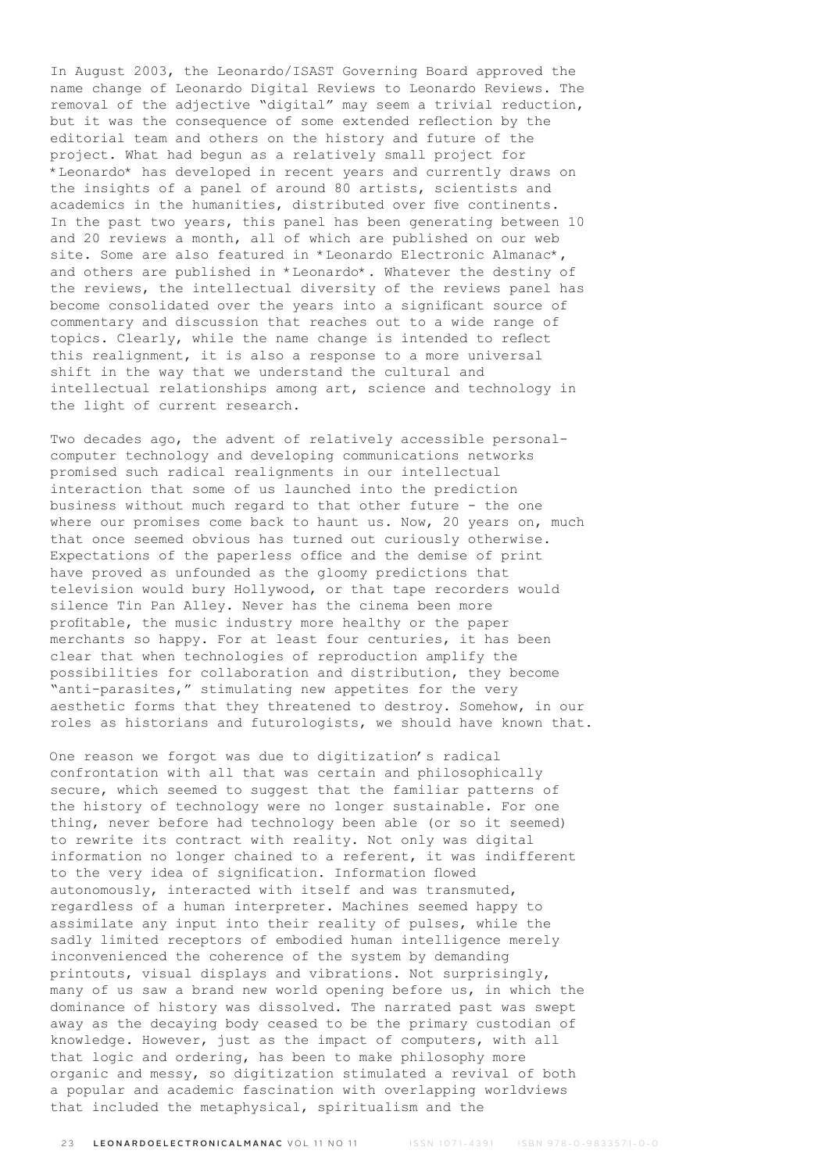In August 2003, the Leonardo/ISAST Governing Board approved the name change of Leonardo Digital Reviews to Leonardo Reviews. The removal of the adjective "digital" may seem a trivial reduction, but it was the consequence of some extended reflection by the editorial team and others on the history and future of the project. What had begun as a relatively small project for \*Leonardo\* has developed in recent years and currently draws on the insights of a panel of around 80 artists, scientists and academics in the humanities, distributed over five continents. In the past two years, this panel has been generating between 10 and 20 reviews a month, all of which are published on our web site. Some are also featured in \*Leonardo Electronic Almanac\*, and others are published in \*Leonardo\*. Whatever the destiny of the reviews, the intellectual diversity of the reviews panel has become consolidated over the years into a significant source of commentary and discussion that reaches out to a wide range of topics. Clearly, while the name change is intended to reflect this realignment, it is also a response to a more universal shift in the way that we understand the cultural and intellectual relationships among art, science and technology in the light of current research.

Two decades ago, the advent of relatively accessible personalcomputer technology and developing communications networks promised such radical realignments in our intellectual interaction that some of us launched into the prediction business without much regard to that other future - the one where our promises come back to haunt us. Now, 20 years on, much that once seemed obvious has turned out curiously otherwise. Expectations of the paperless office and the demise of print have proved as unfounded as the gloomy predictions that television would bury Hollywood, or that tape recorders would silence Tin Pan Alley. Never has the cinema been more profitable, the music industry more healthy or the paper merchants so happy. For at least four centuries, it has been clear that when technologies of reproduction amplify the possibilities for collaboration and distribution, they become "anti-parasites," stimulating new appetites for the very aesthetic forms that they threatened to destroy. Somehow, in our roles as historians and futurologists, we should have known that.

One reason we forgot was due to digitization's radical confrontation with all that was certain and philosophically secure, which seemed to suggest that the familiar patterns of the history of technology were no longer sustainable. For one thing, never before had technology been able (or so it seemed) to rewrite its contract with reality. Not only was digital information no longer chained to a referent, it was indifferent to the very idea of signification. Information flowed autonomously, interacted with itself and was transmuted, regardless of a human interpreter. Machines seemed happy to assimilate any input into their reality of pulses, while the sadly limited receptors of embodied human intelligence merely inconvenienced the coherence of the system by demanding printouts, visual displays and vibrations. Not surprisingly, many of us saw a brand new world opening before us, in which the dominance of history was dissolved. The narrated past was swept away as the decaying body ceased to be the primary custodian of knowledge. However, just as the impact of computers, with all that logic and ordering, has been to make philosophy more organic and messy, so digitization stimulated a revival of both a popular and academic fascination with overlapping worldviews that included the metaphysical, spiritualism and the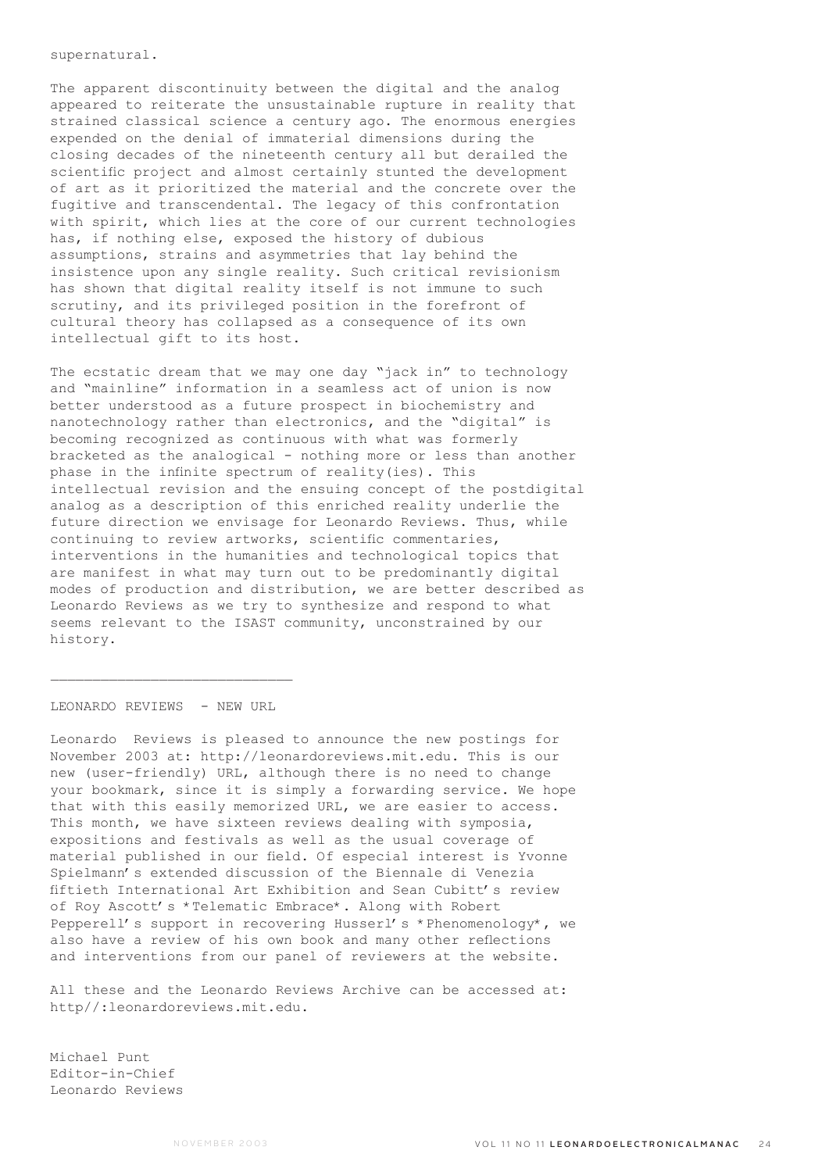### supernatural.

The apparent discontinuity between the digital and the analog appeared to reiterate the unsustainable rupture in reality that strained classical science a century ago. The enormous energies expended on the denial of immaterial dimensions during the closing decades of the nineteenth century all but derailed the scientific project and almost certainly stunted the development of art as it prioritized the material and the concrete over the fugitive and transcendental. The legacy of this confrontation with spirit, which lies at the core of our current technologies has, if nothing else, exposed the history of dubious assumptions, strains and asymmetries that lay behind the insistence upon any single reality. Such critical revisionism has shown that digital reality itself is not immune to such scrutiny, and its privileged position in the forefront of cultural theory has collapsed as a consequence of its own intellectual gift to its host.

The ecstatic dream that we may one day "jack in" to technology and "mainline" information in a seamless act of union is now better understood as a future prospect in biochemistry and nanotechnology rather than electronics, and the "digital" is becoming recognized as continuous with what was formerly bracketed as the analogical - nothing more or less than another phase in the infinite spectrum of reality(ies). This intellectual revision and the ensuing concept of the postdigital analog as a description of this enriched reality underlie the future direction we envisage for Leonardo Reviews. Thus, while continuing to review artworks, scientific commentaries, interventions in the humanities and technological topics that are manifest in what may turn out to be predominantly digital modes of production and distribution, we are better described as Leonardo Reviews as we try to synthesize and respond to what seems relevant to the ISAST community, unconstrained by our history.

## LEONARDO REVIEWS - NEW URL

Leonardo Reviews is pleased to announce the new postings for November 2003 at: http://leonardoreviews.mit.edu. This is our new (user-friendly) URL, although there is no need to change your bookmark, since it is simply a forwarding service. We hope that with this easily memorized URL, we are easier to access. This month, we have sixteen reviews dealing with symposia, expositions and festivals as well as the usual coverage of material published in our field. Of especial interest is Yvonne Spielmann's extended discussion of the Biennale di Venezia fiftieth International Art Exhibition and Sean Cubitt's review of Roy Ascott's \*Telematic Embrace\*. Along with Robert Pepperell's support in recovering Husserl's \*Phenomenology\*, we also have a review of his own book and many other reflections and interventions from our panel of reviewers at the website.

All these and the Leonardo Reviews Archive can be accessed at: http//:leonardoreviews.mit.edu.

Michael Punt Editor-in-Chief Leonardo Reviews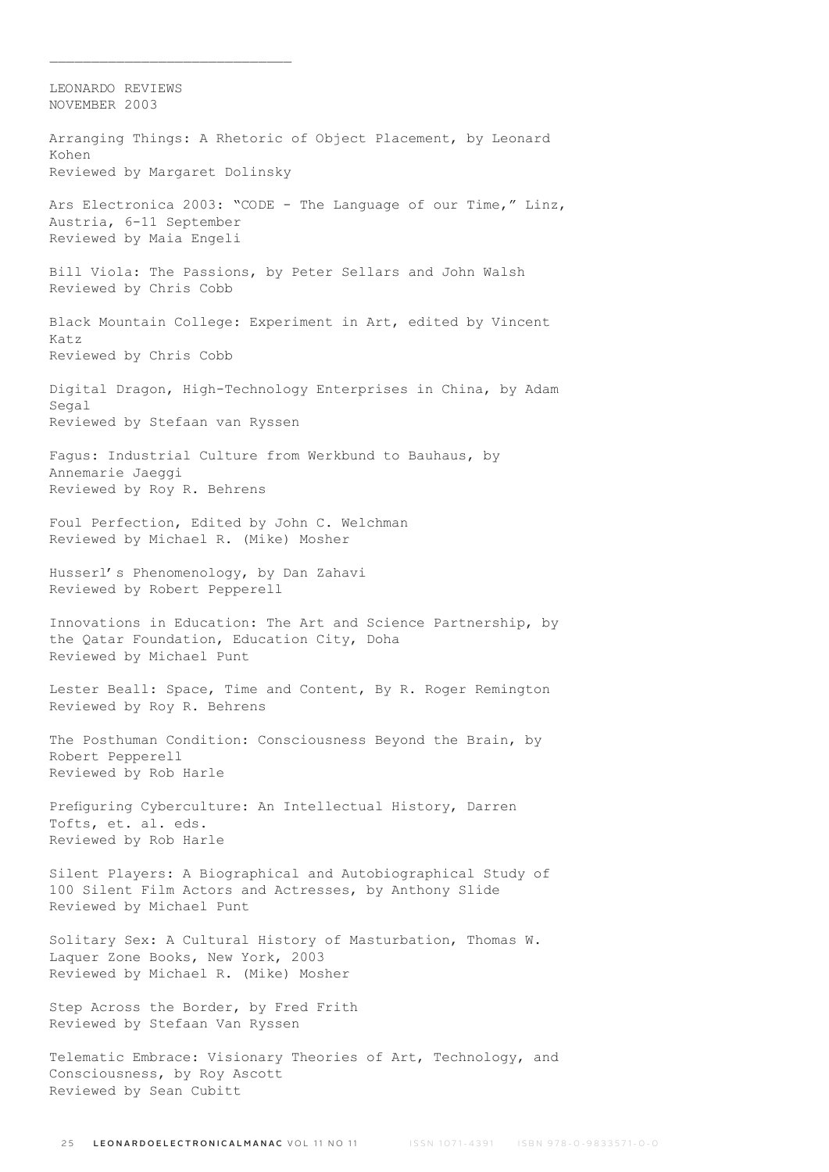LEONARDO REVIEWS NOVEMBER 2003 Arranging Things: A Rhetoric of Object Placement, by Leonard Kohen Reviewed by Margaret Dolinsky Ars Electronica 2003: "CODE - The Language of our Time," Linz, Austria, 6-11 September Reviewed by Maia Engeli Bill Viola: The Passions, by Peter Sellars and John Walsh Reviewed by Chris Cobb Black Mountain College: Experiment in Art, edited by Vincent Katz Reviewed by Chris Cobb Digital Dragon, High-Technology Enterprises in China, by Adam Segal Reviewed by Stefaan van Ryssen Fagus: Industrial Culture from Werkbund to Bauhaus, by Annemarie Jaeggi Reviewed by Roy R. Behrens Foul Perfection, Edited by John C. Welchman Reviewed by Michael R. (Mike) Mosher Husserl's Phenomenology, by Dan Zahavi Reviewed by Robert Pepperell Innovations in Education: The Art and Science Partnership, by the Qatar Foundation, Education City, Doha Reviewed by Michael Punt Lester Beall: Space, Time and Content, By R. Roger Remington Reviewed by Roy R. Behrens The Posthuman Condition: Consciousness Beyond the Brain, by Robert Pepperell Reviewed by Rob Harle Prefiguring Cyberculture: An Intellectual History, Darren Tofts, et. al. eds. Reviewed by Rob Harle Silent Players: A Biographical and Autobiographical Study of 100 Silent Film Actors and Actresses, by Anthony Slide Reviewed by Michael Punt Solitary Sex: A Cultural History of Masturbation, Thomas W. Laquer Zone Books, New York, 2003 Reviewed by Michael R. (Mike) Mosher Step Across the Border, by Fred Frith Reviewed by Stefaan Van Ryssen Telematic Embrace: Visionary Theories of Art, Technology, and Consciousness, by Roy Ascott Reviewed by Sean Cubitt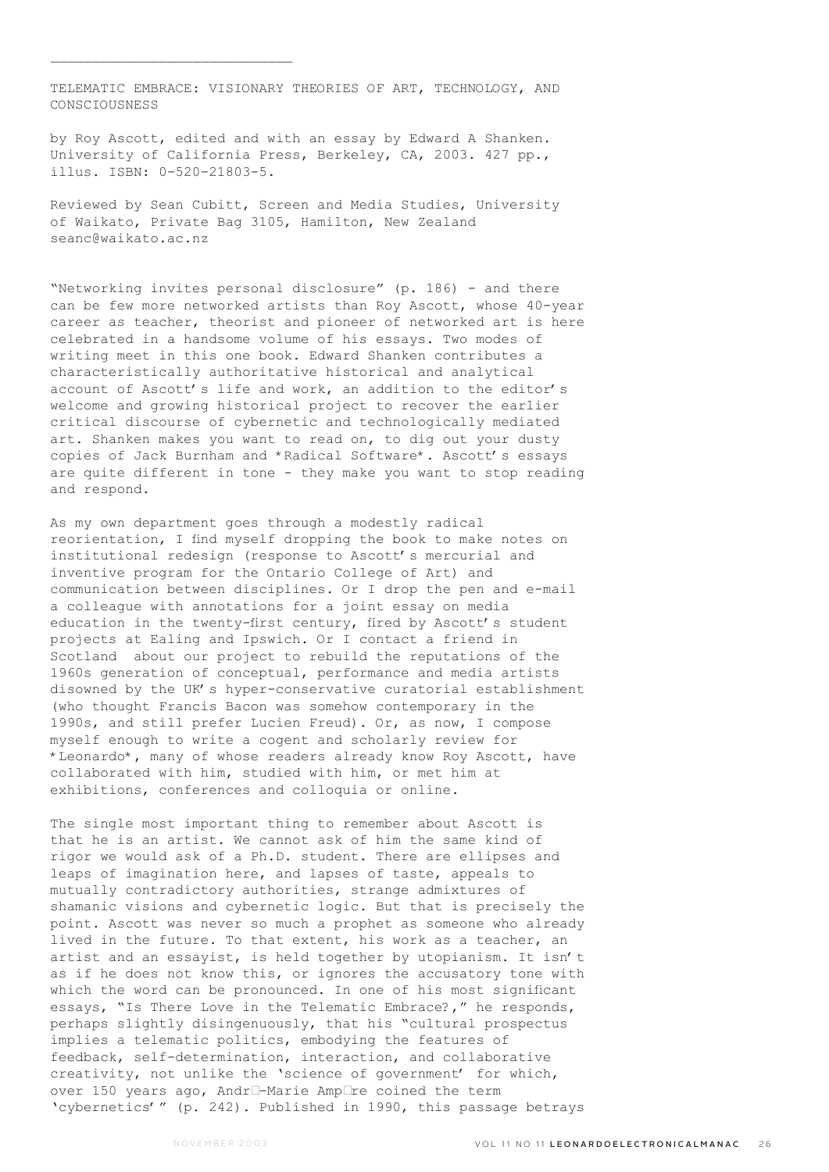TELEMATIC EMBRACE: VISIONARY THEORIES OF ART, TECHNOLOGY, AND CONSCIOUSNESS

by Roy Ascott, edited and with an essay by Edward A Shanken. University of California Press, Berkeley, CA, 2003. 427 pp., illus. ISBN: 0-520-21803-5.

Reviewed by Sean Cubitt, Screen and Media Studies, University of Waikato, Private Bag 3105, Hamilton, New Zealand seanc@waikato.ac.nz

"Networking invites personal disclosure" (p. 186) - and there can be few more networked artists than Roy Ascott, whose 40-year career as teacher, theorist and pioneer of networked art is here celebrated in a handsome volume of his essays. Two modes of writing meet in this one book. Edward Shanken contributes a characteristically authoritative historical and analytical account of Ascott's life and work, an addition to the editor's welcome and growing historical project to recover the earlier critical discourse of cybernetic and technologically mediated art. Shanken makes you want to read on, to dig out your dusty copies of Jack Burnham and \*Radical Software\*. Ascott's essays are quite different in tone - they make you want to stop reading and respond.

As my own department goes through a modestly radical reorientation, I find myself dropping the book to make notes on institutional redesign (response to Ascott's mercurial and inventive program for the Ontario College of Art) and communication between disciplines. Or I drop the pen and e-mail a colleague with annotations for a joint essay on media education in the twenty-first century, fired by Ascott's student projects at Ealing and Ipswich. Or I contact a friend in Scotland about our project to rebuild the reputations of the 1960s generation of conceptual, performance and media artists disowned by the UK's hyper-conservative curatorial establishment (who thought Francis Bacon was somehow contemporary in the 1990s, and still prefer Lucien Freud). Or, as now, I compose myself enough to write a cogent and scholarly review for \*Leonardo\*, many of whose readers already know Roy Ascott, have collaborated with him, studied with him, or met him at exhibitions, conferences and colloquia or online.

The single most important thing to remember about Ascott is that he is an artist. We cannot ask of him the same kind of rigor we would ask of a Ph.D. student. There are ellipses and leaps of imagination here, and lapses of taste, appeals to mutually contradictory authorities, strange admixtures of shamanic visions and cybernetic logic. But that is precisely the point. Ascott was never so much a prophet as someone who already lived in the future. To that extent, his work as a teacher, an artist and an essayist, is held together by utopianism. It isn't as if he does not know this, or ignores the accusatory tone with which the word can be pronounced. In one of his most significant essays, "Is There Love in the Telematic Embrace?," he responds, perhaps slightly disingenuously, that his "cultural prospectus implies a telematic politics, embodying the features of feedback, self-determination, interaction, and collaborative creativity, not unlike the 'science of government' for which, over 150 years ago, Andr $\Box$ -Marie Amp $\Box$ re coined the term 'cybernetics'" (p. 242). Published in 1990, this passage betrays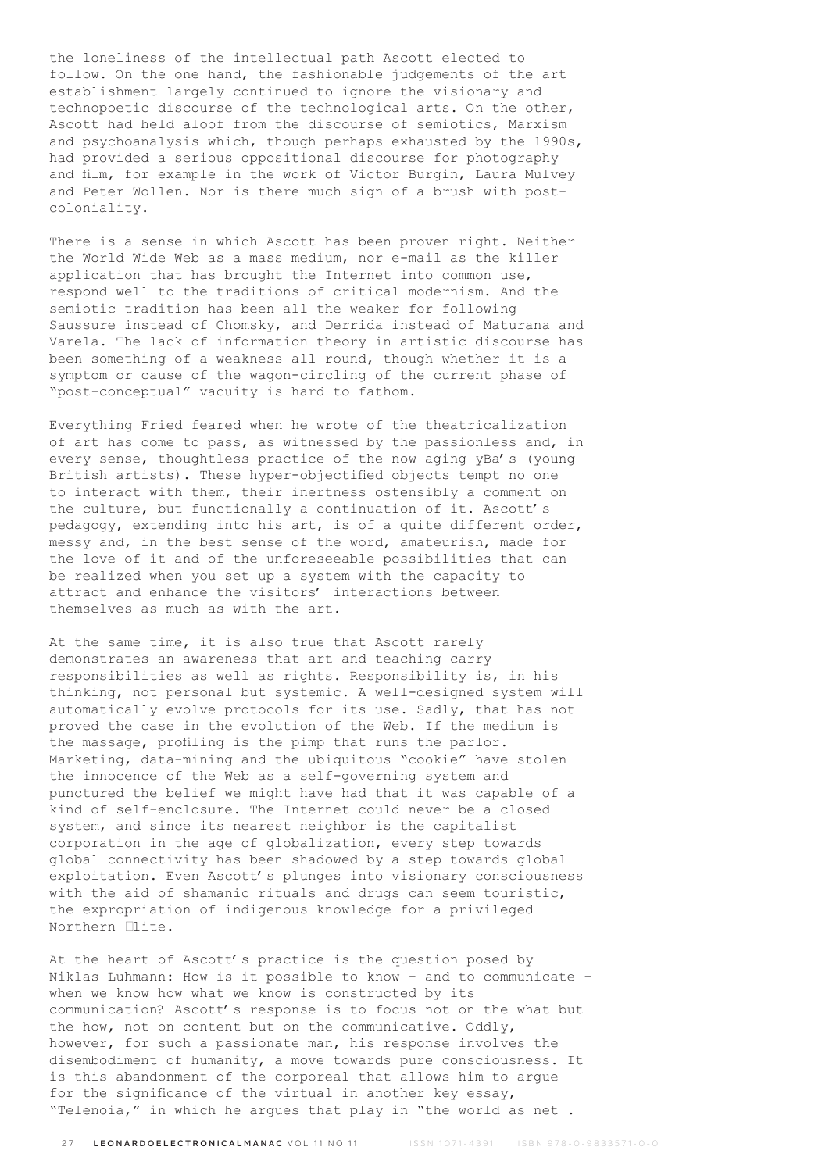the loneliness of the intellectual path Ascott elected to follow. On the one hand, the fashionable judgements of the art establishment largely continued to ignore the visionary and technopoetic discourse of the technological arts. On the other, Ascott had held aloof from the discourse of semiotics, Marxism and psychoanalysis which, though perhaps exhausted by the 1990s, had provided a serious oppositional discourse for photography and film, for example in the work of Victor Burgin, Laura Mulvey and Peter Wollen. Nor is there much sign of a brush with postcoloniality.

There is a sense in which Ascott has been proven right. Neither the World Wide Web as a mass medium, nor e-mail as the killer application that has brought the Internet into common use, respond well to the traditions of critical modernism. And the semiotic tradition has been all the weaker for following Saussure instead of Chomsky, and Derrida instead of Maturana and Varela. The lack of information theory in artistic discourse has been something of a weakness all round, though whether it is a symptom or cause of the wagon-circling of the current phase of "post-conceptual" vacuity is hard to fathom.

Everything Fried feared when he wrote of the theatricalization of art has come to pass, as witnessed by the passionless and, in every sense, thoughtless practice of the now aging yBa's (young British artists). These hyper-objectified objects tempt no one to interact with them, their inertness ostensibly a comment on the culture, but functionally a continuation of it. Ascott's pedagogy, extending into his art, is of a quite different order, messy and, in the best sense of the word, amateurish, made for the love of it and of the unforeseeable possibilities that can be realized when you set up a system with the capacity to attract and enhance the visitors' interactions between themselves as much as with the art.

At the same time, it is also true that Ascott rarely demonstrates an awareness that art and teaching carry responsibilities as well as rights. Responsibility is, in his thinking, not personal but systemic. A well-designed system will automatically evolve protocols for its use. Sadly, that has not proved the case in the evolution of the Web. If the medium is the massage, profiling is the pimp that runs the parlor. Marketing, data-mining and the ubiquitous "cookie" have stolen the innocence of the Web as a self-governing system and punctured the belief we might have had that it was capable of a kind of self-enclosure. The Internet could never be a closed system, and since its nearest neighbor is the capitalist corporation in the age of globalization, every step towards global connectivity has been shadowed by a step towards global exploitation. Even Ascott's plunges into visionary consciousness with the aid of shamanic rituals and drugs can seem touristic, the expropriation of indigenous knowledge for a privileged Northern **Elite**.

At the heart of Ascott's practice is the question posed by Niklas Luhmann: How is it possible to know - and to communicate when we know how what we know is constructed by its communication? Ascott's response is to focus not on the what but the how, not on content but on the communicative. Oddly, however, for such a passionate man, his response involves the disembodiment of humanity, a move towards pure consciousness. It is this abandonment of the corporeal that allows him to argue for the significance of the virtual in another key essay, "Telenoia," in which he argues that play in "the world as net .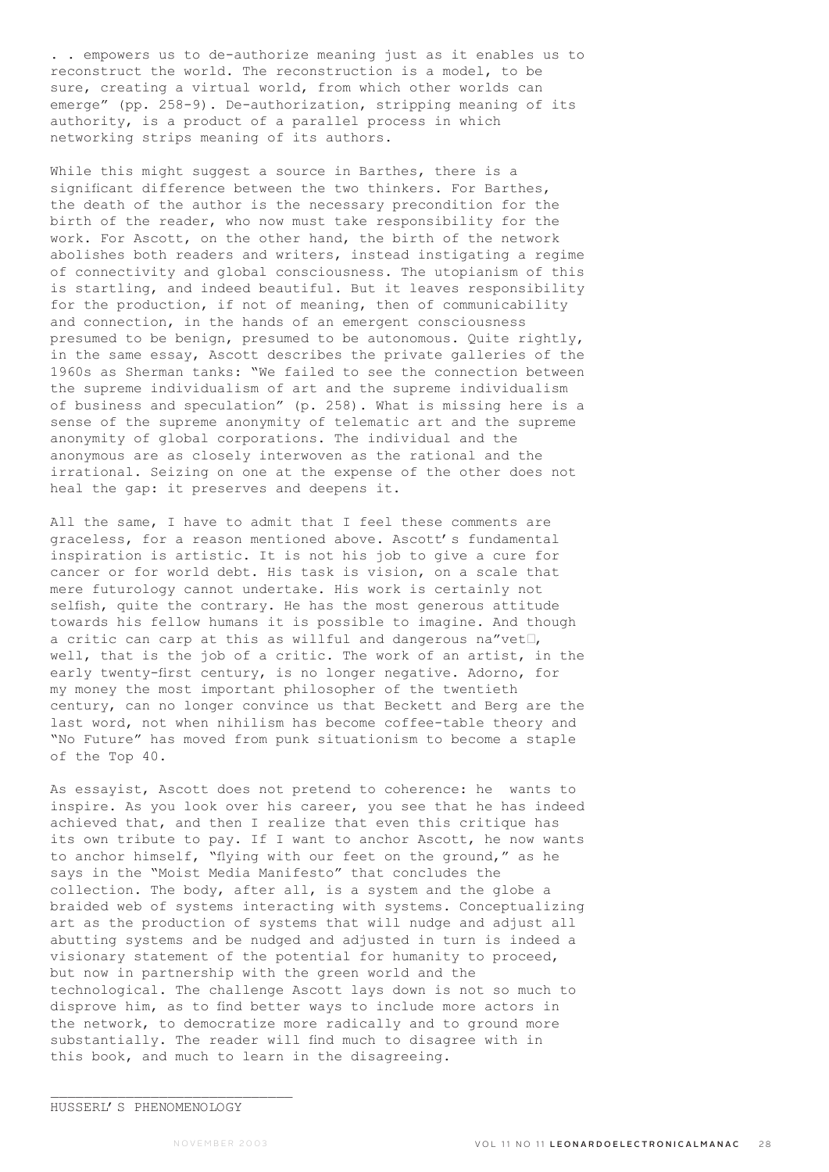. . empowers us to de-authorize meaning just as it enables us to reconstruct the world. The reconstruction is a model, to be sure, creating a virtual world, from which other worlds can emerge" (pp. 258-9). De-authorization, stripping meaning of its authority, is a product of a parallel process in which networking strips meaning of its authors.

While this might suggest a source in Barthes, there is a significant difference between the two thinkers. For Barthes, the death of the author is the necessary precondition for the birth of the reader, who now must take responsibility for the work. For Ascott, on the other hand, the birth of the network abolishes both readers and writers, instead instigating a regime of connectivity and global consciousness. The utopianism of this is startling, and indeed beautiful. But it leaves responsibility for the production, if not of meaning, then of communicability and connection, in the hands of an emergent consciousness presumed to be benign, presumed to be autonomous. Quite rightly, in the same essay, Ascott describes the private galleries of the 1960s as Sherman tanks: "We failed to see the connection between the supreme individualism of art and the supreme individualism of business and speculation" (p. 258). What is missing here is a sense of the supreme anonymity of telematic art and the supreme anonymity of global corporations. The individual and the anonymous are as closely interwoven as the rational and the irrational. Seizing on one at the expense of the other does not heal the gap: it preserves and deepens it.

All the same, I have to admit that I feel these comments are graceless, for a reason mentioned above. Ascott's fundamental inspiration is artistic. It is not his job to give a cure for cancer or for world debt. His task is vision, on a scale that mere futurology cannot undertake. His work is certainly not selfish, quite the contrary. He has the most generous attitude towards his fellow humans it is possible to imagine. And though a critic can carp at this as willful and dangerous na"vet $\square$ , well, that is the job of a critic. The work of an artist, in the early twenty-first century, is no longer negative. Adorno, for my money the most important philosopher of the twentieth century, can no longer convince us that Beckett and Berg are the last word, not when nihilism has become coffee-table theory and "No Future" has moved from punk situationism to become a staple of the Top 40.

As essayist, Ascott does not pretend to coherence: he wants to inspire. As you look over his career, you see that he has indeed achieved that, and then I realize that even this critique has its own tribute to pay. If I want to anchor Ascott, he now wants to anchor himself, "flying with our feet on the ground," as he says in the "Moist Media Manifesto" that concludes the collection. The body, after all, is a system and the globe a braided web of systems interacting with systems. Conceptualizing art as the production of systems that will nudge and adjust all abutting systems and be nudged and adjusted in turn is indeed a visionary statement of the potential for humanity to proceed, but now in partnership with the green world and the technological. The challenge Ascott lays down is not so much to disprove him, as to find better ways to include more actors in the network, to democratize more radically and to ground more substantially. The reader will find much to disagree with in this book, and much to learn in the disagreeing.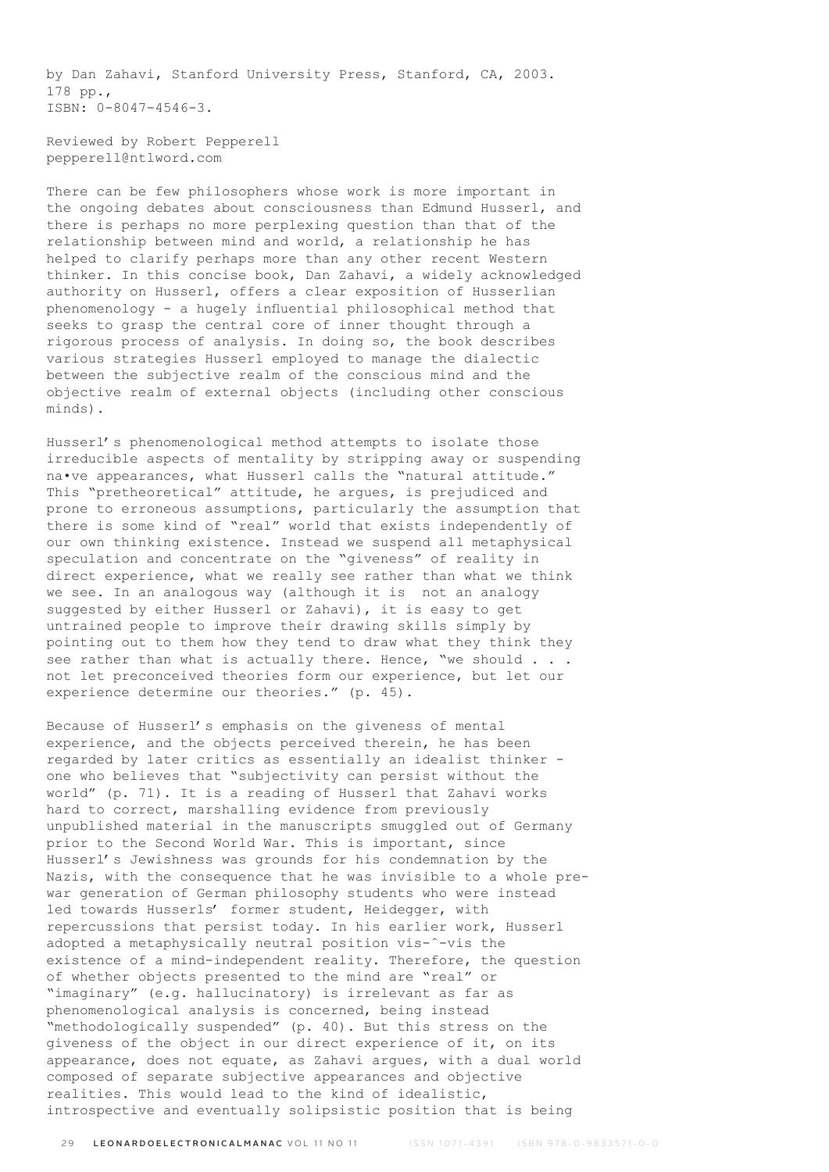by Dan Zahavi, Stanford University Press, Stanford, CA, 2003. 178 pp., ISBN: 0-8047-4546-3.

Reviewed by Robert Pepperell pepperell@ntlword.com

There can be few philosophers whose work is more important in the ongoing debates about consciousness than Edmund Husserl, and there is perhaps no more perplexing question than that of the relationship between mind and world, a relationship he has helped to clarify perhaps more than any other recent Western thinker. In this concise book, Dan Zahavi, a widely acknowledged authority on Husserl, offers a clear exposition of Husserlian phenomenology - a hugely influential philosophical method that seeks to grasp the central core of inner thought through a rigorous process of analysis. In doing so, the book describes various strategies Husserl employed to manage the dialectic between the subjective realm of the conscious mind and the objective realm of external objects (including other conscious minds).

Husserl's phenomenological method attempts to isolate those irreducible aspects of mentality by stripping away or suspending na•ve appearances, what Husserl calls the "natural attitude." This "pretheoretical" attitude, he argues, is prejudiced and prone to erroneous assumptions, particularly the assumption that there is some kind of "real" world that exists independently of our own thinking existence. Instead we suspend all metaphysical speculation and concentrate on the "giveness" of reality in direct experience, what we really see rather than what we think we see. In an analogous way (although it is not an analogy suggested by either Husserl or Zahavi), it is easy to get untrained people to improve their drawing skills simply by pointing out to them how they tend to draw what they think they see rather than what is actually there. Hence, "we should . . . not let preconceived theories form our experience, but let our experience determine our theories." (p. 45).

Because of Husserl's emphasis on the giveness of mental experience, and the objects perceived therein, he has been regarded by later critics as essentially an idealist thinker one who believes that "subjectivity can persist without the world" (p. 71). It is a reading of Husserl that Zahavi works hard to correct, marshalling evidence from previously unpublished material in the manuscripts smuggled out of Germany prior to the Second World War. This is important, since Husserl's Jewishness was grounds for his condemnation by the Nazis, with the consequence that he was invisible to a whole prewar generation of German philosophy students who were instead led towards Husserls' former student, Heidegger, with repercussions that persist today. In his earlier work, Husserl adopted a metaphysically neutral position vis-ˆ-vis the existence of a mind-independent reality. Therefore, the question of whether objects presented to the mind are "real" or "imaginary" (e.g. hallucinatory) is irrelevant as far as phenomenological analysis is concerned, being instead "methodologically suspended" (p. 40). But this stress on the giveness of the object in our direct experience of it, on its appearance, does not equate, as Zahavi argues, with a dual world composed of separate subjective appearances and objective realities. This would lead to the kind of idealistic, introspective and eventually solipsistic position that is being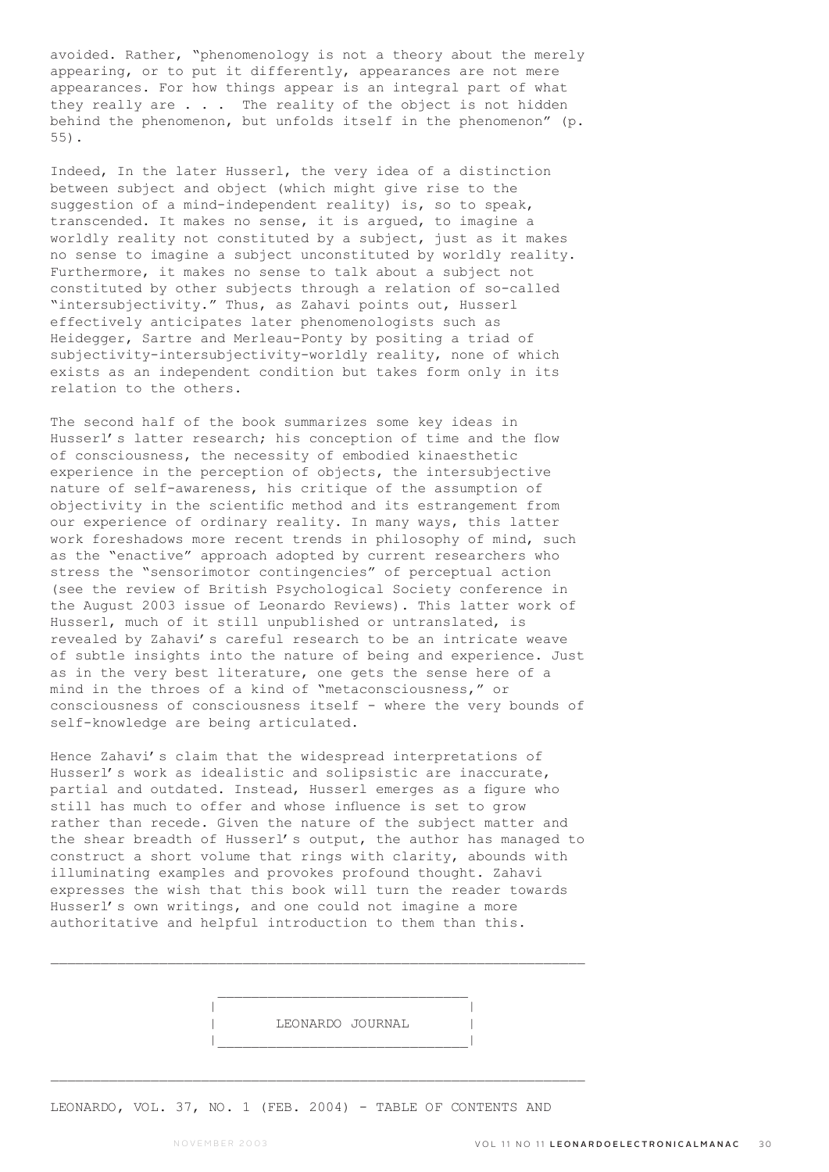avoided. Rather, "phenomenology is not a theory about the merely appearing, or to put it differently, appearances are not mere appearances. For how things appear is an integral part of what they really are . . . The reality of the object is not hidden behind the phenomenon, but unfolds itself in the phenomenon" (p. 55).

Indeed, In the later Husserl, the very idea of a distinction between subject and object (which might give rise to the suggestion of a mind-independent reality) is, so to speak, transcended. It makes no sense, it is argued, to imagine a worldly reality not constituted by a subject, just as it makes no sense to imagine a subject unconstituted by worldly reality. Furthermore, it makes no sense to talk about a subject not constituted by other subjects through a relation of so-called "intersubjectivity." Thus, as Zahavi points out, Husserl effectively anticipates later phenomenologists such as Heidegger, Sartre and Merleau-Ponty by positing a triad of subjectivity-intersubjectivity-worldly reality, none of which exists as an independent condition but takes form only in its relation to the others.

The second half of the book summarizes some key ideas in Husserl's latter research; his conception of time and the flow of consciousness, the necessity of embodied kinaesthetic experience in the perception of objects, the intersubjective nature of self-awareness, his critique of the assumption of objectivity in the scientific method and its estrangement from our experience of ordinary reality. In many ways, this latter work foreshadows more recent trends in philosophy of mind, such as the "enactive" approach adopted by current researchers who stress the "sensorimotor contingencies" of perceptual action (see the review of British Psychological Society conference in the August 2003 issue of Leonardo Reviews). This latter work of Husserl, much of it still unpublished or untranslated, is revealed by Zahavi's careful research to be an intricate weave of subtle insights into the nature of being and experience. Just as in the very best literature, one gets the sense here of a mind in the throes of a kind of "metaconsciousness," or consciousness of consciousness itself - where the very bounds of self-knowledge are being articulated.

Hence Zahavi's claim that the widespread interpretations of Husserl's work as idealistic and solipsistic are inaccurate, partial and outdated. Instead, Husserl emerges as a figure who still has much to offer and whose influence is set to grow rather than recede. Given the nature of the subject matter and the shear breadth of Husserl's output, the author has managed to construct a short volume that rings with clarity, abounds with illuminating examples and provokes profound thought. Zahavi expresses the wish that this book will turn the reader towards Husserl's own writings, and one could not imagine a more authoritative and helpful introduction to them than this.



LEONARDO, VOL. 37, NO. 1 (FEB. 2004) - TABLE OF CONTENTS AND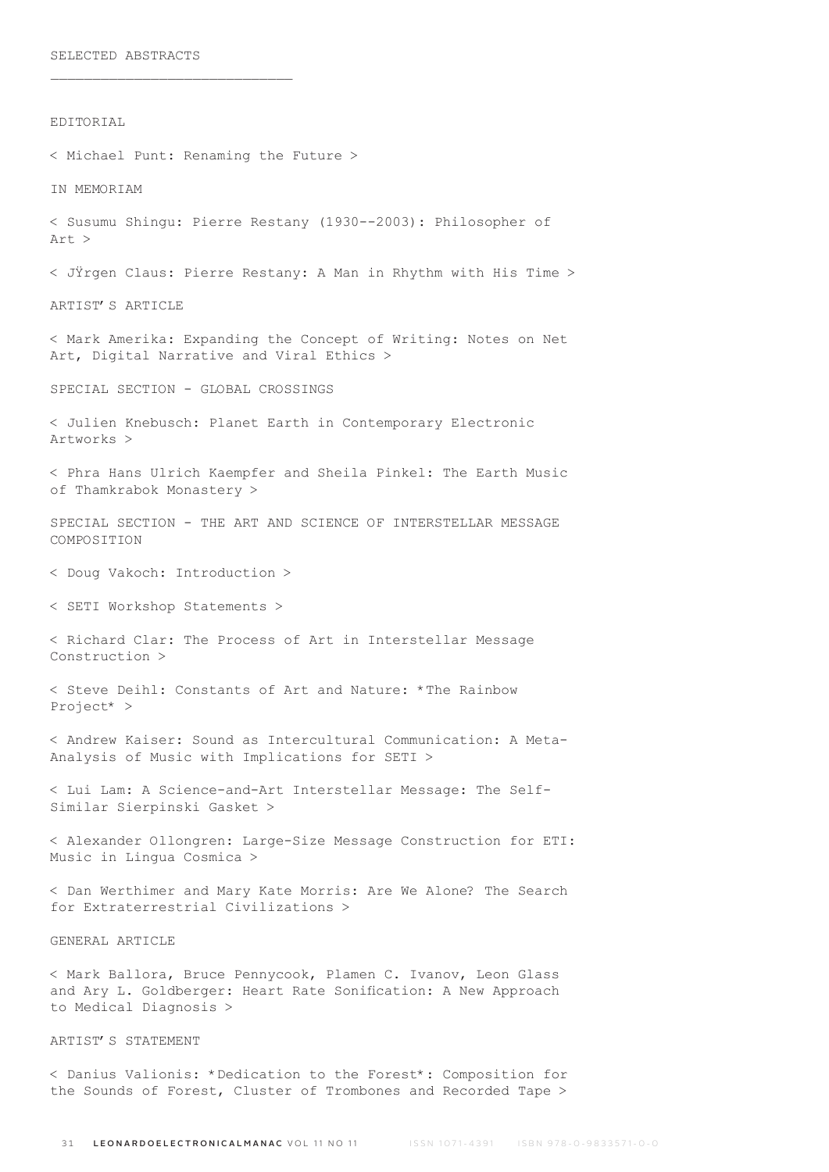$\overline{\phantom{a}}$  , where  $\overline{\phantom{a}}$  , where  $\overline{\phantom{a}}$  ,  $\overline{\phantom{a}}$  ,  $\overline{\phantom{a}}$  ,  $\overline{\phantom{a}}$  ,  $\overline{\phantom{a}}$  ,  $\overline{\phantom{a}}$  ,  $\overline{\phantom{a}}$  ,  $\overline{\phantom{a}}$  ,  $\overline{\phantom{a}}$  ,  $\overline{\phantom{a}}$  ,  $\overline{\phantom{a}}$  ,  $\overline{\phantom{a}}$  ,  $\overline{\phantom{a}}$  ,

EDITORIAL < Michael Punt: Renaming the Future > IN MEMORIAM < Susumu Shingu: Pierre Restany (1930--2003): Philosopher of Art > < JŸrgen Claus: Pierre Restany: A Man in Rhythm with His Time > ARTIST'S ARTICLE < Mark Amerika: Expanding the Concept of Writing: Notes on Net Art, Digital Narrative and Viral Ethics > SPECIAL SECTION - GLOBAL CROSSINGS < Julien Knebusch: Planet Earth in Contemporary Electronic Artworks > < Phra Hans Ulrich Kaempfer and Sheila Pinkel: The Earth Music of Thamkrabok Monastery > SPECIAL SECTION - THE ART AND SCIENCE OF INTERSTELLAR MESSAGE COMPOSITION < Doug Vakoch: Introduction > < SETI Workshop Statements > < Richard Clar: The Process of Art in Interstellar Message Construction > < Steve Deihl: Constants of Art and Nature: \*The Rainbow Project\* > < Andrew Kaiser: Sound as Intercultural Communication: A Meta-Analysis of Music with Implications for SETI > < Lui Lam: A Science-and-Art Interstellar Message: The Self-Similar Sierpinski Gasket > < Alexander Ollongren: Large-Size Message Construction for ETI: Music in Lingua Cosmica > < Dan Werthimer and Mary Kate Morris: Are We Alone? The Search for Extraterrestrial Civilizations > GENERAL ARTICLE < Mark Ballora, Bruce Pennycook, Plamen C. Ivanov, Leon Glass and Ary L. Goldberger: Heart Rate Sonification: A New Approach to Medical Diagnosis >

ARTIST'S STATEMENT

< Danius Valionis: \*Dedication to the Forest\*: Composition for the Sounds of Forest, Cluster of Trombones and Recorded Tape >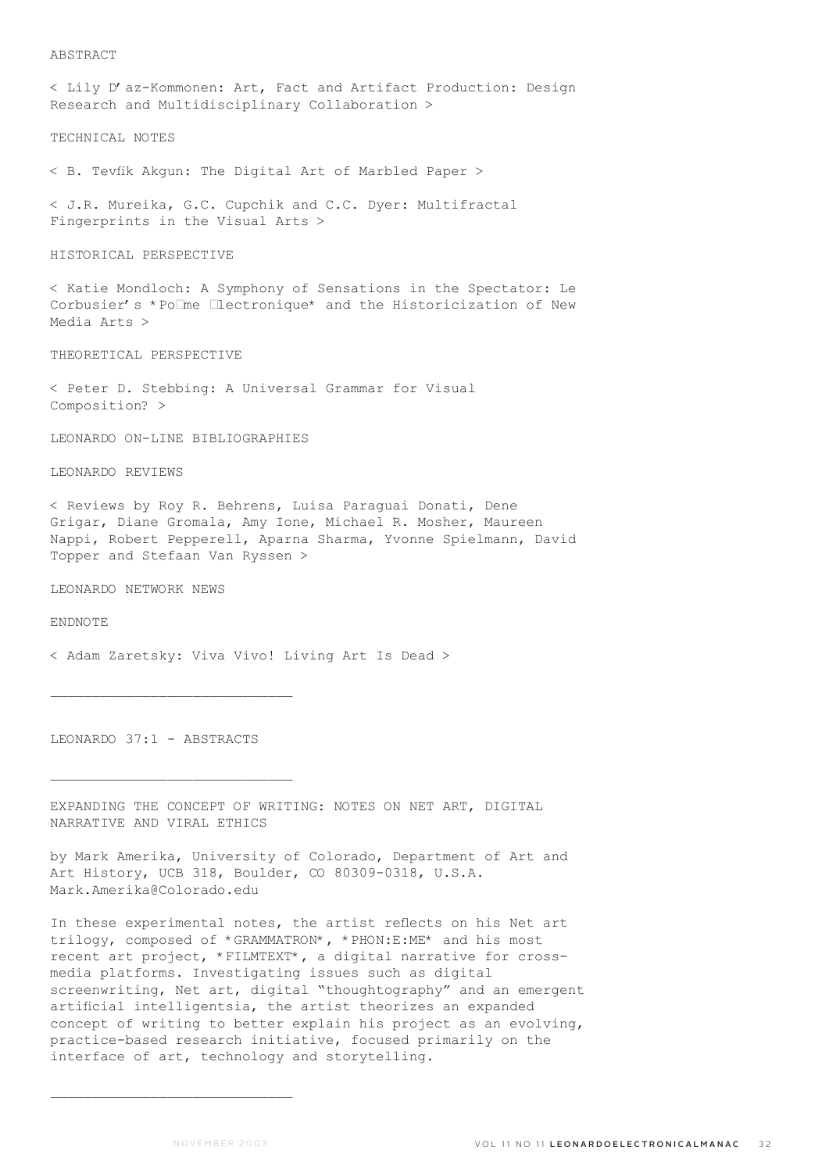#### ABSTRACT

< Lily D'az-Kommonen: Art, Fact and Artifact Production: Design Research and Multidisciplinary Collaboration >

TECHNICAL NOTES

< B. Tevfik Akgun: The Digital Art of Marbled Paper >

< J.R. Mureika, G.C. Cupchik and C.C. Dyer: Multifractal Fingerprints in the Visual Arts >

HISTORICAL PERSPECTIVE

< Katie Mondloch: A Symphony of Sensations in the Spectator: Le Corbusier's \*Polme Llectronique\* and the Historicization of New Media Arts >

THEORETICAL PERSPECTIVE

< Peter D. Stebbing: A Universal Grammar for Visual Composition? >

LEONARDO ON-LINE BIBLIOGRAPHIES

LEONARDO REVIEWS

< Reviews by Roy R. Behrens, Luisa Paraguai Donati, Dene Grigar, Diane Gromala, Amy Ione, Michael R. Mosher, Maureen Nappi, Robert Pepperell, Aparna Sharma, Yvonne Spielmann, David Topper and Stefaan Van Ryssen >

LEONARDO NETWORK NEWS

ENDNOTE

< Adam Zaretsky: Viva Vivo! Living Art Is Dead >

LEONARDO 37:1 - ABSTRACTS

 $\mathcal{L}_\text{max}$ 

 $\mathcal{L}_\text{max}$ 

EXPANDING THE CONCEPT OF WRITING: NOTES ON NET ART, DIGITAL NARRATIVE AND VIRAL ETHICS

by Mark Amerika, University of Colorado, Department of Art and Art History, UCB 318, Boulder, CO 80309-0318, U.S.A. Mark.Amerika@Colorado.edu

In these experimental notes, the artist reflects on his Net art trilogy, composed of \*GRAMMATRON\*, \*PHON:E:ME\* and his most recent art project, \*FILMTEXT\*, a digital narrative for crossmedia platforms. Investigating issues such as digital screenwriting, Net art, digital "thoughtography" and an emergent artificial intelligentsia, the artist theorizes an expanded concept of writing to better explain his project as an evolving, practice-based research initiative, focused primarily on the interface of art, technology and storytelling.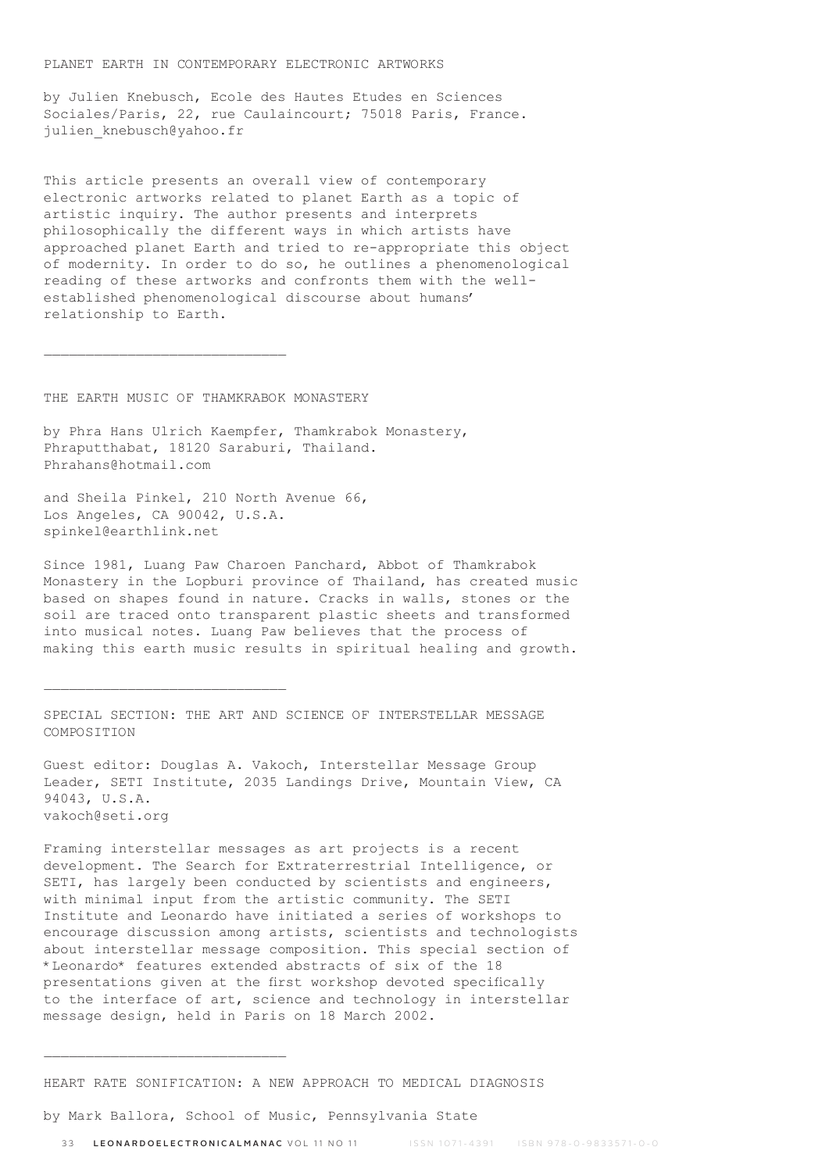### PLANET EARTH IN CONTEMPORARY ELECTRONIC ARTWORKS

by Julien Knebusch, Ecole des Hautes Etudes en Sciences Sociales/Paris, 22, rue Caulaincourt; 75018 Paris, France. julien\_knebusch@yahoo.fr

This article presents an overall view of contemporary electronic artworks related to planet Earth as a topic of artistic inquiry. The author presents and interprets philosophically the different ways in which artists have approached planet Earth and tried to re-appropriate this object of modernity. In order to do so, he outlines a phenomenological reading of these artworks and confronts them with the wellestablished phenomenological discourse about humans' relationship to Earth.

THE EARTH MUSIC OF THAMKRABOK MONASTERY

 $\mathcal{L}_\text{max}$ 

 $\mathcal{L}_\text{max}$ 

by Phra Hans Ulrich Kaempfer, Thamkrabok Monastery, Phraputthabat, 18120 Saraburi, Thailand. Phrahans@hotmail.com

and Sheila Pinkel, 210 North Avenue 66, Los Angeles, CA 90042, U.S.A. spinkel@earthlink.net

Since 1981, Luang Paw Charoen Panchard, Abbot of Thamkrabok Monastery in the Lopburi province of Thailand, has created music based on shapes found in nature. Cracks in walls, stones or the soil are traced onto transparent plastic sheets and transformed into musical notes. Luang Paw believes that the process of making this earth music results in spiritual healing and growth.

SPECIAL SECTION: THE ART AND SCIENCE OF INTERSTELLAR MESSAGE COMPOSITION

Guest editor: Douglas A. Vakoch, Interstellar Message Group Leader, SETI Institute, 2035 Landings Drive, Mountain View, CA 94043, U.S.A. vakoch@seti.org

Framing interstellar messages as art projects is a recent development. The Search for Extraterrestrial Intelligence, or SETI, has largely been conducted by scientists and engineers, with minimal input from the artistic community. The SETI Institute and Leonardo have initiated a series of workshops to encourage discussion among artists, scientists and technologists about interstellar message composition. This special section of \*Leonardo\* features extended abstracts of six of the 18 presentations given at the first workshop devoted specifically to the interface of art, science and technology in interstellar message design, held in Paris on 18 March 2002.

HEART RATE SONIFICATION: A NEW APPROACH TO MEDICAL DIAGNOSIS

by Mark Ballora, School of Music, Pennsylvania State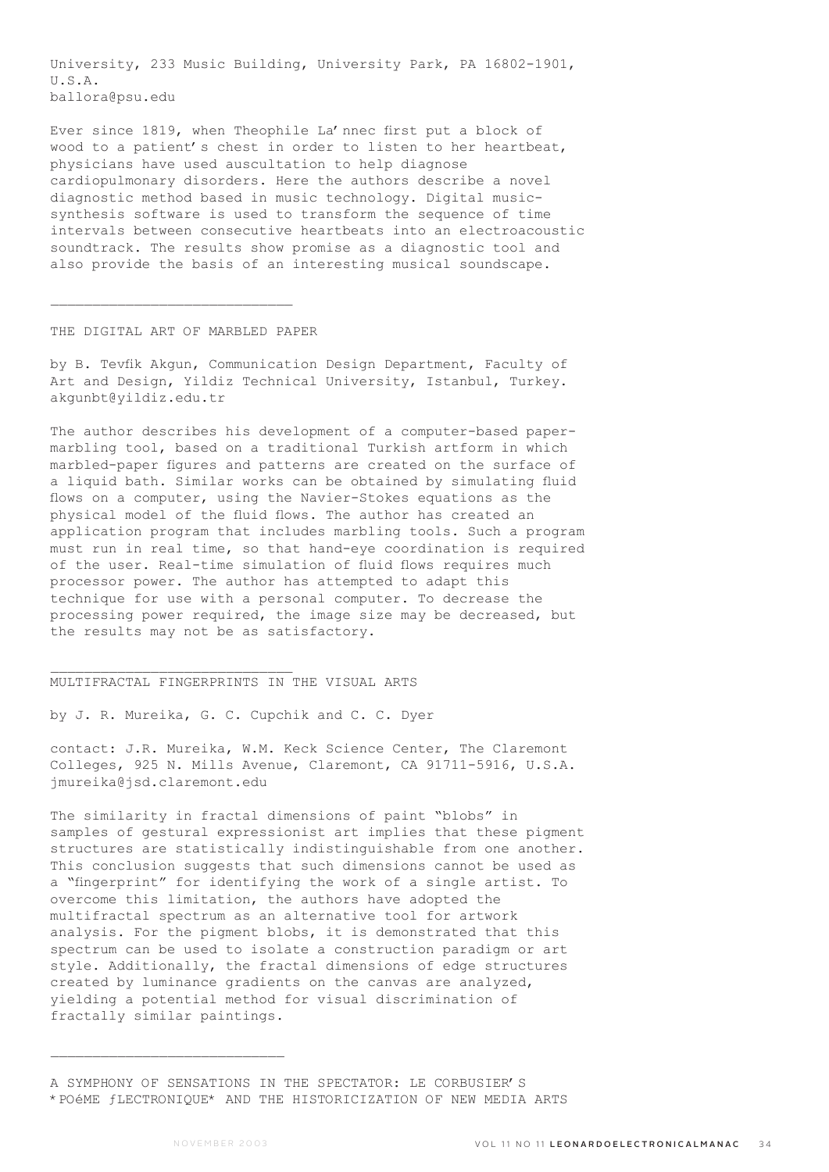University, 233 Music Building, University Park, PA 16802-1901, U.S.A. ballora@psu.edu

Ever since 1819, when Theophile La'nnec first put a block of wood to a patient's chest in order to listen to her heartbeat, physicians have used auscultation to help diagnose cardiopulmonary disorders. Here the authors describe a novel diagnostic method based in music technology. Digital musicsynthesis software is used to transform the sequence of time intervals between consecutive heartbeats into an electroacoustic soundtrack. The results show promise as a diagnostic tool and also provide the basis of an interesting musical soundscape.

### THE DIGITAL ART OF MARBLED PAPER

 $\overline{\phantom{a}}$  , where  $\overline{\phantom{a}}$  , where  $\overline{\phantom{a}}$  ,  $\overline{\phantom{a}}$  ,  $\overline{\phantom{a}}$  ,  $\overline{\phantom{a}}$  ,  $\overline{\phantom{a}}$  ,  $\overline{\phantom{a}}$  ,  $\overline{\phantom{a}}$  ,  $\overline{\phantom{a}}$  ,  $\overline{\phantom{a}}$  ,  $\overline{\phantom{a}}$  ,  $\overline{\phantom{a}}$  ,  $\overline{\phantom{a}}$  ,  $\overline{\phantom{a}}$  ,

by B. Tevfik Akgun, Communication Design Department, Faculty of Art and Design, Yildiz Technical University, Istanbul, Turkey. akgunbt@yildiz.edu.tr

The author describes his development of a computer-based papermarbling tool, based on a traditional Turkish artform in which marbled-paper figures and patterns are created on the surface of a liquid bath. Similar works can be obtained by simulating fluid flows on a computer, using the Navier-Stokes equations as the physical model of the fluid flows. The author has created an application program that includes marbling tools. Such a program must run in real time, so that hand-eye coordination is required of the user. Real-time simulation of fluid flows requires much processor power. The author has attempted to adapt this technique for use with a personal computer. To decrease the processing power required, the image size may be decreased, but the results may not be as satisfactory.

# MULTIFRACTAL FINGERPRINTS IN THE VISUAL ARTS

 $\mathcal{L}_\text{max}$ 

by J. R. Mureika, G. C. Cupchik and C. C. Dyer

contact: J.R. Mureika, W.M. Keck Science Center, The Claremont Colleges, 925 N. Mills Avenue, Claremont, CA 91711-5916, U.S.A. jmureika@jsd.claremont.edu

The similarity in fractal dimensions of paint "blobs" in samples of gestural expressionist art implies that these pigment structures are statistically indistinguishable from one another. This conclusion suggests that such dimensions cannot be used as a "fingerprint" for identifying the work of a single artist. To overcome this limitation, the authors have adopted the multifractal spectrum as an alternative tool for artwork analysis. For the pigment blobs, it is demonstrated that this spectrum can be used to isolate a construction paradigm or art style. Additionally, the fractal dimensions of edge structures created by luminance gradients on the canvas are analyzed, yielding a potential method for visual discrimination of fractally similar paintings.

A SYMPHONY OF SENSATIONS IN THE SPECTATOR: LE CORBUSIER'S \*POéME ƒLECTRONIQUE\* AND THE HISTORICIZATION OF NEW MEDIA ARTS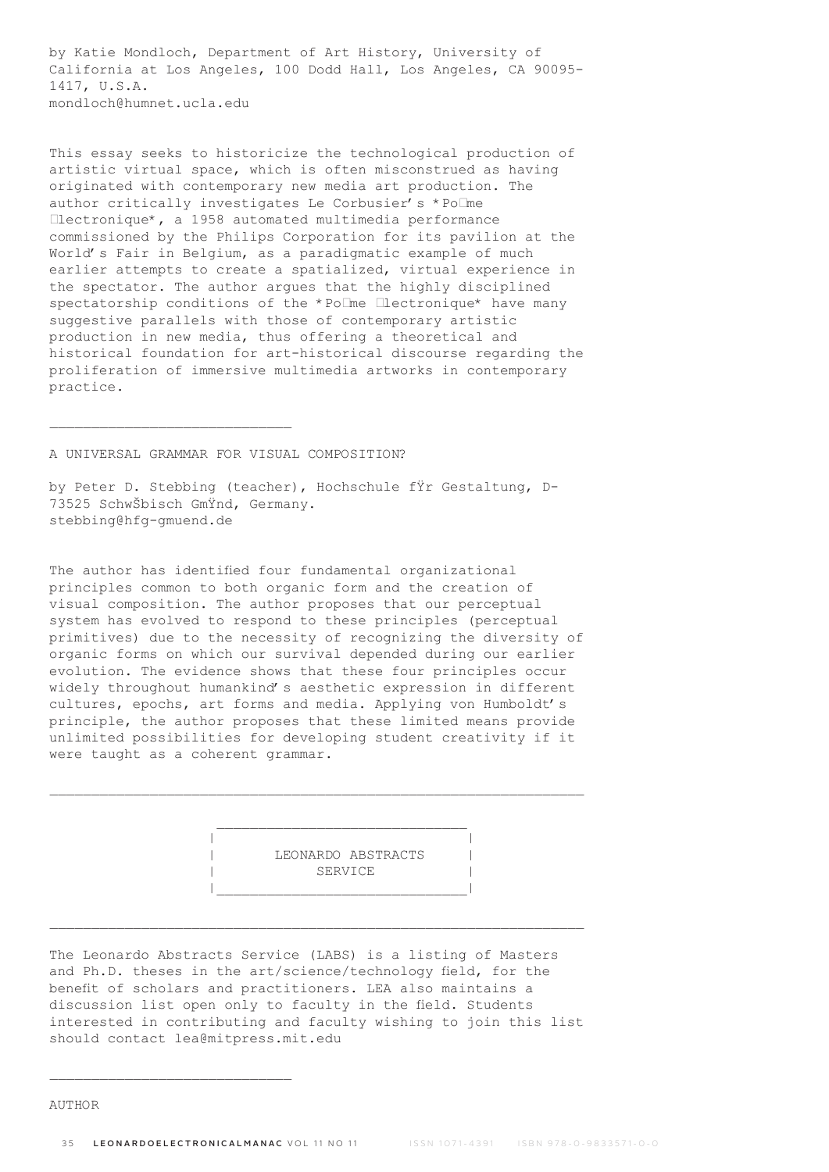by Katie Mondloch, Department of Art History, University of California at Los Angeles, 100 Dodd Hall, Los Angeles, CA 90095- 1417, U.S.A. mondloch@humnet.ucla.edu

This essay seeks to historicize the technological production of artistic virtual space, which is often misconstrued as having originated with contemporary new media art production. The author critically investigates Le Corbusier's \*Polme Žlectronique\*, a 1958 automated multimedia performance commissioned by the Philips Corporation for its pavilion at the World's Fair in Belgium, as a paradigmatic example of much earlier attempts to create a spatialized, virtual experience in the spectator. The author argues that the highly disciplined spectatorship conditions of the \*Polme Ilectronique\* have many suggestive parallels with those of contemporary artistic production in new media, thus offering a theoretical and historical foundation for art-historical discourse regarding the proliferation of immersive multimedia artworks in contemporary practice.

A UNIVERSAL GRAMMAR FOR VISUAL COMPOSITION?

by Peter D. Stebbing (teacher), Hochschule fŸr Gestaltung, D-73525 SchwŠbisch GmŸnd, Germany. stebbing@hfg-gmuend.de

The author has identified four fundamental organizational principles common to both organic form and the creation of visual composition. The author proposes that our perceptual system has evolved to respond to these principles (perceptual primitives) due to the necessity of recognizing the diversity of organic forms on which our survival depended during our earlier evolution. The evidence shows that these four principles occur widely throughout humankind's aesthetic expression in different cultures, epochs, art forms and media. Applying von Humboldt's principle, the author proposes that these limited means provide unlimited possibilities for developing student creativity if it were taught as a coherent grammar.

 | | | LEONARDO ABSTRACTS | SERVICE |\_\_\_\_\_\_\_\_\_\_\_\_\_\_\_\_\_\_\_\_\_\_\_\_\_\_\_\_\_\_|

The Leonardo Abstracts Service (LABS) is a listing of Masters and Ph.D. theses in the art/science/technology field, for the benefit of scholars and practitioners. LEA also maintains a discussion list open only to faculty in the field. Students interested in contributing and faculty wishing to join this list should contact lea@mitpress.mit.edu

AUTHOR

 $\overline{\phantom{a}}$  , where  $\overline{\phantom{a}}$  , where  $\overline{\phantom{a}}$  ,  $\overline{\phantom{a}}$  ,  $\overline{\phantom{a}}$  ,  $\overline{\phantom{a}}$  ,  $\overline{\phantom{a}}$  ,  $\overline{\phantom{a}}$  ,  $\overline{\phantom{a}}$  ,  $\overline{\phantom{a}}$  ,  $\overline{\phantom{a}}$  ,  $\overline{\phantom{a}}$  ,  $\overline{\phantom{a}}$  ,  $\overline{\phantom{a}}$  ,  $\overline{\phantom{a}}$  ,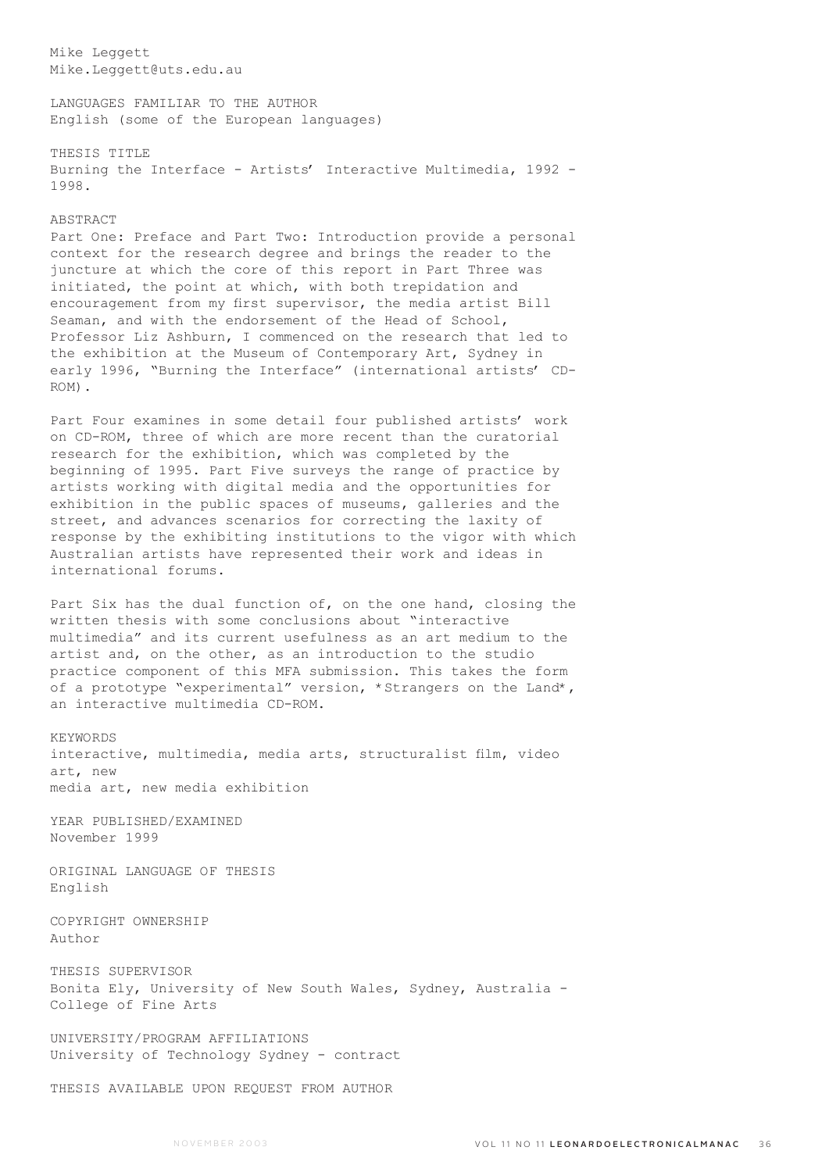Mike Leggett Mike.Leggett@uts.edu.au

LANGUAGES FAMILIAR TO THE AUTHOR English (some of the European languages)

THESIS TITLE Burning the Interface - Artists' Interactive Multimedia, 1992 - 1998.

## ABSTRACT

Part One: Preface and Part Two: Introduction provide a personal context for the research degree and brings the reader to the juncture at which the core of this report in Part Three was initiated, the point at which, with both trepidation and encouragement from my first supervisor, the media artist Bill Seaman, and with the endorsement of the Head of School, Professor Liz Ashburn, I commenced on the research that led to the exhibition at the Museum of Contemporary Art, Sydney in early 1996, "Burning the Interface" (international artists' CD-ROM).

Part Four examines in some detail four published artists' work on CD-ROM, three of which are more recent than the curatorial research for the exhibition, which was completed by the beginning of 1995. Part Five surveys the range of practice by artists working with digital media and the opportunities for exhibition in the public spaces of museums, galleries and the street, and advances scenarios for correcting the laxity of response by the exhibiting institutions to the vigor with which Australian artists have represented their work and ideas in international forums.

Part Six has the dual function of, on the one hand, closing the written thesis with some conclusions about "interactive multimedia" and its current usefulness as an art medium to the artist and, on the other, as an introduction to the studio practice component of this MFA submission. This takes the form of a prototype "experimental" version, \*Strangers on the Land\*, an interactive multimedia CD-ROM.

#### KEYWORDS

interactive, multimedia, media arts, structuralist film, video art, new media art, new media exhibition

YEAR PUBLISHED/EXAMINED November 1999

ORIGINAL LANGUAGE OF THESIS English

COPYRIGHT OWNERSHIP Author

THESIS SUPERVISOR Bonita Ely, University of New South Wales, Sydney, Australia - College of Fine Arts

UNIVERSITY/PROGRAM AFFILIATIONS University of Technology Sydney - contract

THESIS AVAILABLE UPON REQUEST FROM AUTHOR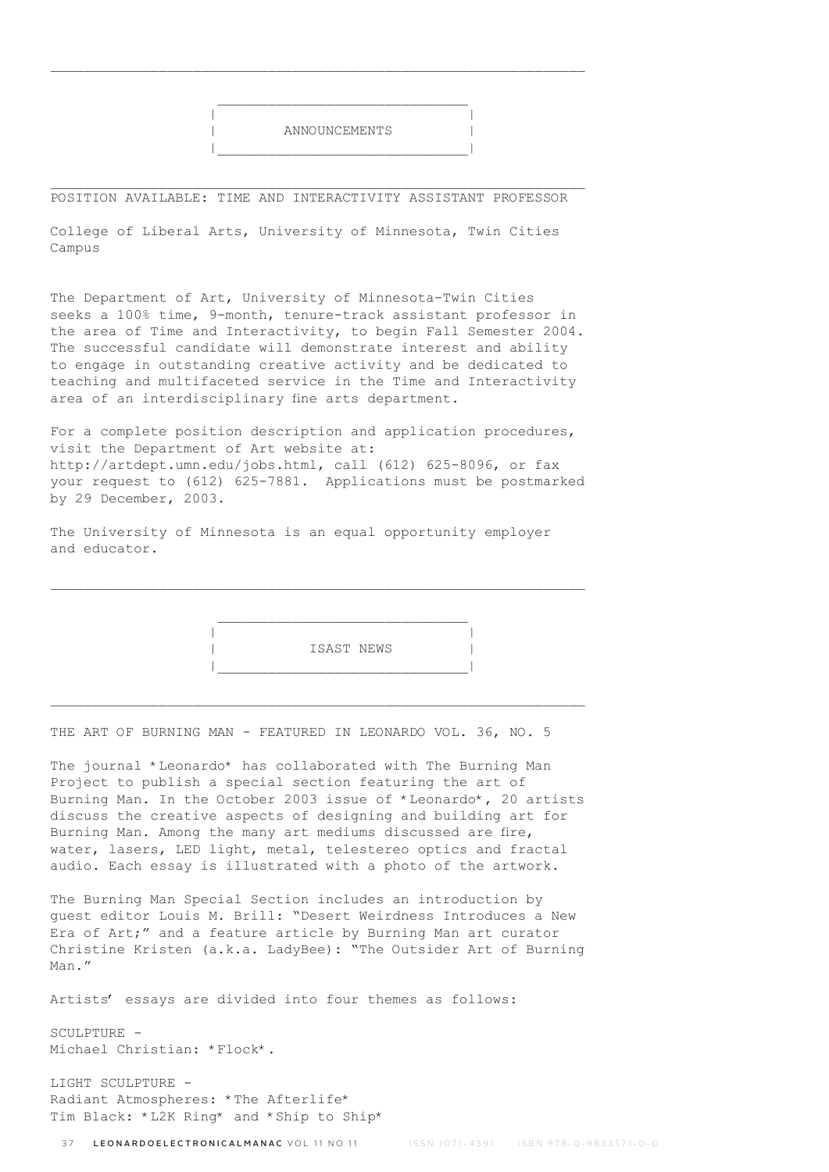

\_\_\_\_\_\_\_\_\_\_\_\_\_\_\_\_\_\_\_\_\_\_\_\_\_\_\_\_\_\_\_\_\_\_\_\_\_\_\_\_\_\_\_\_\_\_\_\_\_\_\_\_\_\_\_\_\_\_\_\_\_\_\_\_ POSITION AVAILABLE: TIME AND INTERACTIVITY ASSISTANT PROFESSOR

\_\_\_\_\_\_\_\_\_\_\_\_\_\_\_\_\_\_\_\_\_\_\_\_\_\_\_\_\_\_\_\_\_\_\_\_\_\_\_\_\_\_\_\_\_\_\_\_\_\_\_\_\_\_\_\_\_\_\_\_\_\_\_\_

College of Liberal Arts, University of Minnesota, Twin Cities Campus

The Department of Art, University of Minnesota-Twin Cities seeks a 100% time, 9-month, tenure-track assistant professor in the area of Time and Interactivity, to begin Fall Semester 2004. The successful candidate will demonstrate interest and ability to engage in outstanding creative activity and be dedicated to teaching and multifaceted service in the Time and Interactivity area of an interdisciplinary fine arts department.

For a complete position description and application procedures, visit the Department of Art website at: http://artdept.umn.edu/jobs.html, call (612) 625-8096, or fax your request to (612) 625-7881. Applications must be postmarked by 29 December, 2003.

|               |  |  | The University of Minnesota is an equal opportunity employer |  |
|---------------|--|--|--------------------------------------------------------------|--|
| and educator. |  |  |                                                              |  |

 | | | ISAST NEWS | |\_\_\_\_\_\_\_\_\_\_\_\_\_\_\_\_\_\_\_\_\_\_\_\_\_\_\_\_\_\_|

THE ART OF BURNING MAN - FEATURED IN LEONARDO VOL. 36, NO. 5

The journal \*Leonardo\* has collaborated with The Burning Man Project to publish a special section featuring the art of Burning Man. In the October 2003 issue of \*Leonardo\*, 20 artists discuss the creative aspects of designing and building art for Burning Man. Among the many art mediums discussed are fire, water, lasers, LED light, metal, telestereo optics and fractal audio. Each essay is illustrated with a photo of the artwork.

The Burning Man Special Section includes an introduction by guest editor Louis M. Brill: "Desert Weirdness Introduces a New Era of Art;" and a feature article by Burning Man art curator Christine Kristen (a.k.a. LadyBee): "The Outsider Art of Burning Man."

Artists' essays are divided into four themes as follows:

SCULPTURE -Michael Christian: \*Flock\*.

LIGHT SCULPTURE - Radiant Atmospheres: \*The Afterlife\* Tim Black: \*L2K Ring\* and \*Ship to Ship\*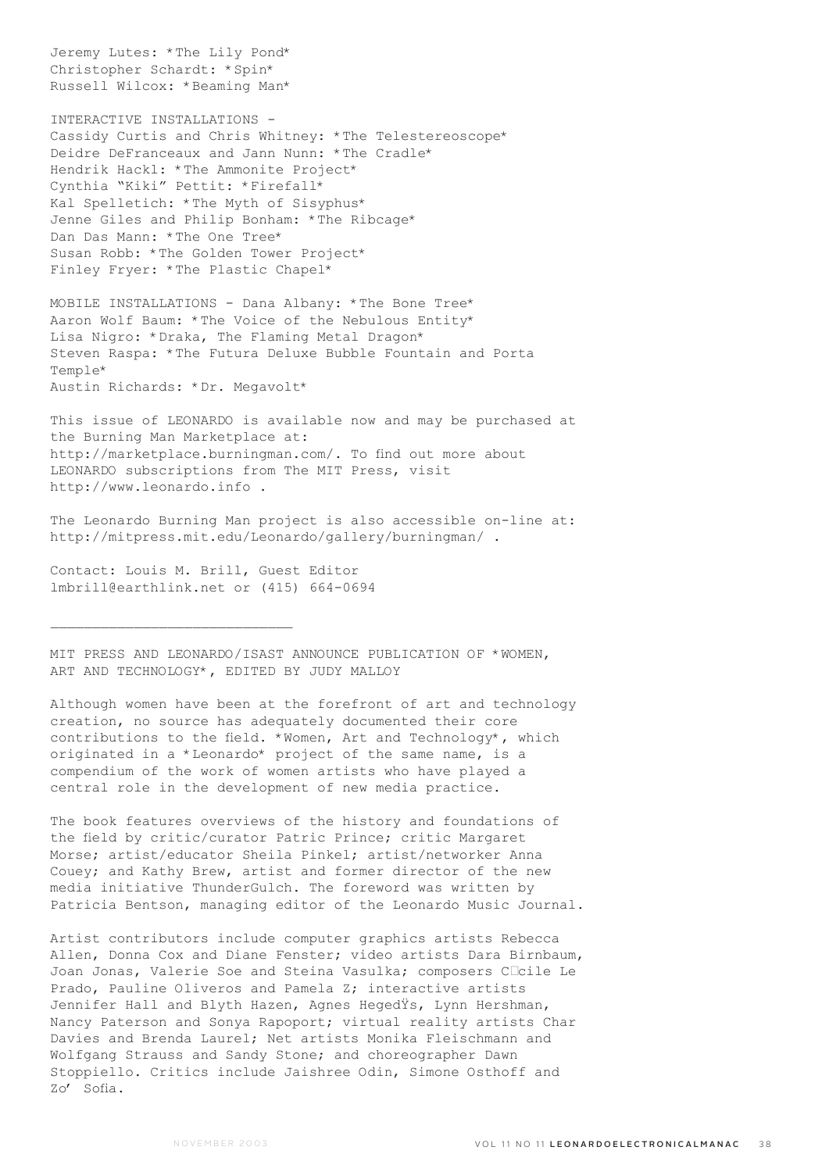Jeremy Lutes: \*The Lily Pond\* Christopher Schardt: \*Spin\* Russell Wilcox: \*Beaming Man\*

INTERACTIVE INSTALLATIONS - Cassidy Curtis and Chris Whitney: \*The Telestereoscope\* Deidre DeFranceaux and Jann Nunn: \*The Cradle\* Hendrik Hackl: \*The Ammonite Project\* Cynthia "Kiki" Pettit: \*Firefall\* Kal Spelletich: \*The Myth of Sisyphus\* Jenne Giles and Philip Bonham: \*The Ribcage\* Dan Das Mann: \*The One Tree\* Susan Robb: \*The Golden Tower Project\* Finley Fryer: \*The Plastic Chapel\*

MOBILE INSTALLATIONS - Dana Albany: \*The Bone Tree\* Aaron Wolf Baum: \*The Voice of the Nebulous Entity\* Lisa Nigro: \*Draka, The Flaming Metal Dragon\* Steven Raspa: \*The Futura Deluxe Bubble Fountain and Porta Temple\* Austin Richards: \*Dr. Megavolt\*

This issue of LEONARDO is available now and may be purchased at the Burning Man Marketplace at: http://marketplace.burningman.com/. To find out more about LEONARDO subscriptions from The MIT Press, visit http://www.leonardo.info .

The Leonardo Burning Man project is also accessible on-line at: http://mitpress.mit.edu/Leonardo/gallery/burningman/ .

Contact: Louis M. Brill, Guest Editor lmbrill@earthlink.net or (415) 664-0694

MIT PRESS AND LEONARDO/ISAST ANNOUNCE PUBLICATION OF \*WOMEN, ART AND TECHNOLOGY\*, EDITED BY JUDY MALLOY

Although women have been at the forefront of art and technology creation, no source has adequately documented their core contributions to the field. \*Women, Art and Technology\*, which originated in a \*Leonardo\* project of the same name, is a compendium of the work of women artists who have played a central role in the development of new media practice.

The book features overviews of the history and foundations of the field by critic/curator Patric Prince; critic Margaret Morse; artist/educator Sheila Pinkel; artist/networker Anna Couey; and Kathy Brew, artist and former director of the new media initiative ThunderGulch. The foreword was written by Patricia Bentson, managing editor of the Leonardo Music Journal.

Artist contributors include computer graphics artists Rebecca Allen, Donna Cox and Diane Fenster; video artists Dara Birnbaum, Joan Jonas, Valerie Soe and Steina Vasulka; composers Clcile Le Prado, Pauline Oliveros and Pamela Z; interactive artists Jennifer Hall and Blyth Hazen, Agnes HegedŸs, Lynn Hershman, Nancy Paterson and Sonya Rapoport; virtual reality artists Char Davies and Brenda Laurel; Net artists Monika Fleischmann and Wolfgang Strauss and Sandy Stone; and choreographer Dawn Stoppiello. Critics include Jaishree Odin, Simone Osthoff and Zo' Sofia.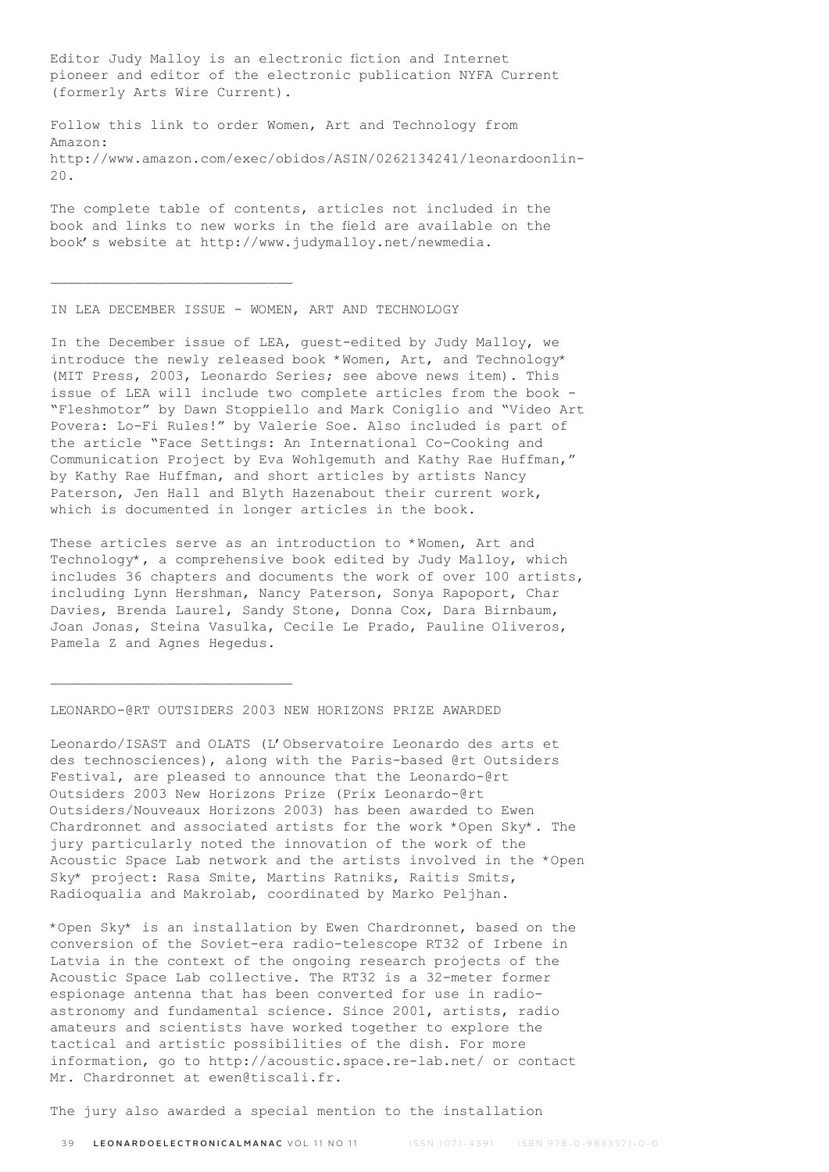Editor Judy Malloy is an electronic fiction and Internet pioneer and editor of the electronic publication NYFA Current (formerly Arts Wire Current).

Follow this link to order Women, Art and Technology from Amazon: http://www.amazon.com/exec/obidos/ASIN/0262134241/leonardoonlin-20.

The complete table of contents, articles not included in the book and links to new works in the field are available on the book's website at http://www.judymalloy.net/newmedia.

IN LEA DECEMBER ISSUE - WOMEN, ART AND TECHNOLOGY

 $\mathcal{L}_\text{max}$ 

 $\overline{\phantom{a}}$  , where  $\overline{\phantom{a}}$  , where  $\overline{\phantom{a}}$  ,  $\overline{\phantom{a}}$  ,  $\overline{\phantom{a}}$  ,  $\overline{\phantom{a}}$  ,  $\overline{\phantom{a}}$  ,  $\overline{\phantom{a}}$  ,  $\overline{\phantom{a}}$  ,  $\overline{\phantom{a}}$  ,  $\overline{\phantom{a}}$  ,  $\overline{\phantom{a}}$  ,  $\overline{\phantom{a}}$  ,  $\overline{\phantom{a}}$  ,  $\overline{\phantom{a}}$  ,

In the December issue of LEA, guest-edited by Judy Malloy, we introduce the newly released book \*Women, Art, and Technology\* (MIT Press, 2003, Leonardo Series; see above news item). This issue of LEA will include two complete articles from the book - "Fleshmotor" by Dawn Stoppiello and Mark Coniglio and "Video Art Povera: Lo-Fi Rules!" by Valerie Soe. Also included is part of the article "Face Settings: An International Co-Cooking and Communication Project by Eva Wohlgemuth and Kathy Rae Huffman," by Kathy Rae Huffman, and short articles by artists Nancy Paterson, Jen Hall and Blyth Hazenabout their current work, which is documented in longer articles in the book.

These articles serve as an introduction to \*Women, Art and Technology\*, a comprehensive book edited by Judy Malloy, which includes 36 chapters and documents the work of over 100 artists, including Lynn Hershman, Nancy Paterson, Sonya Rapoport, Char Davies, Brenda Laurel, Sandy Stone, Donna Cox, Dara Birnbaum, Joan Jonas, Steina Vasulka, Cecile Le Prado, Pauline Oliveros, Pamela Z and Agnes Hegedus.

LEONARDO-@RT OUTSIDERS 2003 NEW HORIZONS PRIZE AWARDED

Leonardo/ISAST and OLATS (L'Observatoire Leonardo des arts et des technosciences), along with the Paris-based @rt Outsiders Festival, are pleased to announce that the Leonardo-@rt Outsiders 2003 New Horizons Prize (Prix Leonardo-@rt Outsiders/Nouveaux Horizons 2003) has been awarded to Ewen Chardronnet and associated artists for the work \*Open Sky\*. The jury particularly noted the innovation of the work of the Acoustic Space Lab network and the artists involved in the \*Open Sky\* project: Rasa Smite, Martins Ratniks, Raitis Smits, Radioqualia and Makrolab, coordinated by Marko Peljhan.

\*Open Sky\* is an installation by Ewen Chardronnet, based on the conversion of the Soviet-era radio-telescope RT32 of Irbene in Latvia in the context of the ongoing research projects of the Acoustic Space Lab collective. The RT32 is a 32-meter former espionage antenna that has been converted for use in radioastronomy and fundamental science. Since 2001, artists, radio amateurs and scientists have worked together to explore the tactical and artistic possibilities of the dish. For more information, go to http://acoustic.space.re-lab.net/ or contact Mr. Chardronnet at ewen@tiscali.fr.

The jury also awarded a special mention to the installation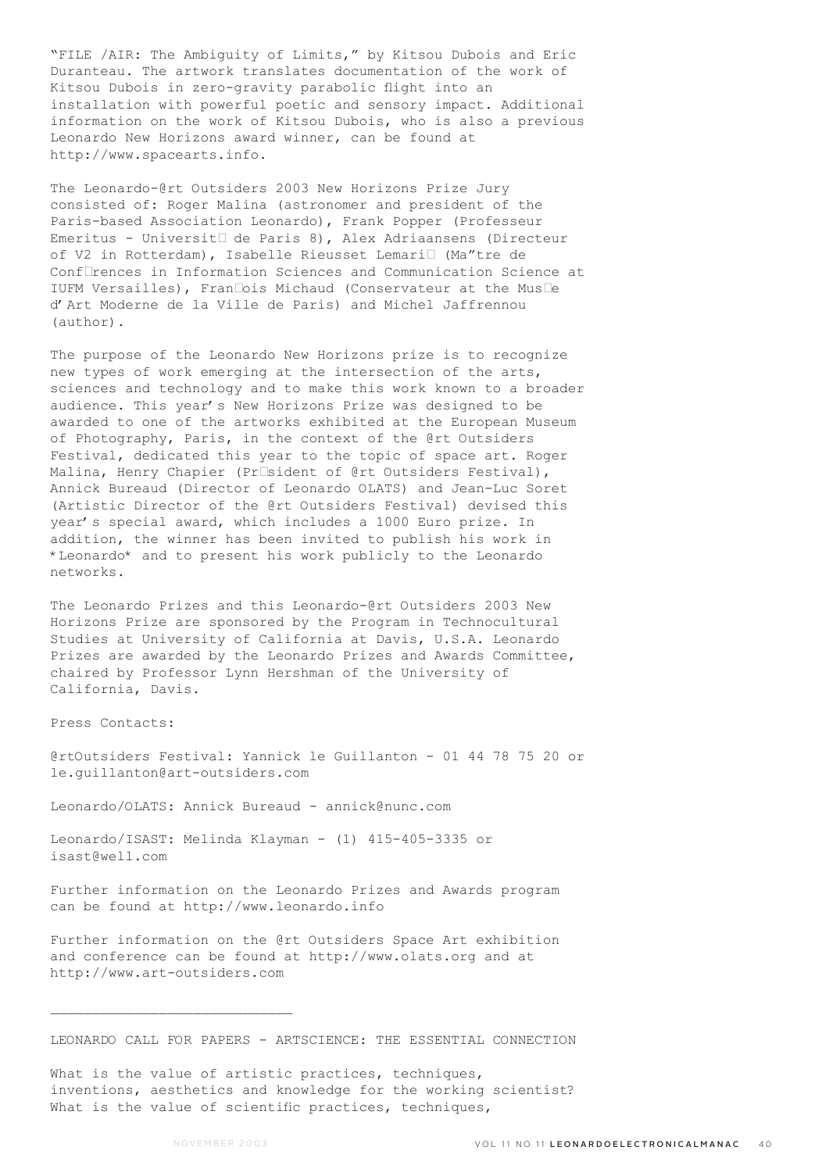"FILE /AIR: The Ambiguity of Limits," by Kitsou Dubois and Eric Duranteau. The artwork translates documentation of the work of Kitsou Dubois in zero-gravity parabolic flight into an installation with powerful poetic and sensory impact. Additional information on the work of Kitsou Dubois, who is also a previous Leonardo New Horizons award winner, can be found at http://www.spacearts.info.

The Leonardo-@rt Outsiders 2003 New Horizons Prize Jury consisted of: Roger Malina (astronomer and president of the Paris-based Association Leonardo), Frank Popper (Professeur Emeritus - Universit $\square$  de Paris 8), Alex Adriaansens (Directeur of V2 in Rotterdam), Isabelle Rieusset Lemari□ (Ma"tre de Conf $\square$ rences in Information Sciences and Communication Science at IUFM Versailles), Fran<sup>cois</sup> Michaud (Conservateur at the Mus<sup>c</sup>e d'Art Moderne de la Ville de Paris) and Michel Jaffrennou (author).

The purpose of the Leonardo New Horizons prize is to recognize new types of work emerging at the intersection of the arts, sciences and technology and to make this work known to a broader audience. This year's New Horizons Prize was designed to be awarded to one of the artworks exhibited at the European Museum of Photography, Paris, in the context of the @rt Outsiders Festival, dedicated this year to the topic of space art. Roger Malina, Henry Chapier (Pr<sup>[sident of @rt Outsiders Festival),</sup> Annick Bureaud (Director of Leonardo OLATS) and Jean-Luc Soret (Artistic Director of the @rt Outsiders Festival) devised this year's special award, which includes a 1000 Euro prize. In addition, the winner has been invited to publish his work in \*Leonardo\* and to present his work publicly to the Leonardo networks.

The Leonardo Prizes and this Leonardo-@rt Outsiders 2003 New Horizons Prize are sponsored by the Program in Technocultural Studies at University of California at Davis, U.S.A. Leonardo Prizes are awarded by the Leonardo Prizes and Awards Committee, chaired by Professor Lynn Hershman of the University of California, Davis.

Press Contacts:

@rtOutsiders Festival: Yannick le Guillanton - 01 44 78 75 20 or le.guillanton@art-outsiders.com

Leonardo/OLATS: Annick Bureaud - annick@nunc.com

Leonardo/ISAST: Melinda Klayman - (1) 415-405-3335 or isast@well.com

Further information on the Leonardo Prizes and Awards program can be found at http://www.leonardo.info

Further information on the @rt Outsiders Space Art exhibition and conference can be found at http://www.olats.org and at http://www.art-outsiders.com

LEONARDO CALL FOR PAPERS - ARTSCIENCE: THE ESSENTIAL CONNECTION

What is the value of artistic practices, techniques, inventions, aesthetics and knowledge for the working scientist? What is the value of scientific practices, techniques,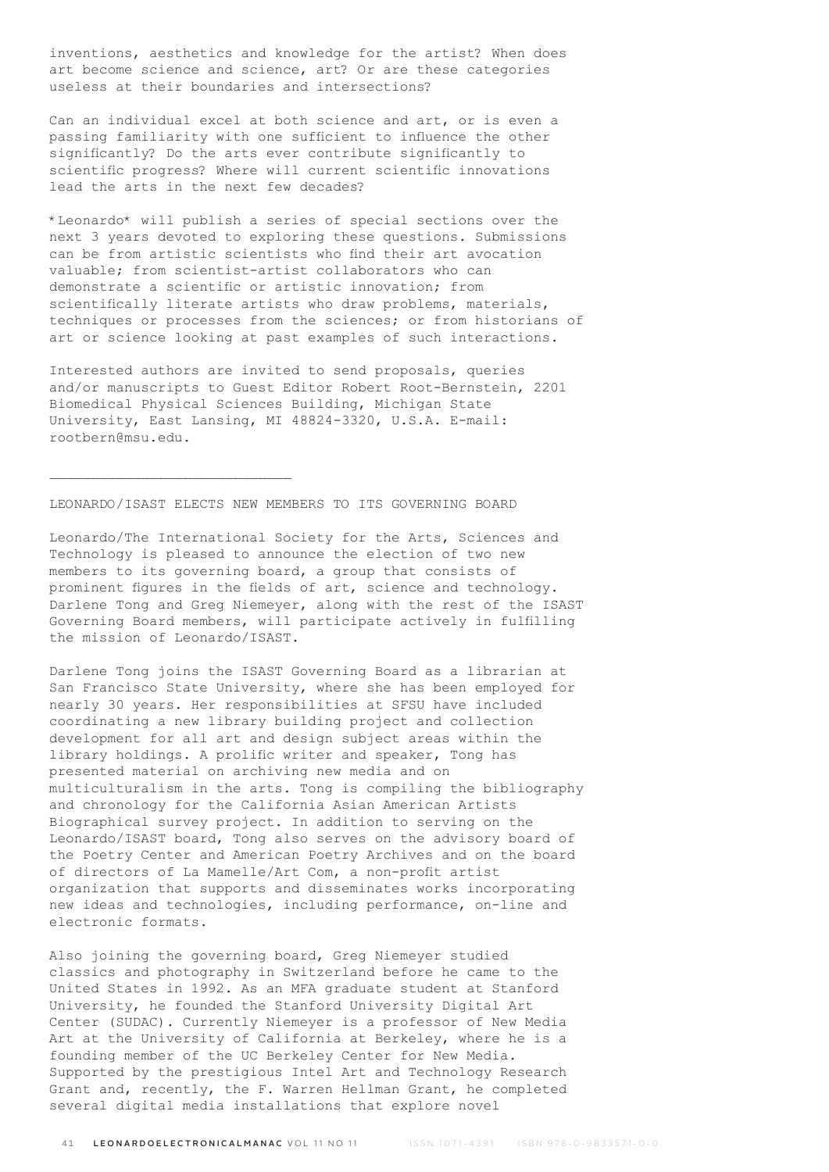inventions, aesthetics and knowledge for the artist? When does art become science and science, art? Or are these categories useless at their boundaries and intersections?

Can an individual excel at both science and art, or is even a passing familiarity with one sufficient to influence the other significantly? Do the arts ever contribute significantly to scientific progress? Where will current scientific innovations lead the arts in the next few decades?

\*Leonardo\* will publish a series of special sections over the next 3 years devoted to exploring these questions. Submissions can be from artistic scientists who find their art avocation valuable; from scientist-artist collaborators who can demonstrate a scientific or artistic innovation; from scientifically literate artists who draw problems, materials, techniques or processes from the sciences; or from historians of art or science looking at past examples of such interactions.

Interested authors are invited to send proposals, queries and/or manuscripts to Guest Editor Robert Root-Bernstein, 2201 Biomedical Physical Sciences Building, Michigan State University, East Lansing, MI 48824-3320, U.S.A. E-mail: rootbern@msu.edu.

LEONARDO/ISAST ELECTS NEW MEMBERS TO ITS GOVERNING BOARD

 $\overline{\phantom{a}}$  , where  $\overline{\phantom{a}}$  , where  $\overline{\phantom{a}}$  ,  $\overline{\phantom{a}}$  ,  $\overline{\phantom{a}}$  ,  $\overline{\phantom{a}}$  ,  $\overline{\phantom{a}}$  ,  $\overline{\phantom{a}}$  ,  $\overline{\phantom{a}}$  ,  $\overline{\phantom{a}}$  ,  $\overline{\phantom{a}}$  ,  $\overline{\phantom{a}}$  ,  $\overline{\phantom{a}}$  ,  $\overline{\phantom{a}}$  ,  $\overline{\phantom{a}}$  ,

Leonardo/The International Society for the Arts, Sciences and Technology is pleased to announce the election of two new members to its governing board, a group that consists of prominent figures in the fields of art, science and technology. Darlene Tong and Greg Niemeyer, along with the rest of the ISAST Governing Board members, will participate actively in fulfilling the mission of Leonardo/ISAST.

Darlene Tong joins the ISAST Governing Board as a librarian at San Francisco State University, where she has been employed for nearly 30 years. Her responsibilities at SFSU have included coordinating a new library building project and collection development for all art and design subject areas within the library holdings. A prolific writer and speaker, Tong has presented material on archiving new media and on multiculturalism in the arts. Tong is compiling the bibliography and chronology for the California Asian American Artists Biographical survey project. In addition to serving on the Leonardo/ISAST board, Tong also serves on the advisory board of the Poetry Center and American Poetry Archives and on the board of directors of La Mamelle/Art Com, a non-profit artist organization that supports and disseminates works incorporating new ideas and technologies, including performance, on-line and electronic formats.

Also joining the governing board, Greg Niemeyer studied classics and photography in Switzerland before he came to the United States in 1992. As an MFA graduate student at Stanford University, he founded the Stanford University Digital Art Center (SUDAC). Currently Niemeyer is a professor of New Media Art at the University of California at Berkeley, where he is a founding member of the UC Berkeley Center for New Media. Supported by the prestigious Intel Art and Technology Research Grant and, recently, the F. Warren Hellman Grant, he completed several digital media installations that explore novel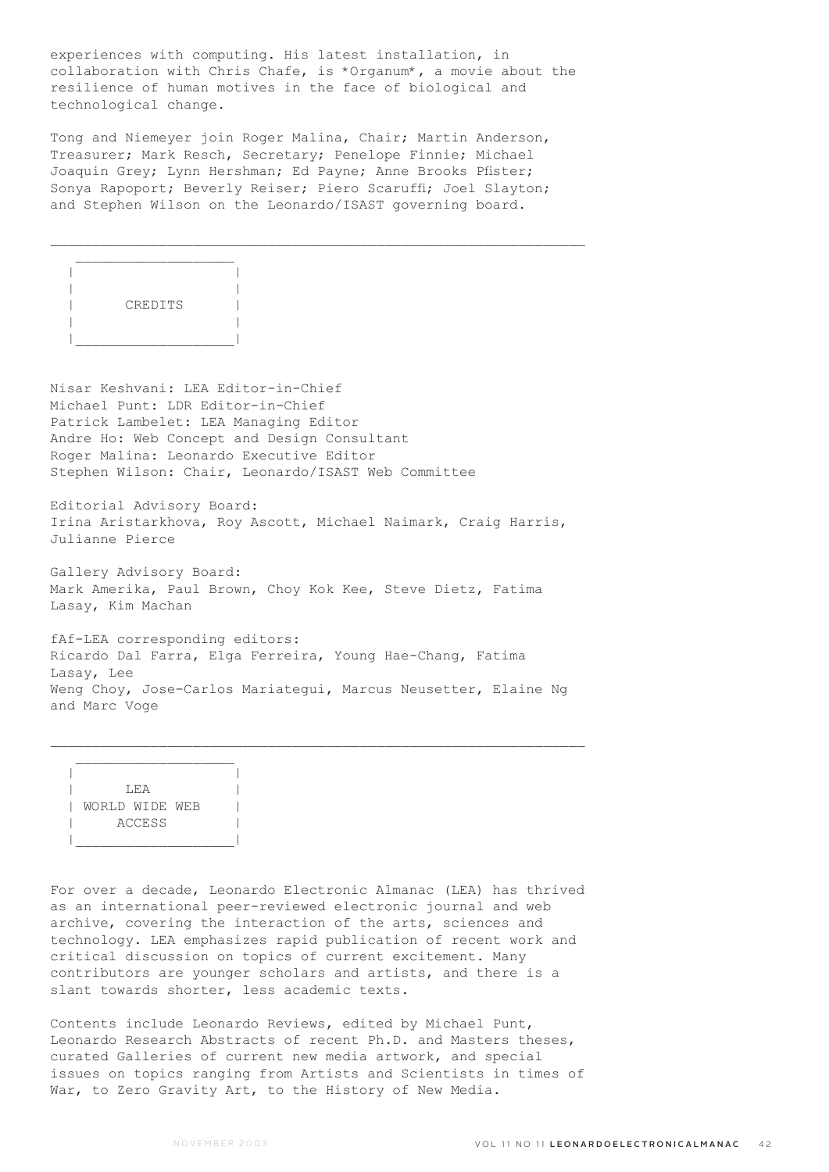experiences with computing. His latest installation, in collaboration with Chris Chafe, is \*Organum\*, a movie about the resilience of human motives in the face of biological and technological change.

Tong and Niemeyer join Roger Malina, Chair; Martin Anderson, Treasurer; Mark Resch, Secretary; Penelope Finnie; Michael Joaquin Grey; Lynn Hershman; Ed Payne; Anne Brooks Pfister; Sonya Rapoport; Beverly Reiser; Piero Scaruffi; Joel Slayton; and Stephen Wilson on the Leonardo/ISAST governing board.

 $\mathcal{L}_\text{max}$ 



Nisar Keshvani: LEA Editor-in-Chief Michael Punt: LDR Editor-in-Chief Patrick Lambelet: LEA Managing Editor Andre Ho: Web Concept and Design Consultant Roger Malina: Leonardo Executive Editor Stephen Wilson: Chair, Leonardo/ISAST Web Committee

Editorial Advisory Board: Irina Aristarkhova, Roy Ascott, Michael Naimark, Craig Harris, Julianne Pierce

Gallery Advisory Board: Mark Amerika, Paul Brown, Choy Kok Kee, Steve Dietz, Fatima Lasay, Kim Machan

fAf-LEA corresponding editors: Ricardo Dal Farra, Elga Ferreira, Young Hae-Chang, Fatima Lasay, Lee Weng Choy, Jose-Carlos Mariategui, Marcus Neusetter, Elaine Ng and Marc Voge

 $\mathcal{L}_\text{max}$ 

 | | | LEA | | WORLD WIDE WEB | | ACCESS |\_\_\_\_\_\_\_\_\_\_\_\_\_\_\_\_\_\_\_|

 $\mathcal{L}_\text{max}$ 

For over a decade, Leonardo Electronic Almanac (LEA) has thrived as an international peer-reviewed electronic journal and web archive, covering the interaction of the arts, sciences and technology. LEA emphasizes rapid publication of recent work and critical discussion on topics of current excitement. Many contributors are younger scholars and artists, and there is a slant towards shorter, less academic texts.

Contents include Leonardo Reviews, edited by Michael Punt, Leonardo Research Abstracts of recent Ph.D. and Masters theses, curated Galleries of current new media artwork, and special issues on topics ranging from Artists and Scientists in times of War, to Zero Gravity Art, to the History of New Media.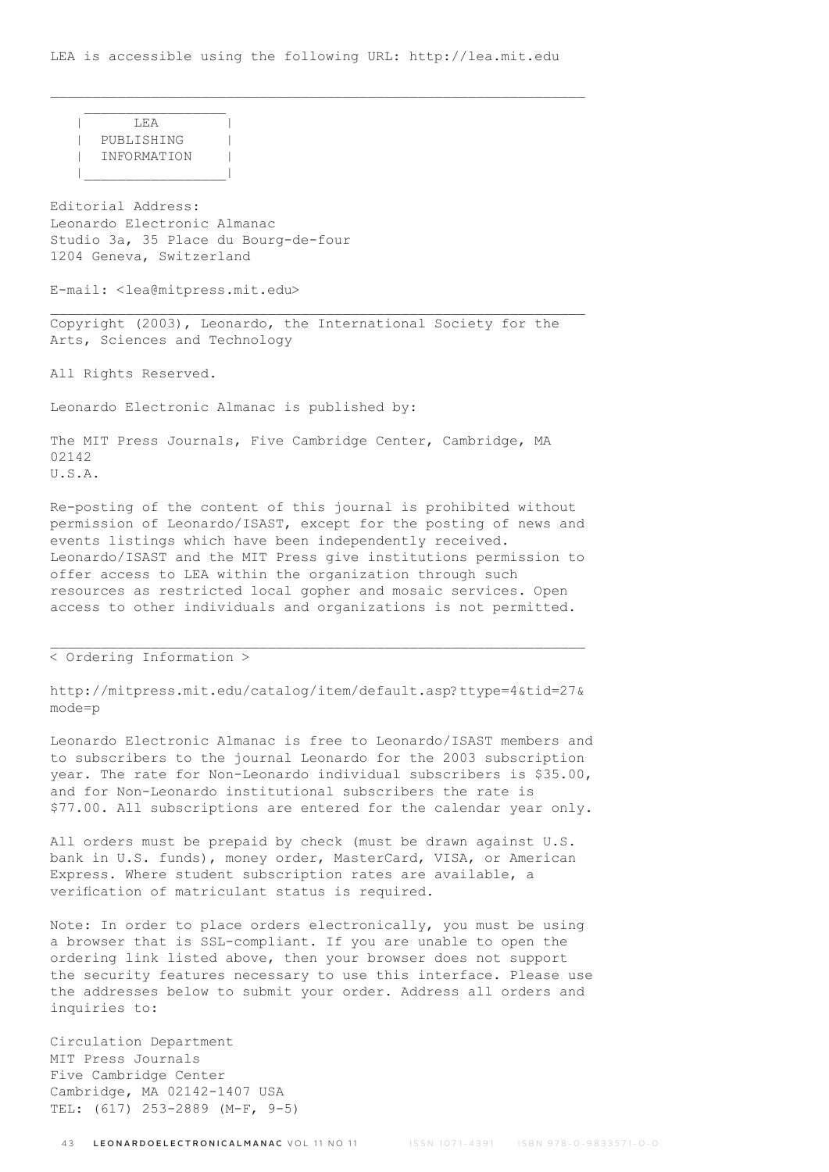| LEA | | PUBLISHING | | INFORMATION | |\_\_\_\_\_\_\_\_\_\_\_\_\_\_\_\_\_|

Editorial Address: Leonardo Electronic Almanac Studio 3a, 35 Place du Bourg-de-four 1204 Geneva, Switzerland

E-mail: <lea@mitpress.mit.edu>

Copyright (2003), Leonardo, the International Society for the Arts, Sciences and Technology

\_\_\_\_\_\_\_\_\_\_\_\_\_\_\_\_\_\_\_\_\_\_\_\_\_\_\_\_\_\_\_\_\_\_\_\_\_\_\_\_\_\_\_\_\_\_\_\_\_\_\_\_\_\_\_\_\_\_\_\_\_\_\_\_

All Rights Reserved.

Leonardo Electronic Almanac is published by:

The MIT Press Journals, Five Cambridge Center, Cambridge, MA 02142 U.S.A.

Re-posting of the content of this journal is prohibited without permission of Leonardo/ISAST, except for the posting of news and events listings which have been independently received. Leonardo/ISAST and the MIT Press give institutions permission to offer access to LEA within the organization through such resources as restricted local gopher and mosaic services. Open access to other individuals and organizations is not permitted.

< Ordering Information >

http://mitpress.mit.edu/catalog/item/default.asp?ttype=4&tid=27& mode=p

\_\_\_\_\_\_\_\_\_\_\_\_\_\_\_\_\_\_\_\_\_\_\_\_\_\_\_\_\_\_\_\_\_\_\_\_\_\_\_\_\_\_\_\_\_\_\_\_\_\_\_\_\_\_\_\_\_\_\_\_\_\_\_\_

Leonardo Electronic Almanac is free to Leonardo/ISAST members and to subscribers to the journal Leonardo for the 2003 subscription year. The rate for Non-Leonardo individual subscribers is \$35.00, and for Non-Leonardo institutional subscribers the rate is \$77.00. All subscriptions are entered for the calendar year only.

All orders must be prepaid by check (must be drawn against U.S. bank in U.S. funds), money order, MasterCard, VISA, or American Express. Where student subscription rates are available, a verification of matriculant status is required.

Note: In order to place orders electronically, you must be using a browser that is SSL-compliant. If you are unable to open the ordering link listed above, then your browser does not support the security features necessary to use this interface. Please use the addresses below to submit your order. Address all orders and inquiries to:

Circulation Department MIT Press Journals Five Cambridge Center Cambridge, MA 02142-1407 USA TEL: (617) 253-2889 (M-F, 9-5)